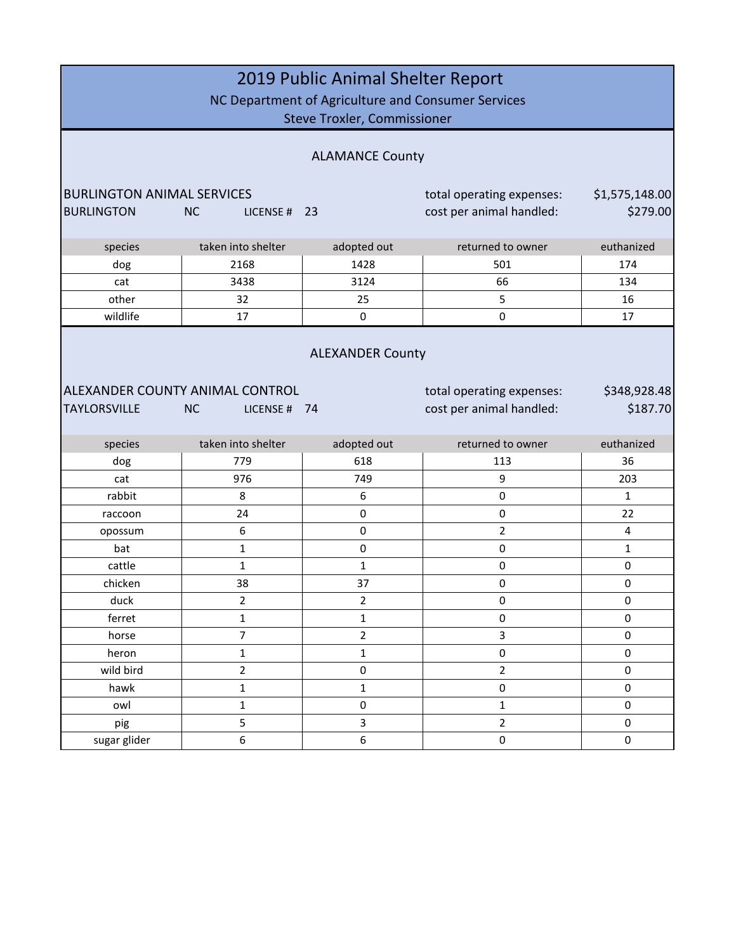| 2019 Public Animal Shelter Report<br>NC Department of Agriculture and Consumer Services<br><b>Steve Troxler, Commissioner</b> |                       |                         |                          |                |  |  |
|-------------------------------------------------------------------------------------------------------------------------------|-----------------------|-------------------------|--------------------------|----------------|--|--|
| <b>ALAMANCE County</b>                                                                                                        |                       |                         |                          |                |  |  |
| <b>BURLINGTON ANIMAL SERVICES</b><br>\$1,575,148.00<br>total operating expenses:                                              |                       |                         |                          |                |  |  |
| <b>BURLINGTON</b>                                                                                                             | <b>NC</b><br>LICENSE# | 23                      | cost per animal handled: | \$279.00       |  |  |
| species                                                                                                                       | taken into shelter    | adopted out             | returned to owner        | euthanized     |  |  |
| dog                                                                                                                           | 2168                  | 1428                    | 501                      | 174            |  |  |
| cat                                                                                                                           | 3438                  | 3124                    | 66                       | 134            |  |  |
| other                                                                                                                         | 32                    | 25                      | 5                        | 16             |  |  |
| wildlife                                                                                                                      | 17                    | $\mathsf 0$             | 0                        | 17             |  |  |
| <b>ALEXANDER County</b><br>ALEXANDER COUNTY ANIMAL CONTROL<br>\$348,928.48<br>total operating expenses:                       |                       |                         |                          |                |  |  |
| \$187.70<br><b>TAYLORSVILLE</b><br>cost per animal handled:<br><b>NC</b><br>LICENSE #<br>- 74                                 |                       |                         |                          |                |  |  |
| species                                                                                                                       | taken into shelter    | adopted out             | returned to owner        | euthanized     |  |  |
| dog                                                                                                                           | 779                   | 618                     | 113                      | 36             |  |  |
| cat                                                                                                                           | 976                   | 749                     | 9                        | 203            |  |  |
| rabbit                                                                                                                        | 8                     | 6                       | 0                        | $\mathbf{1}$   |  |  |
| raccoon                                                                                                                       | 24                    | 0                       | $\pmb{0}$                | 22             |  |  |
| opossum                                                                                                                       | 6                     | $\mathbf 0$             | 2                        | $\overline{4}$ |  |  |
| bat                                                                                                                           | 1                     | $\pmb{0}$               | $\pmb{0}$                | 1              |  |  |
| cattle                                                                                                                        | $\mathbf{1}$          | $\mathbf 1$             | $\pmb{0}$                | $\pmb{0}$      |  |  |
| chicken                                                                                                                       | 38                    | 37                      | 0                        | 0              |  |  |
| duck                                                                                                                          | $\overline{2}$        | $\overline{\mathbf{c}}$ | 0                        | $\pmb{0}$      |  |  |
| ferret                                                                                                                        | $\mathbf 1$           | $\mathbf{1}$            | $\pmb{0}$                | 0              |  |  |
| horse                                                                                                                         | $\overline{7}$        | $\overline{2}$          | 3                        | $\pmb{0}$      |  |  |
| heron                                                                                                                         | $\mathbf{1}$          | $\mathbf{1}$            | $\pmb{0}$                | $\pmb{0}$      |  |  |
| wild bird                                                                                                                     | $\overline{2}$        | $\pmb{0}$               | $\overline{2}$           | 0              |  |  |
| hawk                                                                                                                          | $\mathbf 1$           | $\mathbf{1}$            | 0                        | $\pmb{0}$      |  |  |
| owl                                                                                                                           | $\mathbf 1$           | $\mathsf{O}\xspace$     | $\mathbf 1$              | $\pmb{0}$      |  |  |
| pig                                                                                                                           | 5                     | 3                       | $\overline{2}$           | 0              |  |  |
| sugar glider                                                                                                                  | 6                     | 6                       | 0                        | $\pmb{0}$      |  |  |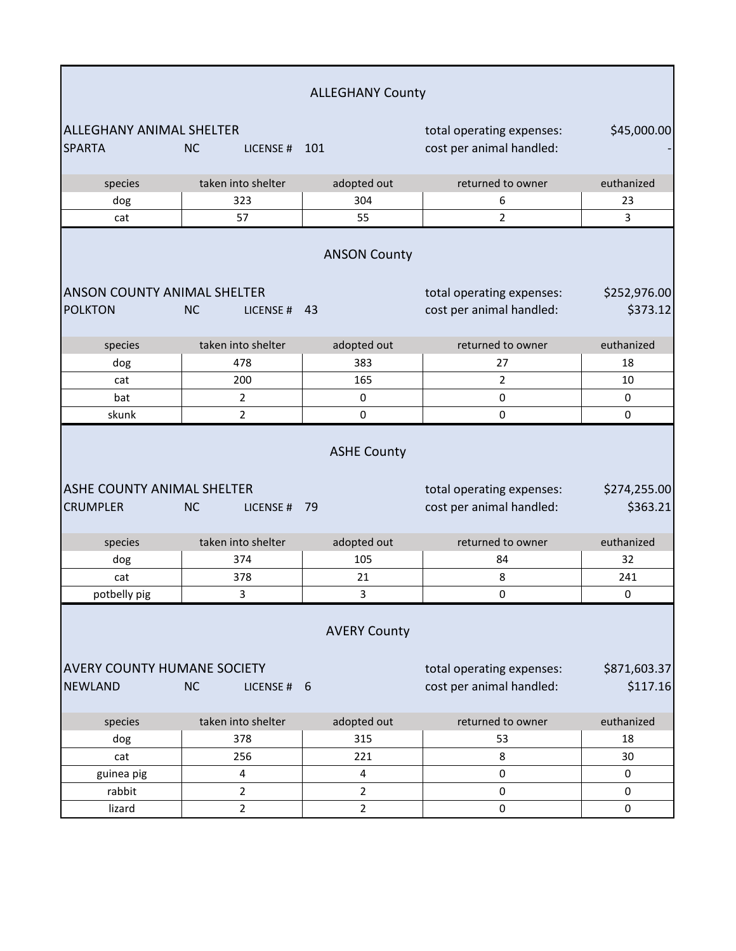| <b>ALLEGHANY County</b>                              |                           |                     |                                                       |                          |
|------------------------------------------------------|---------------------------|---------------------|-------------------------------------------------------|--------------------------|
| <b>ALLEGHANY ANIMAL SHELTER</b><br><b>SPARTA</b>     | <b>NC</b><br>LICENSE#     | 101                 | total operating expenses:<br>cost per animal handled: | \$45,000.00              |
| species                                              | taken into shelter        | adopted out         | returned to owner                                     | euthanized               |
| dog                                                  | 323                       | 304                 | 6                                                     | 23                       |
| cat                                                  | 57                        | 55                  | $\overline{2}$                                        | 3                        |
|                                                      |                           | <b>ANSON County</b> |                                                       |                          |
| <b>ANSON COUNTY ANIMAL SHELTER</b>                   |                           |                     | total operating expenses:                             | \$252,976.00             |
| <b>POLKTON</b>                                       | <b>NC</b><br>LICENSE#     | 43                  | cost per animal handled:                              | \$373.12                 |
| species                                              | taken into shelter        | adopted out         | returned to owner                                     | euthanized               |
| dog                                                  | 478                       | 383                 | 27                                                    | 18                       |
| cat                                                  | 200                       | 165                 | $\overline{2}$                                        | 10                       |
| bat                                                  | $\overline{2}$            | 0                   | $\pmb{0}$                                             | 0                        |
| skunk                                                | $\overline{2}$            | 0                   | $\mathbf 0$                                           | 0                        |
|                                                      |                           | <b>ASHE County</b>  |                                                       |                          |
| <b>ASHE COUNTY ANIMAL SHELTER</b><br><b>CRUMPLER</b> | <b>NC</b><br>LICENSE # 79 |                     | total operating expenses:<br>cost per animal handled: | \$274,255.00<br>\$363.21 |
| species                                              | taken into shelter        | adopted out         | returned to owner                                     | euthanized               |
| dog                                                  | 374                       | 105                 | 84                                                    | 32                       |
| cat                                                  | 378                       | 21                  | 8                                                     | 241                      |
| potbelly pig                                         | 3                         | 3                   | $\pmb{0}$                                             | $\mathbf 0$              |
|                                                      |                           | <b>AVERY County</b> |                                                       |                          |
| <b>AVERY COUNTY HUMANE SOCIETY</b>                   |                           |                     | total operating expenses:                             | \$871,603.37             |
| <b>NEWLAND</b>                                       | <b>NC</b><br>LICENSE # 6  |                     | cost per animal handled:                              | \$117.16                 |
| species                                              | taken into shelter        | adopted out         | returned to owner                                     | euthanized               |
| dog                                                  | 378                       | 315                 | 53                                                    | 18                       |
| cat                                                  | 256                       | 221                 | 8                                                     | 30                       |
| guinea pig                                           | 4                         | 4                   | $\pmb{0}$                                             | 0                        |
| rabbit                                               | $\overline{2}$            | $\overline{2}$      | $\pmb{0}$                                             | $\pmb{0}$                |
| lizard                                               | $\overline{2}$            | $\overline{2}$      | $\pmb{0}$                                             | $\pmb{0}$                |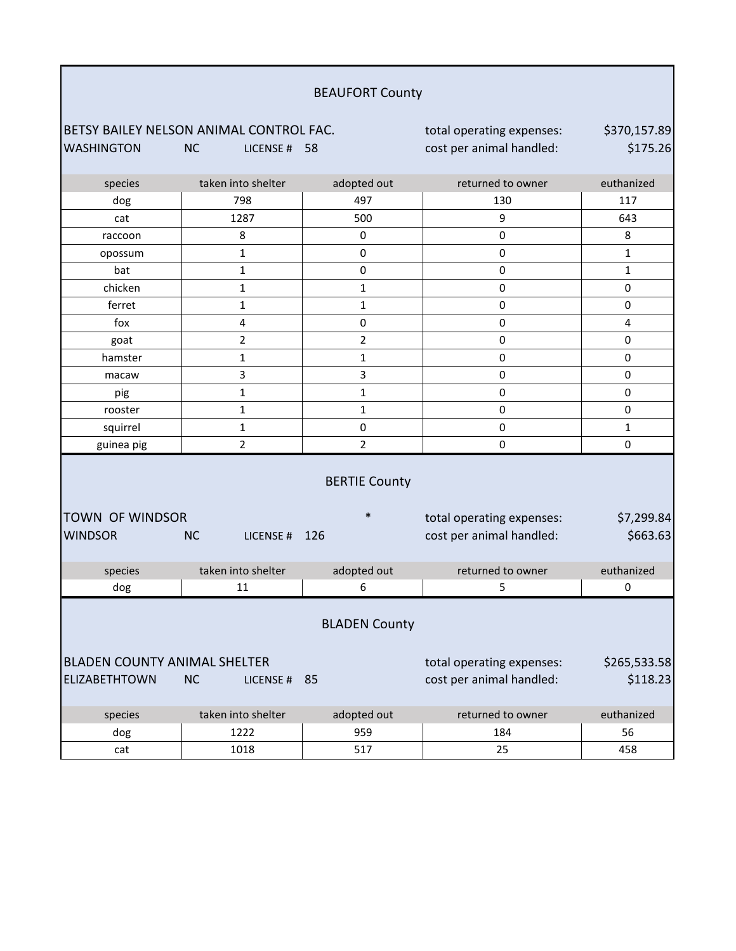| <b>BEAUFORT County</b>              |                                         |                      |                           |              |  |
|-------------------------------------|-----------------------------------------|----------------------|---------------------------|--------------|--|
|                                     | BETSY BAILEY NELSON ANIMAL CONTROL FAC. |                      | total operating expenses: | \$370,157.89 |  |
| <b>WASHINGTON</b>                   | <b>NC</b><br>LICENSE # 58               |                      | cost per animal handled:  | \$175.26     |  |
|                                     |                                         |                      |                           |              |  |
| species                             | taken into shelter                      | adopted out          | returned to owner         | euthanized   |  |
| dog                                 | 798                                     | 497                  | 130                       | 117          |  |
| cat                                 | 1287                                    | 500                  | 9                         | 643          |  |
| raccoon                             | 8                                       | 0                    | $\mathbf 0$               | 8            |  |
| opossum                             | $\mathbf{1}$                            | 0                    | 0                         | $\mathbf{1}$ |  |
| bat                                 | $\mathbf{1}$                            | 0                    | 0                         | $\mathbf{1}$ |  |
| chicken                             | $\mathbf{1}$                            | 1                    | 0                         | $\mathbf 0$  |  |
| ferret                              | 1                                       | $\mathbf{1}$         | 0                         | $\pmb{0}$    |  |
| fox                                 | 4                                       | $\pmb{0}$            | $\pmb{0}$                 | 4            |  |
| goat                                | $\overline{2}$                          | $\overline{2}$       | 0                         | $\pmb{0}$    |  |
| hamster                             | $\mathbf{1}$                            | $\mathbf{1}$         | 0                         | $\mathbf 0$  |  |
| macaw                               | 3                                       | 3                    | $\pmb{0}$                 | $\mathbf 0$  |  |
| pig                                 | $\mathbf{1}$                            | $\mathbf{1}$         | 0                         | $\mathbf 0$  |  |
| rooster                             | 1                                       | $\mathbf{1}$         | 0                         | $\mathbf 0$  |  |
| squirrel                            | 1                                       | $\pmb{0}$            | $\pmb{0}$                 | $\mathbf{1}$ |  |
| guinea pig                          | $\overline{2}$                          | 2                    | $\pmb{0}$                 | 0            |  |
|                                     |                                         | <b>BERTIE County</b> |                           |              |  |
| <b>TOWN OF WINDSOR</b>              |                                         | $\ast$               | total operating expenses: | \$7,299.84   |  |
| <b>WINDSOR</b>                      | <b>NC</b><br>LICENSE#                   | 126                  | cost per animal handled:  | \$663.63     |  |
| species                             | taken into shelter                      | adopted out          | returned to owner         | euthanized   |  |
| dog                                 | 11                                      | 6                    | 5                         | 0            |  |
| <b>BLADEN County</b>                |                                         |                      |                           |              |  |
| <b>BLADEN COUNTY ANIMAL SHELTER</b> |                                         |                      | total operating expenses: | \$265,533.58 |  |
| <b>ELIZABETHTOWN</b>                | <b>NC</b><br>LICENSE#                   | 85                   | cost per animal handled:  | \$118.23     |  |
| species                             | taken into shelter                      | adopted out          | returned to owner         | euthanized   |  |
| dog                                 | 1222                                    | 959                  | 184                       | 56           |  |
| cat                                 | 1018                                    | 517                  | 25                        | 458          |  |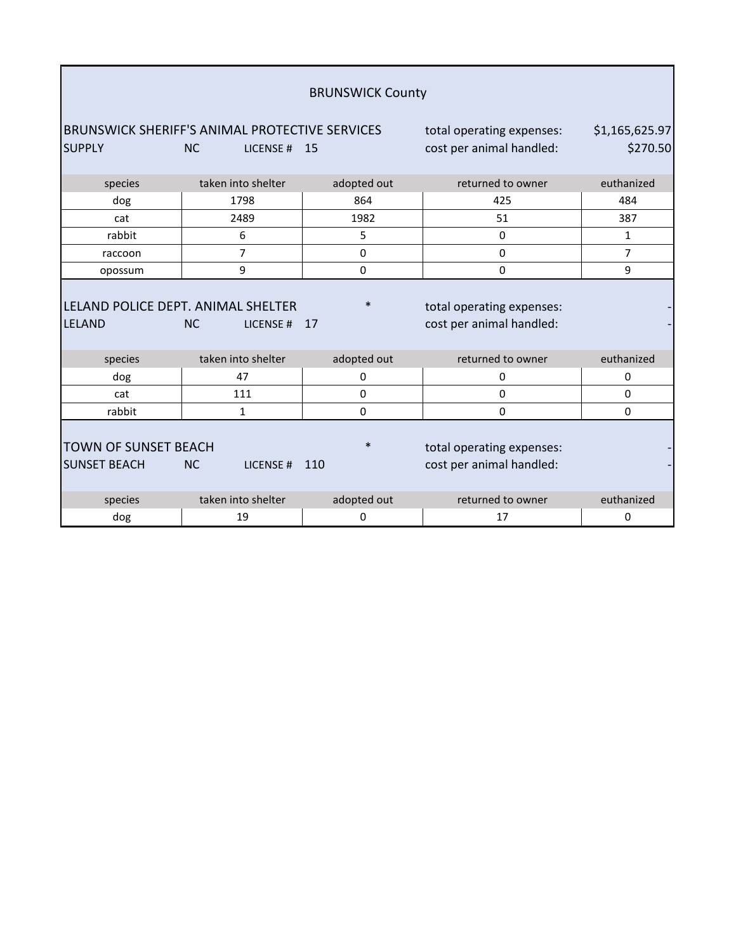|                                                     |                                                                                | <b>BRUNSWICK County</b> |                                                       |                            |
|-----------------------------------------------------|--------------------------------------------------------------------------------|-------------------------|-------------------------------------------------------|----------------------------|
| <b>SUPPLY</b>                                       | <b>BRUNSWICK SHERIFF'S ANIMAL PROTECTIVE SERVICES</b><br><b>NC</b><br>LICENSE# | 15                      | total operating expenses:<br>cost per animal handled: | \$1,165,625.97<br>\$270.50 |
| species                                             | taken into shelter                                                             | adopted out             | returned to owner                                     | euthanized                 |
| dog                                                 | 1798                                                                           | 864                     | 425                                                   | 484                        |
| cat                                                 | 2489                                                                           | 1982                    | 51                                                    | 387                        |
| rabbit                                              | 6                                                                              | 5                       | 0                                                     | $\mathbf{1}$               |
| raccoon                                             | 7                                                                              | 0                       | 0                                                     | 7                          |
| opossum                                             | 9                                                                              | $\Omega$                | 0                                                     | 9                          |
| LELAND POLICE DEPT. ANIMAL SHELTER<br><b>LELAND</b> | <b>NC</b><br>LICENSE#                                                          | $\ast$<br>17            | total operating expenses:<br>cost per animal handled: |                            |
| species                                             | taken into shelter                                                             | adopted out             | returned to owner                                     | euthanized                 |
| dog                                                 | 47                                                                             | 0                       | 0                                                     | 0                          |
| cat                                                 | 111                                                                            | 0                       | 0                                                     | $\mathbf 0$                |
| rabbit                                              | $\mathbf{1}$                                                                   | $\Omega$                | 0                                                     | 0                          |
| <b>TOWN OF SUNSET BEACH</b><br><b>SUNSET BEACH</b>  | <b>NC</b><br>LICENSE#                                                          | $\ast$<br>110           | total operating expenses:<br>cost per animal handled: |                            |
| species                                             | taken into shelter                                                             | adopted out             | returned to owner                                     | euthanized                 |
| dog                                                 | 19                                                                             | 0                       | 17                                                    | 0                          |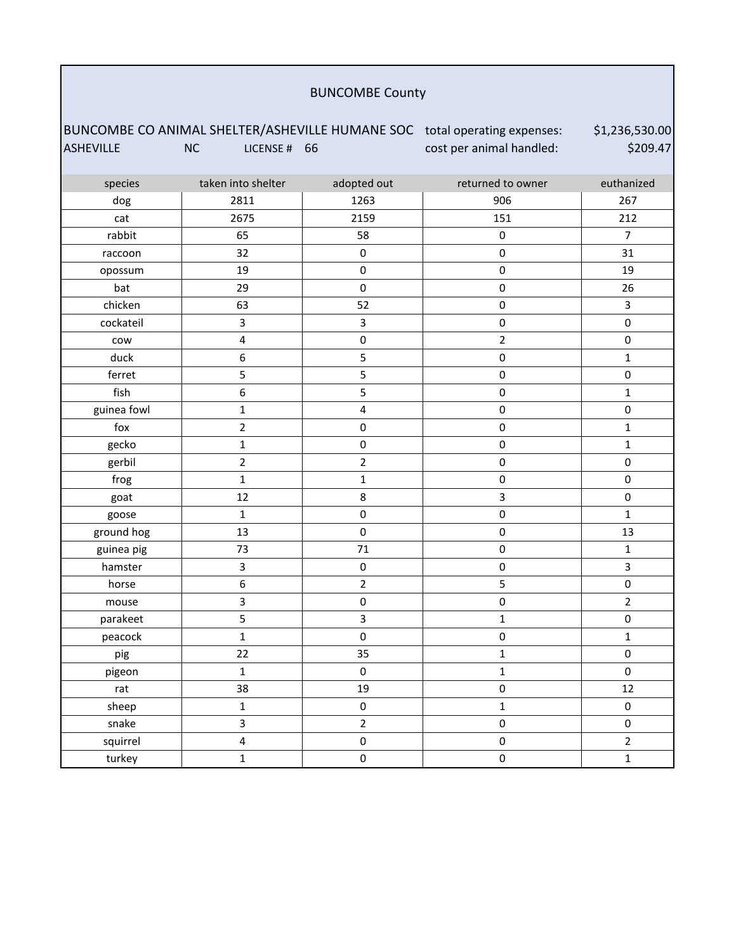#### BUNCOMBE County

BUNCOMBE CO ANIMAL SHELTER/ASHEVILLE HUMANE SOC total operating expenses: ASHEVILLE NC LICENSE # 66 cost per animal handled: \$1,236,530.00 \$209.47 species taken into shelter adopted out returned to owner euthanized

| <b>Sheries</b> | <b>CALCIT IIILO SIIEILEI</b> | auopieu out             | <b>ICCULTICA TO OMITCI</b> | <b>CULTIQUILLEU</b>     |
|----------------|------------------------------|-------------------------|----------------------------|-------------------------|
| dog            | 2811                         | 1263                    | 906                        | 267                     |
| cat            | 2675                         | 2159                    | 151                        | 212                     |
| rabbit         | 65                           | 58                      | $\pmb{0}$                  | $\overline{7}$          |
| raccoon        | 32                           | $\mathsf{O}\xspace$     | $\pmb{0}$                  | 31                      |
| opossum        | 19                           | $\pmb{0}$               | $\pmb{0}$                  | 19                      |
| bat            | 29                           | $\pmb{0}$               | $\pmb{0}$                  | 26                      |
| chicken        | 63                           | 52                      | $\pmb{0}$                  | $\overline{\mathbf{3}}$ |
| cockateil      | $\mathbf{3}$                 | 3                       | $\pmb{0}$                  | $\pmb{0}$               |
| cow            | $\overline{\mathbf{4}}$      | $\mathbf 0$             | $\overline{2}$             | $\pmb{0}$               |
| duck           | $\boldsymbol{6}$             | 5                       | $\pmb{0}$                  | $\mathbf{1}$            |
| ferret         | 5                            | 5                       | $\pmb{0}$                  | $\pmb{0}$               |
| fish           | $\boldsymbol{6}$             | 5                       | $\pmb{0}$                  | $\mathbf 1$             |
| guinea fowl    | $\mathbf 1$                  | $\overline{\mathbf{4}}$ | $\pmb{0}$                  | $\pmb{0}$               |
| $f$ ox         | $\overline{2}$               | 0                       | $\pmb{0}$                  | $\mathbf 1$             |
| gecko          | $\mathbf 1$                  | $\pmb{0}$               | $\pmb{0}$                  | $\mathbf 1$             |
| gerbil         | $\overline{2}$               | $\overline{2}$          | $\pmb{0}$                  | $\pmb{0}$               |
| frog           | $\mathbf 1$                  | $\mathbf 1$             | $\pmb{0}$                  | $\pmb{0}$               |
| goat           | 12                           | 8                       | $\overline{\mathbf{3}}$    | $\mathsf{O}\xspace$     |
| goose          | $\mathbf 1$                  | $\mathbf 0$             | $\pmb{0}$                  | $\mathbf{1}$            |
| ground hog     | 13                           | $\pmb{0}$               | $\pmb{0}$                  | 13                      |
| guinea pig     | 73                           | $71\,$                  | $\pmb{0}$                  | $\mathbf{1}$            |
| hamster        | $\overline{\mathbf{3}}$      | $\pmb{0}$               | $\pmb{0}$                  | $\overline{3}$          |
| horse          | $\boldsymbol{6}$             | $\overline{2}$          | 5                          | $\pmb{0}$               |
| mouse          | 3                            | $\mathsf{O}\xspace$     | $\pmb{0}$                  | $\overline{2}$          |
| parakeet       | $\sf 5$                      | 3                       | $\mathbf 1$                | $\pmb{0}$               |
| peacock        | $\mathbf 1$                  | $\pmb{0}$               | $\pmb{0}$                  | $\mathbf 1$             |
| pig            | 22                           | 35                      | $\mathbf 1$                | $\pmb{0}$               |
| pigeon         | $\mathbf 1$                  | $\pmb{0}$               | $\mathbf{1}$               | $\mathsf 0$             |
| rat            | 38                           | 19                      | $\pmb{0}$                  | 12                      |
| sheep          | $\mathbf 1$                  | $\pmb{0}$               | $\mathbf 1$                | $\pmb{0}$               |
| snake          | $\mathsf{3}$                 | $\overline{2}$          | $\pmb{0}$                  | $\pmb{0}$               |
| squirrel       | $\overline{\mathbf{4}}$      | $\pmb{0}$               | $\pmb{0}$                  | $\overline{2}$          |
| turkey         | $\mathbf 1$                  | $\pmb{0}$               | $\pmb{0}$                  | $\mathbf{1}$            |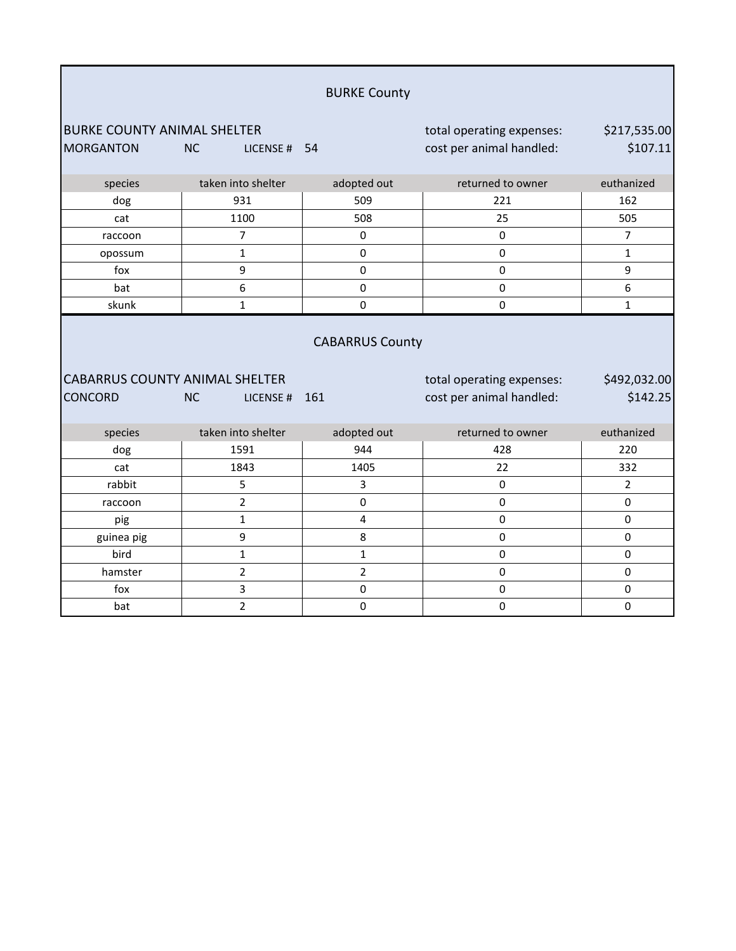|                                       |                           | <b>BURKE County</b>    |                           |                |
|---------------------------------------|---------------------------|------------------------|---------------------------|----------------|
| <b>BURKE COUNTY ANIMAL SHELTER</b>    |                           |                        | total operating expenses: | \$217,535.00   |
| <b>MORGANTON</b>                      | <b>NC</b><br>LICENSE # 54 |                        | cost per animal handled:  | \$107.11       |
| species                               | taken into shelter        | adopted out            | returned to owner         | euthanized     |
| dog                                   | 931                       | 509                    | 221                       | 162            |
| cat                                   | 1100                      | 508                    | 25                        | 505            |
| raccoon                               | $\overline{7}$            | 0                      | $\pmb{0}$                 | $\overline{7}$ |
| opossum                               | $\mathbf{1}$              | 0                      | $\Omega$                  | $\mathbf{1}$   |
| fox                                   | 9                         | 0                      | 0                         | 9              |
| bat                                   | 6                         | 0                      | 0                         | 6              |
| skunk                                 | $\mathbf{1}$              | 0                      | $\mathbf 0$               | $\mathbf{1}$   |
| <b>CABARRUS COUNTY ANIMAL SHELTER</b> |                           | <b>CABARRUS County</b> | total operating expenses: | \$492,032.00   |
| <b>CONCORD</b>                        | <b>NC</b><br>LICENSE#     | 161                    | cost per animal handled:  | \$142.25       |
| species                               | taken into shelter        | adopted out            | returned to owner         | euthanized     |
| dog                                   | 1591                      | 944                    | 428                       |                |
| cat                                   |                           |                        |                           | 220            |
| rabbit                                | 1843                      | 1405                   | 22                        | 332            |
|                                       | 5                         | 3                      | 0                         | $\overline{2}$ |
| raccoon                               | $\overline{2}$            | $\mathbf 0$            | 0                         | 0              |
| pig                                   | $\mathbf{1}$              | 4                      | 0                         | 0              |
| guinea pig                            | 9                         | 8                      | 0                         | 0              |
| bird                                  | $\mathbf{1}$              | $\mathbf 1$            | $\pmb{0}$                 | 0              |
| hamster                               | $\overline{2}$            | $\overline{2}$         | $\pmb{0}$                 | 0              |
| fox                                   | 3<br>$\overline{2}$       | 0                      | 0                         | 0              |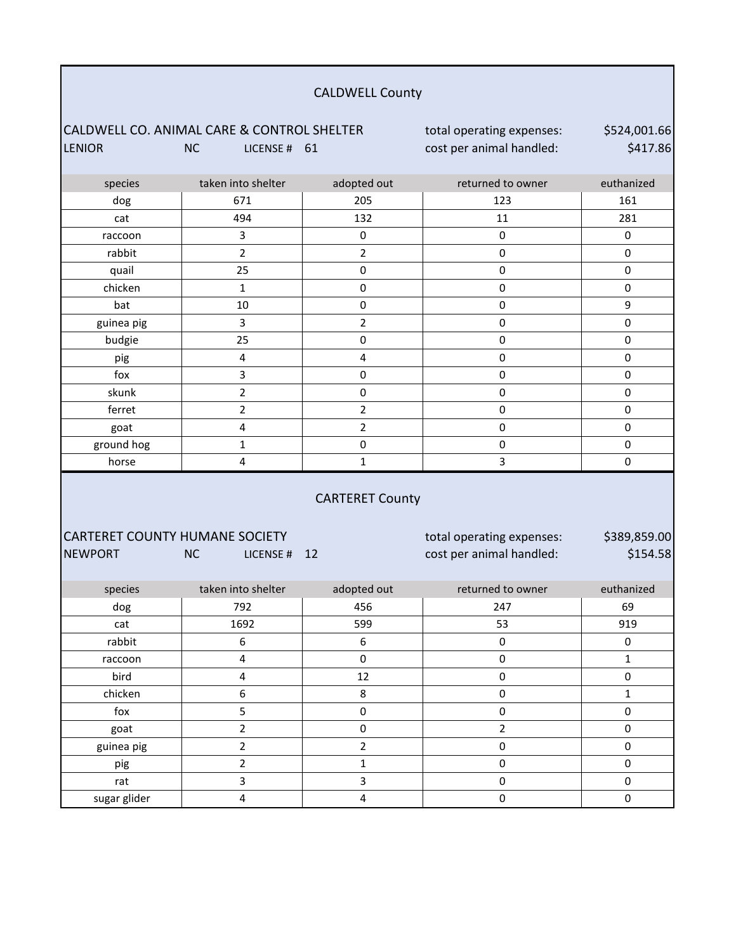| <b>CALDWELL County</b>                                      |                           |                         |                                                       |                          |
|-------------------------------------------------------------|---------------------------|-------------------------|-------------------------------------------------------|--------------------------|
| CALDWELL CO. ANIMAL CARE & CONTROL SHELTER<br><b>LENIOR</b> | <b>NC</b><br>LICENSE # 61 |                         | total operating expenses:<br>cost per animal handled: | \$524,001.66<br>\$417.86 |
| species                                                     | taken into shelter        | adopted out             | returned to owner                                     | euthanized               |
| dog                                                         | 671                       | 205                     | 123                                                   | 161                      |
| cat                                                         | 494                       | 132                     | 11                                                    | 281                      |
| raccoon                                                     | 3                         | $\pmb{0}$               | $\pmb{0}$                                             | 0                        |
| rabbit                                                      | $\overline{2}$            | $\overline{2}$          | 0                                                     | $\mathbf 0$              |
| quail                                                       | 25                        | $\pmb{0}$               | 0                                                     | $\pmb{0}$                |
| chicken                                                     | $\mathbf{1}$              | 0                       | 0                                                     | $\pmb{0}$                |
| bat                                                         | 10                        | 0                       | 0                                                     | 9                        |
| guinea pig                                                  | 3                         | $\overline{2}$          | 0                                                     | $\pmb{0}$                |
| budgie                                                      | 25                        | $\pmb{0}$               | 0                                                     | $\pmb{0}$                |
| pig                                                         | 4                         | 4                       | 0                                                     | $\pmb{0}$                |
| fox                                                         | 3                         | 0                       | 0                                                     | $\pmb{0}$                |
| skunk                                                       | $\overline{2}$            | $\pmb{0}$               | 0                                                     | $\pmb{0}$                |
| ferret                                                      | $\overline{2}$            | $\mathbf 2$             | 0                                                     | $\mathbf 0$              |
| goat                                                        | 4                         | $\overline{2}$          | $\pmb{0}$                                             | $\pmb{0}$                |
| ground hog                                                  | 1                         | $\pmb{0}$               | $\pmb{0}$                                             | $\pmb{0}$                |
| horse                                                       | 4                         | $\mathbf{1}$            | 3                                                     | $\mathbf 0$              |
|                                                             |                           | <b>CARTERET County</b>  |                                                       |                          |
| <b>CARTERET COUNTY HUMANE SOCIETY</b>                       |                           |                         | total operating expenses:                             | \$389,859.00             |
| <b>NEWPORT</b>                                              | <b>NC</b><br>LICENSE #    | 12                      | cost per animal handled:                              | \$154.58                 |
| species                                                     | taken into shelter        | adopted out             | returned to owner                                     | euthanized               |
| $\rm{dog}$                                                  | 792                       | 456                     | 247                                                   | 69                       |
| cat                                                         | 1692                      | 599                     | 53                                                    | 919                      |
| rabbit                                                      | $\boldsymbol{6}$          | $\boldsymbol{6}$        | $\pmb{0}$                                             | $\pmb{0}$                |
| raccoon                                                     | 4                         | $\mathsf 0$             | 0                                                     | $\mathbf{1}$             |
| bird                                                        | 4                         | 12                      | 0                                                     | $\pmb{0}$                |
| chicken                                                     | 6                         | $\bf 8$                 | $\pmb{0}$                                             | $\mathbf 1$              |
| fox                                                         | 5                         | $\pmb{0}$               | 0                                                     | $\mathbf 0$              |
| goat                                                        | $\overline{2}$            | $\mathbf 0$             | $\overline{2}$                                        | $\pmb{0}$                |
| guinea pig                                                  | $\overline{2}$            | $\overline{2}$          | $\pmb{0}$                                             | $\pmb{0}$                |
| pig                                                         | $\overline{2}$            | $\mathbf{1}$            | $\pmb{0}$                                             | $\mathbf 0$              |
| rat                                                         | $\overline{\mathbf{3}}$   | $\overline{\mathbf{3}}$ | $\pmb{0}$                                             | $\pmb{0}$                |
| sugar glider                                                | 4                         | $\sqrt{4}$              | 0                                                     | $\pmb{0}$                |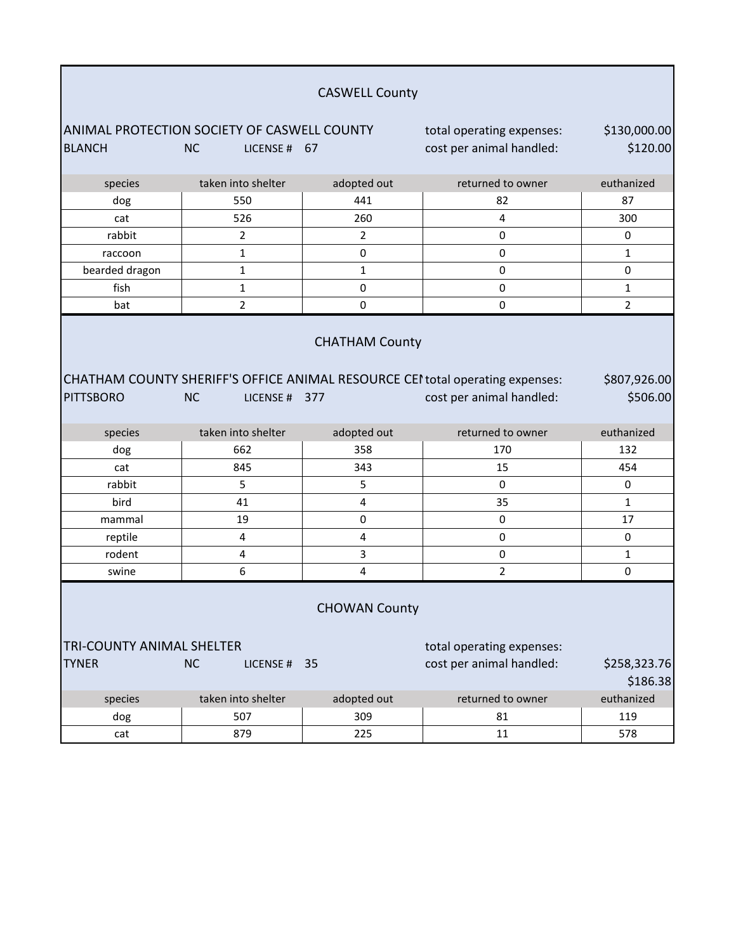| <b>CASWELL County</b>                                                           |                            |                       |                                                                                                           |                          |
|---------------------------------------------------------------------------------|----------------------------|-----------------------|-----------------------------------------------------------------------------------------------------------|--------------------------|
| <b>ANIMAL PROTECTION SOCIETY OF CASWELL COUNTY</b><br>total operating expenses: |                            |                       |                                                                                                           |                          |
| <b>BLANCH</b>                                                                   | <b>NC</b><br>LICENSE # 67  |                       | cost per animal handled:                                                                                  | \$120.00                 |
|                                                                                 |                            |                       |                                                                                                           |                          |
| species                                                                         | taken into shelter         | adopted out           | returned to owner                                                                                         | euthanized               |
| dog                                                                             | 550                        | 441                   | 82                                                                                                        | 87                       |
| cat                                                                             | 526                        | 260                   | 4                                                                                                         | 300                      |
| rabbit                                                                          | 2                          | $\overline{2}$        | $\pmb{0}$                                                                                                 | 0                        |
| raccoon                                                                         | 1                          | $\pmb{0}$             | $\pmb{0}$                                                                                                 | $\mathbf{1}$             |
| bearded dragon                                                                  | $\mathbf 1$                | $\mathbf{1}$          | $\pmb{0}$                                                                                                 | 0                        |
| fish                                                                            | 1                          | $\pmb{0}$             | $\pmb{0}$                                                                                                 | $\mathbf{1}$             |
| bat                                                                             | $\overline{2}$             | 0                     | 0                                                                                                         | $\overline{2}$           |
| <b>PITTSBORO</b>                                                                | <b>NC</b><br>LICENSE # 377 | <b>CHATHAM County</b> | CHATHAM COUNTY SHERIFF'S OFFICE ANIMAL RESOURCE CEI total operating expenses:<br>cost per animal handled: | \$807,926.00<br>\$506.00 |
| species                                                                         | taken into shelter         | adopted out           | returned to owner                                                                                         | euthanized               |
| dog                                                                             | 662                        | 358                   | 170                                                                                                       | 132                      |
| cat                                                                             |                            |                       |                                                                                                           |                          |
|                                                                                 | 845                        | 343                   | 15                                                                                                        | 454                      |
| rabbit                                                                          | 5                          | 5                     | 0                                                                                                         | $\pmb{0}$                |
| bird                                                                            | 41                         | $\pmb{4}$             | 35                                                                                                        | $\mathbf{1}$             |
| mammal                                                                          | 19                         | $\pmb{0}$             | $\pmb{0}$                                                                                                 | 17                       |
| reptile                                                                         | 4                          | $\pmb{4}$             | 0                                                                                                         | $\pmb{0}$                |
| rodent                                                                          | 4                          | 3                     | 0                                                                                                         | $\mathbf{1}$             |
| swine                                                                           | 6                          | $\overline{4}$        | $\overline{2}$                                                                                            | 0                        |
|                                                                                 |                            | <b>CHOWAN County</b>  |                                                                                                           |                          |
| TRI-COUNTY ANIMAL SHELTER                                                       |                            |                       | total operating expenses:                                                                                 |                          |
| <b>TYNER</b>                                                                    | <b>NC</b><br>LICENSE #     | 35                    | cost per animal handled:                                                                                  | \$258,323.76<br>\$186.38 |
| species                                                                         | taken into shelter         | adopted out           | returned to owner                                                                                         | euthanized               |
| dog                                                                             | 507                        | 309                   | 81                                                                                                        | 119                      |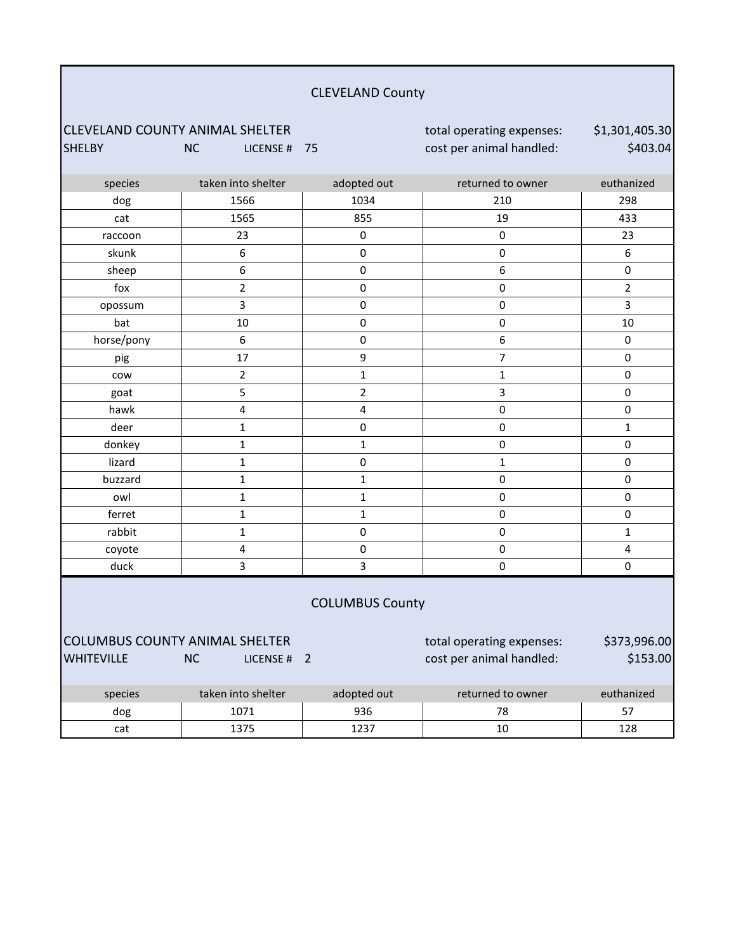#### CLEVELAND County

CLEVELAND COUNTY ANIMAL SHELTER total operating expenses: SHELBY NC LICENSE # 75 cost per animal handled:

\$1,301,405.30 \$403.04

| species                               | taken into shelter      | adopted out            | returned to owner         | euthanized              |
|---------------------------------------|-------------------------|------------------------|---------------------------|-------------------------|
| dog                                   | 1566                    | 1034                   | 210                       | 298                     |
| cat                                   | 1565                    | 855                    | 19                        | 433                     |
| raccoon                               | 23                      | $\pmb{0}$              | $\pmb{0}$                 | 23                      |
| skunk                                 | 6                       | 0                      | $\pmb{0}$                 | 6                       |
| sheep                                 | 6                       | $\mathbf 0$            | $\boldsymbol{6}$          | $\pmb{0}$               |
| fox                                   | $\overline{2}$          | $\mathbf 0$            | $\pmb{0}$                 | $\overline{2}$          |
| opossum                               | $\overline{3}$          | $\pmb{0}$              | $\pmb{0}$                 | 3                       |
| bat                                   | 10                      | $\mathbf 0$            | $\pmb{0}$                 | 10                      |
| horse/pony                            | 6                       | $\mathbf 0$            | 6                         | $\pmb{0}$               |
| pig                                   | 17                      | 9                      | $\overline{7}$            | $\pmb{0}$               |
| cow                                   | $\mathbf 2$             | $\mathbf 1$            | $\mathbf{1}$              | $\pmb{0}$               |
| goat                                  | 5                       | $\overline{2}$         | 3                         | $\mathsf{O}\xspace$     |
| hawk                                  | $\overline{\mathbf{4}}$ | 4                      | $\pmb{0}$                 | $\mathsf{O}\xspace$     |
| deer                                  | $\mathbf{1}$            | $\pmb{0}$              | $\pmb{0}$                 | $\mathbf{1}$            |
| donkey                                | $\mathbf 1$             | $\mathbf{1}$           | $\pmb{0}$                 | $\pmb{0}$               |
| lizard                                | $\mathbf 1$             | $\mathbf 0$            | $\mathbf{1}$              | $\mathbf 0$             |
| buzzard                               | $\mathbf 1$             | $\mathbf 1$            | $\pmb{0}$                 | $\mathsf{O}\xspace$     |
| owl                                   | $\mathbf 1$             | $\mathbf{1}$           | $\pmb{0}$                 | $\pmb{0}$               |
| ferret                                | $\mathbf 1$             | $\mathbf{1}$           | $\pmb{0}$                 | $\mathbf 0$             |
| rabbit                                | $\mathbf{1}$            | $\pmb{0}$              | $\pmb{0}$                 | $\mathbf{1}$            |
| coyote                                | $\pmb{4}$               | $\mathbf 0$            | $\pmb{0}$                 | $\overline{\mathbf{4}}$ |
| duck                                  | $\overline{3}$          | 3                      | $\pmb{0}$                 | $\pmb{0}$               |
|                                       |                         | <b>COLUMBUS County</b> |                           |                         |
| <b>COLUMBUS COUNTY ANIMAL SHELTER</b> |                         |                        | total operating expenses: | \$373,996.00            |
| <b>WHITEVILLE</b>                     | <b>NC</b><br>LICENSE #  | $\overline{2}$         | cost per animal handled:  | \$153.00                |

## species taken into shelter adopted out returned to owner euthanized dog 1071 936 78 57 cat 1375 1237 10 128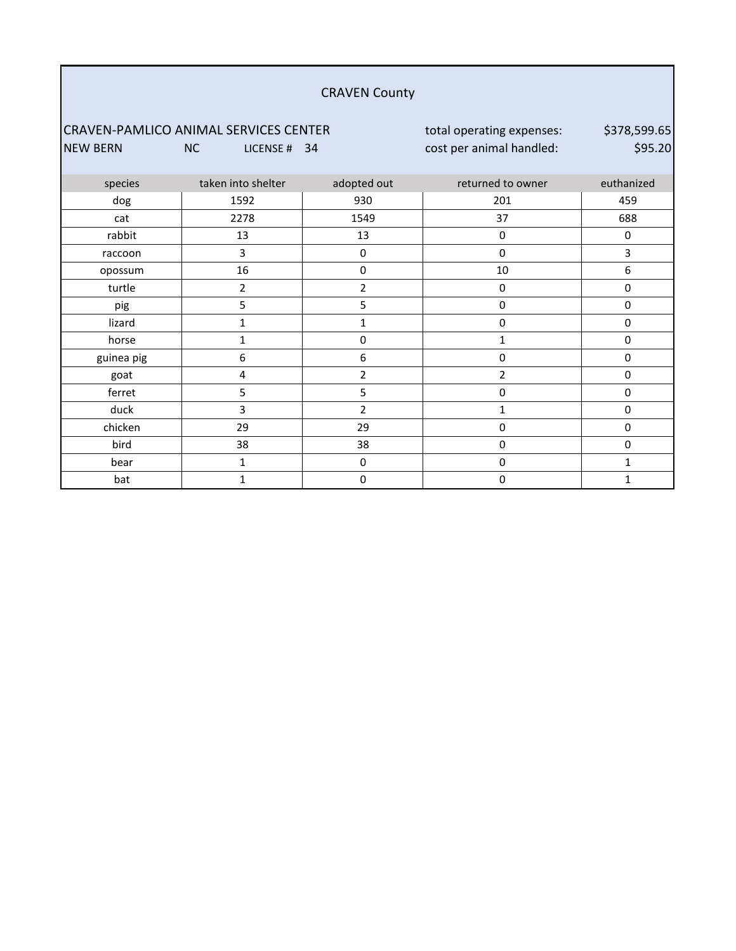#### CRAVEN County

#### CRAVEN-PAMLICO ANIMAL SERVICES CENTER total operating expenses: NEW BERN NC LICENSE # 34 cost per animal handled:

\$378,599.65 \$95.20

| species    | taken into shelter | adopted out      | returned to owner | euthanized |
|------------|--------------------|------------------|-------------------|------------|
| dog        | 1592               | 930              | 201               | 459        |
| cat        | 2278               | 1549             | 37                | 688        |
| rabbit     | 13                 | 13               | $\pmb{0}$         | 0          |
| raccoon    | 3                  | 0                | $\pmb{0}$         | 3          |
| opossum    | $16\,$             | 0                | $10\,$            | 6          |
| turtle     | $\overline{2}$     | $\overline{2}$   | 0                 | 0          |
| pig        | 5                  | $5\phantom{.0}$  | $\pmb{0}$         | 0          |
| lizard     | $\mathbf{1}$       | $\mathbf 1$      | $\pmb{0}$         | 0          |
| horse      | 1                  | $\pmb{0}$        | 1                 | 0          |
| guinea pig | 6                  | $\boldsymbol{6}$ | $\pmb{0}$         | 0          |
| goat       | 4                  | $\overline{2}$   | $\overline{2}$    | 0          |
| ferret     | 5                  | 5                | $\pmb{0}$         | 0          |
| duck       | 3                  | $\overline{2}$   | 1                 | 0          |
| chicken    | 29                 | 29               | $\pmb{0}$         | 0          |
| bird       | 38                 | 38               | $\pmb{0}$         | 0          |
| bear       | 1                  | $\pmb{0}$        | $\pmb{0}$         | 1          |
| bat        | 1                  | $\mathbf 0$      | $\pmb{0}$         | 1          |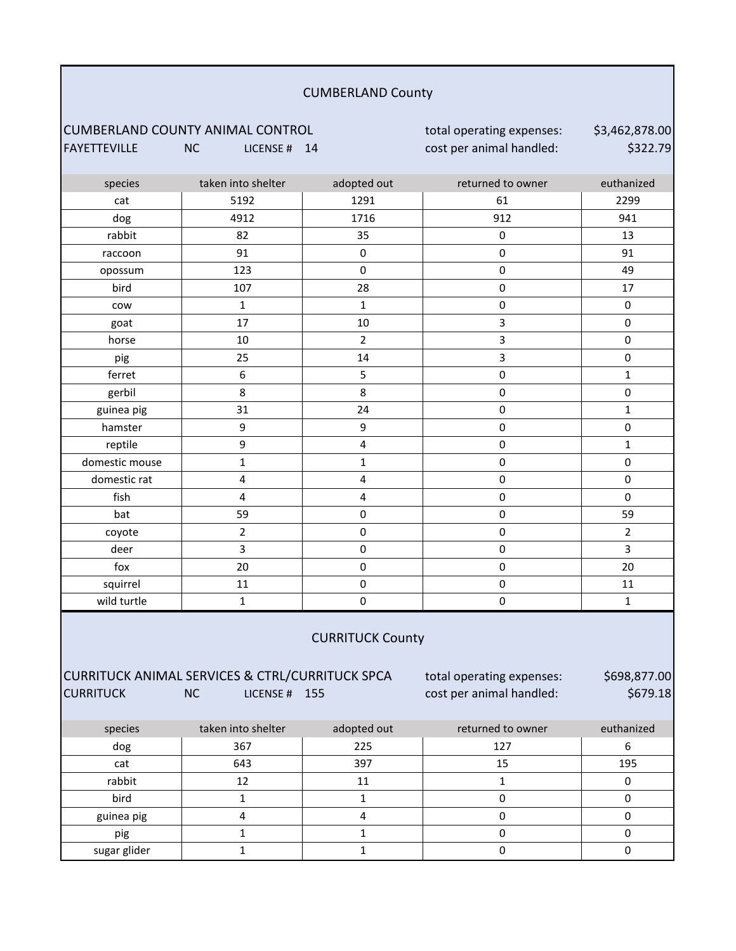#### CUMBERLAND County

# CUMBERLAND COUNTY ANIMAL CONTROL **total operating expenses:**<br>FAYETTEVILLE **NOW THE CONTROL** total operanimal handled:

NC LICENSE # 14 cost per animal handled:

\$3,462,878.00 \$322.79

| species                                                                                                                                                                                | taken into shelter      | adopted out             | returned to owner | euthanized     |  |
|----------------------------------------------------------------------------------------------------------------------------------------------------------------------------------------|-------------------------|-------------------------|-------------------|----------------|--|
| cat                                                                                                                                                                                    | 5192                    | 1291                    | 61                | 2299           |  |
| dog                                                                                                                                                                                    | 4912                    | 1716                    | 912               | 941            |  |
| rabbit                                                                                                                                                                                 | 82                      | 35                      | $\pmb{0}$         | 13             |  |
| raccoon                                                                                                                                                                                | 91                      | $\pmb{0}$               | $\pmb{0}$         | 91             |  |
| opossum                                                                                                                                                                                | 123                     | $\pmb{0}$               | $\pmb{0}$         | 49             |  |
| bird                                                                                                                                                                                   | 107                     | 28                      | $\pmb{0}$         | 17             |  |
| cow                                                                                                                                                                                    | $\mathbf{1}$            | $\mathbf{1}$            | $\pmb{0}$         | $\pmb{0}$      |  |
| goat                                                                                                                                                                                   | 17                      | 10                      | 3                 | $\pmb{0}$      |  |
| horse                                                                                                                                                                                  | 10                      | $\overline{2}$          | 3                 | $\mathbf 0$    |  |
| pig                                                                                                                                                                                    | 25                      | 14                      | 3                 | $\pmb{0}$      |  |
| ferret                                                                                                                                                                                 | $\boldsymbol{6}$        | 5                       | $\pmb{0}$         | $\mathbf{1}$   |  |
| gerbil                                                                                                                                                                                 | 8                       | 8                       | 0                 | 0              |  |
| guinea pig                                                                                                                                                                             | 31                      | 24                      | $\pmb{0}$         | $\mathbf{1}$   |  |
| hamster                                                                                                                                                                                | 9                       | 9                       | $\pmb{0}$         | $\pmb{0}$      |  |
| reptile                                                                                                                                                                                | 9                       | $\overline{\mathbf{4}}$ | $\pmb{0}$         | $\mathbf{1}$   |  |
| domestic mouse                                                                                                                                                                         | $\mathbf 1$             | $\mathbf{1}$            | $\pmb{0}$         | $\pmb{0}$      |  |
| domestic rat                                                                                                                                                                           | $\overline{\mathbf{4}}$ | $\overline{\mathbf{4}}$ | $\pmb{0}$         | $\mathbf 0$    |  |
| fish                                                                                                                                                                                   | $\overline{\mathbf{4}}$ | $\overline{\mathbf{4}}$ | $\pmb{0}$         | $\mathbf 0$    |  |
| bat                                                                                                                                                                                    | 59                      | $\mathsf 0$             | $\pmb{0}$         | 59             |  |
| coyote                                                                                                                                                                                 | $\mathbf 2$             | $\pmb{0}$               | $\mathsf 0$       | $\overline{2}$ |  |
| deer                                                                                                                                                                                   | 3                       | $\mathsf 0$             | $\pmb{0}$         | 3              |  |
| fox                                                                                                                                                                                    | 20                      | $\pmb{0}$               | $\pmb{0}$         | 20             |  |
| squirrel                                                                                                                                                                               | 11                      | $\mathsf 0$             | $\pmb{0}$         | 11             |  |
| wild turtle                                                                                                                                                                            | $\mathbf 1$             | $\pmb{0}$               | $\pmb{0}$         | $\mathbf{1}$   |  |
| <b>CURRITUCK County</b>                                                                                                                                                                |                         |                         |                   |                |  |
| CURRITUCK ANIMAL SERVICES & CTRL/CURRITUCK SPCA<br>\$698,877.00<br>total operating expenses:<br><b>CURRITUCK</b><br>cost per animal handled:<br>\$679.18<br><b>NC</b><br>LICENSE # 155 |                         |                         |                   |                |  |

| species      | taken into shelter | adopted out | returned to owner | euthanized |
|--------------|--------------------|-------------|-------------------|------------|
| dog          | 367                | 225         | 127               |            |
| cat          | 643                | 397         | 15                | 195        |
| rabbit       | 12                 |             |                   |            |
| bird         |                    |             |                   |            |
| guinea pig   |                    |             |                   |            |
| pig          |                    |             |                   |            |
| sugar glider |                    |             |                   |            |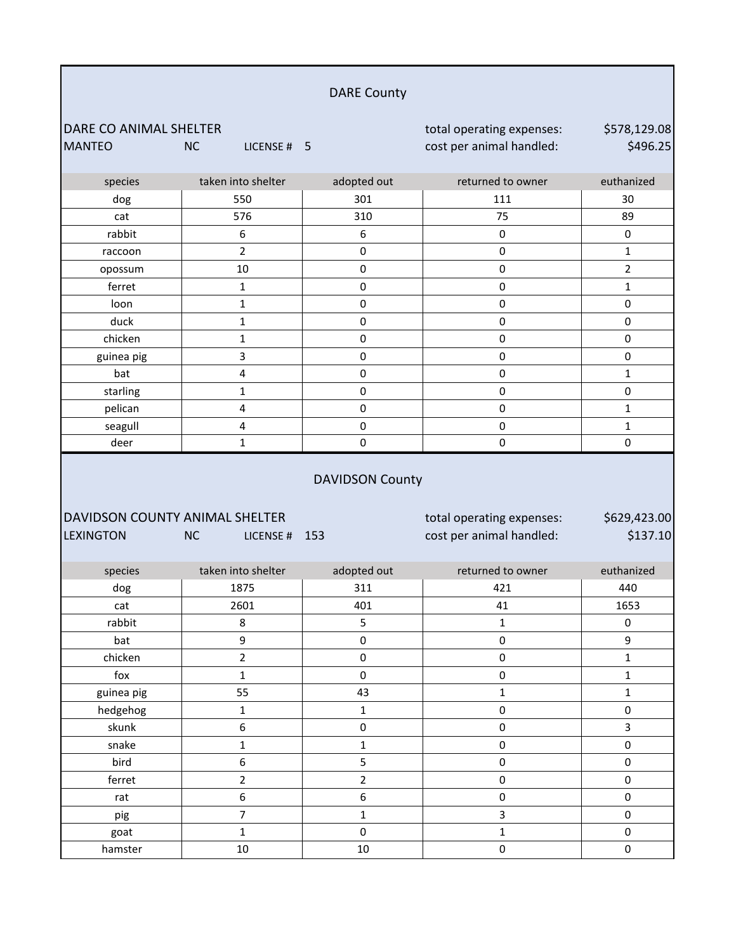|                                                    |                          | <b>DARE County</b>            |                                                       |                          |
|----------------------------------------------------|--------------------------|-------------------------------|-------------------------------------------------------|--------------------------|
| DARE CO ANIMAL SHELTER<br><b>MANTEO</b>            | <b>NC</b><br>LICENSE # 5 |                               | total operating expenses:<br>cost per animal handled: | \$578,129.08<br>\$496.25 |
| species                                            | taken into shelter       | adopted out                   | returned to owner                                     | euthanized               |
| dog                                                | 550                      | 301                           | 111                                                   | 30                       |
| cat                                                | 576                      | 310                           | 75                                                    | 89                       |
| rabbit                                             | 6                        | 6                             | 0                                                     | 0                        |
| raccoon                                            | $\overline{2}$           | $\pmb{0}$                     | $\pmb{0}$                                             | $\mathbf{1}$             |
| opossum                                            | 10                       | $\mathsf 0$                   | $\mathsf 0$                                           | $\overline{2}$           |
| ferret                                             | $\mathbf{1}$             | $\mathsf 0$                   | $\mathsf 0$                                           | $\mathbf{1}$             |
| loon                                               | $\mathbf 1$              | $\pmb{0}$                     | $\pmb{0}$                                             | $\pmb{0}$                |
| duck                                               | 1                        | $\pmb{0}$                     | $\pmb{0}$                                             | 0                        |
| chicken                                            | $\mathbf 1$              | $\pmb{0}$                     | $\pmb{0}$                                             | 0                        |
| guinea pig                                         | 3                        | $\pmb{0}$                     | $\pmb{0}$                                             | 0                        |
| bat                                                | 4                        | 0                             | $\pmb{0}$                                             | $\mathbf{1}$             |
| starling                                           | $\mathbf{1}$             | $\pmb{0}$                     | $\mathsf 0$                                           | $\pmb{0}$                |
| pelican                                            | 4                        | $\pmb{0}$                     | $\pmb{0}$                                             | $\mathbf{1}$             |
| seagull                                            | 4                        | $\pmb{0}$                     | 0                                                     | $\mathbf{1}$             |
| deer                                               | $\mathbf{1}$             | $\mathbf 0$                   | 0                                                     | 0                        |
|                                                    |                          |                               |                                                       |                          |
| DAVIDSON COUNTY ANIMAL SHELTER<br><b>LEXINGTON</b> | <b>NC</b><br>LICENSE #   | <b>DAVIDSON County</b><br>153 | total operating expenses:                             | \$629,423.00<br>\$137.10 |
|                                                    |                          |                               | cost per animal handled:                              |                          |
| species                                            | taken into shelter       | adopted out                   | returned to owner                                     | euthanized               |
| dog                                                | 1875                     | 311                           | 421                                                   | 440                      |
| cat                                                | 2601                     | 401                           | 41                                                    | 1653                     |
| rabbit                                             | 8                        | 5                             | $\mathbf{1}$                                          | 0                        |
| bat                                                | 9                        | $\pmb{0}$                     | $\pmb{0}$                                             | 9                        |
| chicken                                            | $\overline{2}$           | $\mathsf{O}\xspace$           | $\mathsf{O}\xspace$                                   | $\mathbf{1}$             |
| $f$ ox                                             | $\mathbf{1}$             | $\pmb{0}$                     | $\pmb{0}$                                             | $\mathbf 1$              |
| guinea pig                                         | 55                       | 43                            | $\mathbf 1$                                           | $\mathbf 1$              |
| hedgehog                                           | $\mathbf{1}$             | $\mathbf 1$                   | $\pmb{0}$                                             | 0                        |
| skunk                                              | 6                        | $\pmb{0}$                     | $\pmb{0}$                                             | $\overline{\mathbf{3}}$  |
| snake                                              | $\mathbf 1$              | $\mathbf 1$                   | 0                                                     | 0                        |
| bird                                               | 6                        | 5                             | $\pmb{0}$                                             | $\pmb{0}$                |
| ferret                                             | $\overline{2}$           | $\overline{2}$                | $\pmb{0}$                                             | 0                        |
| rat                                                | 6                        | $\boldsymbol{6}$              | $\pmb{0}$                                             | 0                        |
| pig                                                | $\overline{7}$           | $\mathbf 1$                   | 3                                                     | $\pmb{0}$                |
| goat                                               | $\mathbf{1}$<br>$10\,$   | $\mathsf{O}\xspace$<br>10     | $\mathbf 1$<br>$\pmb{0}$                              | $\pmb{0}$<br>$\pmb{0}$   |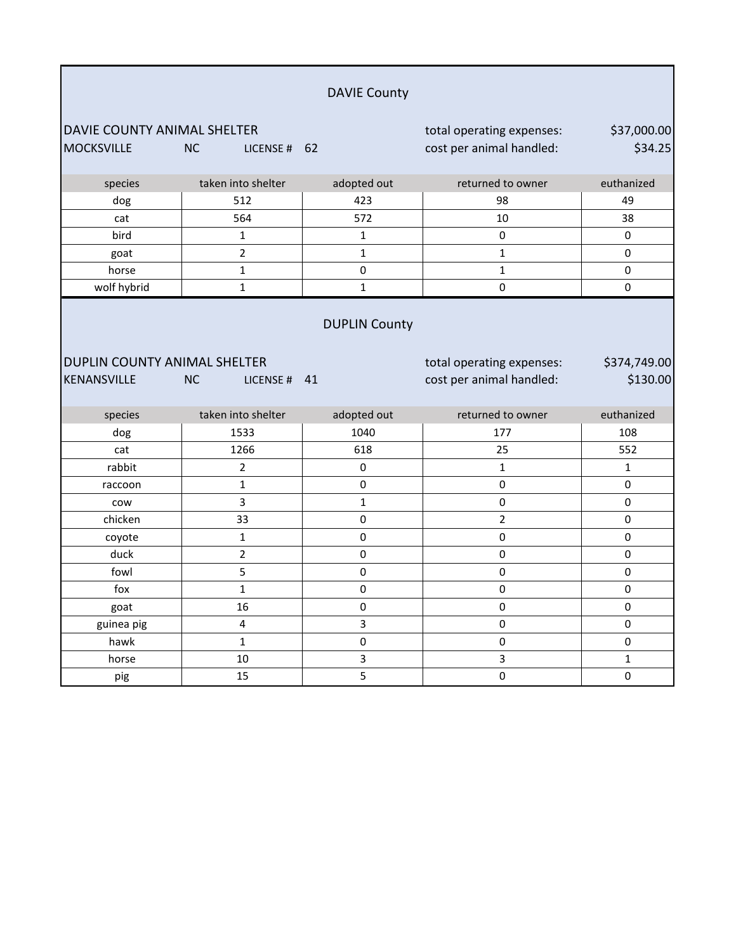|                                                  |                             | <b>DAVIE County</b>  |                                                       |                          |
|--------------------------------------------------|-----------------------------|----------------------|-------------------------------------------------------|--------------------------|
| DAVIE COUNTY ANIMAL SHELTER<br><b>MOCKSVILLE</b> | <b>NC</b><br>LICENSE # 62   |                      | total operating expenses:<br>cost per animal handled: | \$37,000.00<br>\$34.25   |
| species                                          | taken into shelter          | adopted out          | returned to owner                                     | euthanized               |
| dog                                              | 512                         | 423                  | 98                                                    | 49                       |
| cat                                              | 564                         | 572                  | 10                                                    | 38                       |
| bird                                             | $\mathbf{1}$                | $\mathbf{1}$         | 0                                                     | 0                        |
| goat                                             | $\overline{2}$              | $\mathbf{1}$         | $\mathbf{1}$                                          | 0                        |
| horse                                            | 1                           | $\mathbf 0$          | $\mathbf{1}$                                          | $\mathbf 0$              |
| wolf hybrid                                      | $\mathbf{1}$                | $\mathbf{1}$         | $\Omega$                                              | $\Omega$                 |
| DUPLIN COUNTY ANIMAL SHELTER<br>KENANSVILLE      | <b>NC</b><br>LICENSE # $41$ | <b>DUPLIN County</b> | total operating expenses:<br>cost per animal handled: | \$374,749.00<br>\$130.00 |
| species                                          | taken into shelter          | adopted out          | returned to owner                                     | euthanized               |
| dog                                              | 1533                        | 1040                 | 177                                                   | 108                      |
| cat                                              | 1266                        | 618                  | 25                                                    | 552                      |
| rabbit                                           | $\overline{2}$              | 0                    | $\mathbf{1}$                                          | $\mathbf{1}$             |
| raccoon                                          | 1                           | 0                    | 0                                                     | 0                        |
| cow                                              | 3                           | $\mathbf 1$          | $\Omega$                                              | 0                        |
| chicken                                          | 33                          | 0                    | $\overline{2}$                                        | 0                        |
| coyote                                           | 1                           | 0                    | 0                                                     | 0                        |
| duck                                             | $\overline{2}$              | $\mathbf 0$          | $\mathbf 0$                                           | $\mathbf 0$              |
| fowl                                             | 5                           | 0                    | $\pmb{0}$                                             | 0                        |
| fox                                              | $\mathbf{1}$                | $\mathbf 0$          | 0                                                     | $\mathbf 0$              |
| goat                                             | 16                          | 0                    | 0                                                     | 0                        |
| guinea pig                                       | $\overline{\mathbf{4}}$     | 3                    | 0                                                     | $\pmb{0}$                |
| hawk                                             | $\mathbf{1}$                | $\mathsf 0$          | $\pmb{0}$                                             | $\pmb{0}$                |
| horse                                            | 10                          | 3                    | $\overline{3}$                                        | $\mathbf{1}$             |
| pig                                              | 15                          | 5                    | $\mathbf 0$                                           | $\mathbf 0$              |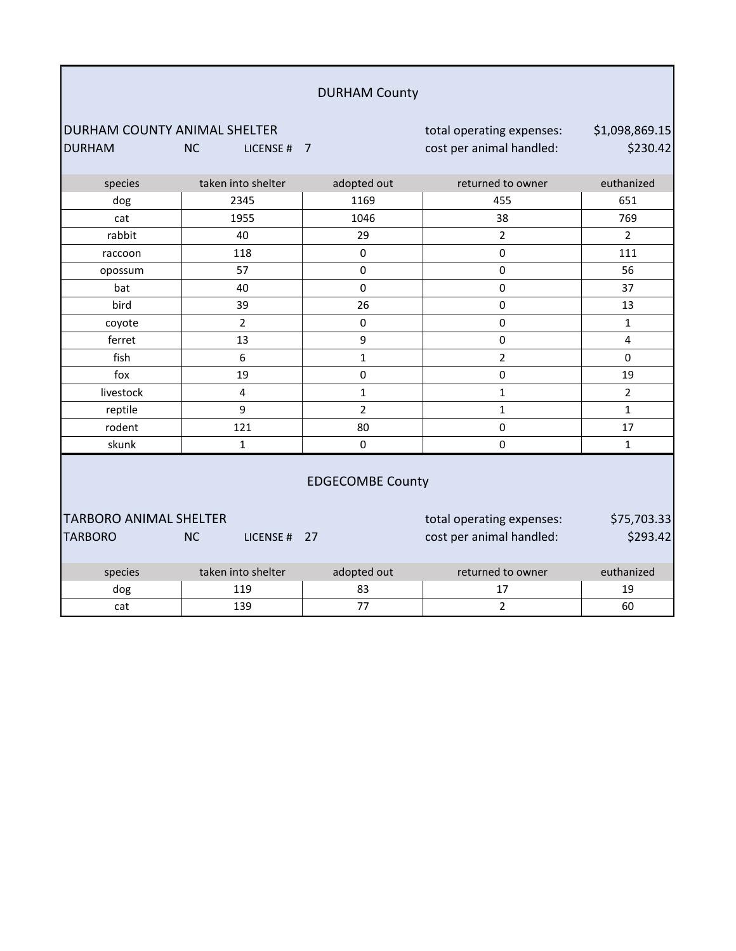|                                                 |                          | <b>DURHAM County</b>    |                                                       |                            |
|-------------------------------------------------|--------------------------|-------------------------|-------------------------------------------------------|----------------------------|
| DURHAM COUNTY ANIMAL SHELTER<br><b>DURHAM</b>   | <b>NC</b><br>LICENSE # 7 |                         | total operating expenses:<br>cost per animal handled: | \$1,098,869.15<br>\$230.42 |
| species                                         | taken into shelter       | adopted out             | returned to owner                                     | euthanized                 |
| dog                                             | 2345                     | 1169                    | 455                                                   | 651                        |
| cat                                             | 1955                     | 1046                    | 38                                                    | 769                        |
| rabbit                                          | 40                       | 29                      | $\overline{2}$                                        | $\overline{2}$             |
| raccoon                                         | 118                      | $\mathbf 0$             | $\mathbf 0$                                           | 111                        |
| opossum                                         | 57                       | $\pmb{0}$               | $\pmb{0}$                                             | 56                         |
| bat                                             | 40                       | $\Omega$                | $\mathbf 0$                                           | 37                         |
| bird                                            | 39                       | 26                      | $\pmb{0}$                                             | 13                         |
| coyote                                          | $\overline{2}$           | $\mathbf 0$             | $\pmb{0}$                                             | $\mathbf{1}$               |
| ferret                                          | 13                       | 9                       | $\pmb{0}$                                             | $\overline{4}$             |
| fish                                            | 6                        | $\mathbf{1}$            | $\overline{2}$                                        | $\mathbf 0$                |
| fox                                             | 19                       | 0                       | $\pmb{0}$                                             | 19                         |
| livestock                                       | 4                        | $\mathbf{1}$            | $\mathbf{1}$                                          | $\overline{2}$             |
| reptile                                         | 9                        | $\overline{2}$          | $\mathbf 1$                                           | $\mathbf{1}$               |
| rodent                                          | 121                      | 80                      | 0                                                     | 17                         |
| skunk                                           | $\mathbf{1}$             | 0                       | $\Omega$                                              | $\mathbf{1}$               |
|                                                 |                          | <b>EDGECOMBE County</b> |                                                       |                            |
| <b>TARBORO ANIMAL SHELTER</b><br><b>TARBORO</b> | <b>NC</b><br>LICENSE #   | 27                      | total operating expenses:<br>cost per animal handled: | \$75,703.33<br>\$293.42    |
| species                                         | taken into shelter       | adopted out             | returned to owner                                     | euthanized                 |
| dog                                             | 119                      | 83                      | 17                                                    | 19                         |
| cat                                             | 139                      | 77                      | $\overline{2}$                                        | 60                         |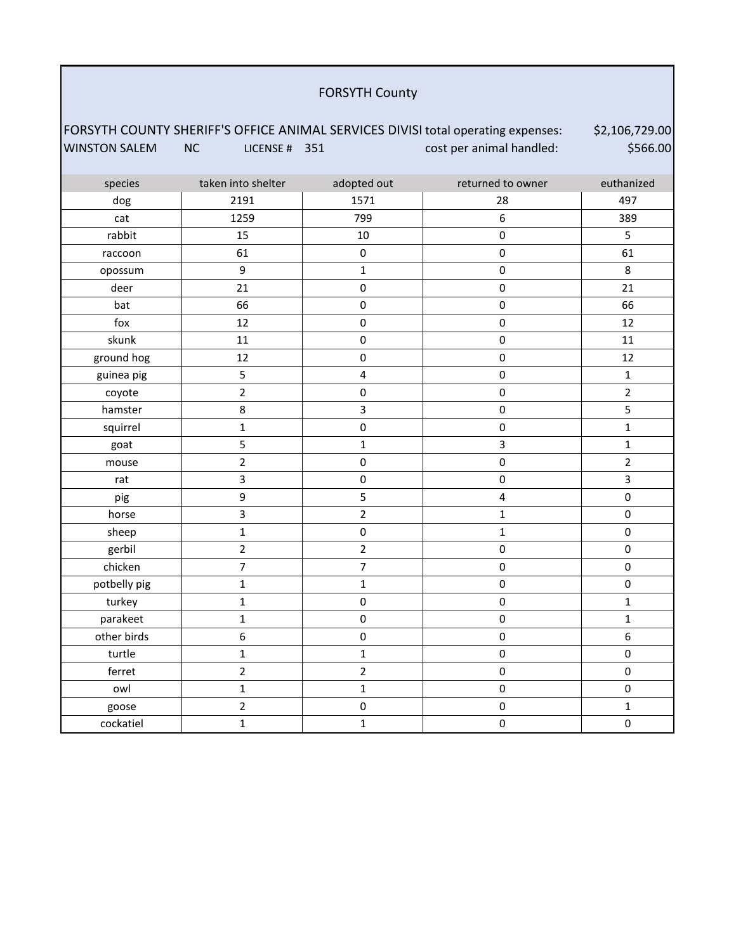#### FORSYTH County

#### FORSYTH COUNTY SHERIFF'S OFFICE ANIMAL SERVICES DIVISI total operating expenses: WINSTON SALEM NC LICENSE # 351 cost per animal handled: \$2,106,729.00 \$566.00

| species      | taken into shelter | adopted out    | returned to owner       | euthanized     |
|--------------|--------------------|----------------|-------------------------|----------------|
| dog          | 2191               | 1571           | 28                      | 497            |
| cat          | 1259               | 799            | $\boldsymbol{6}$        | 389            |
| rabbit       | 15                 | 10             | $\pmb{0}$               | 5              |
| raccoon      | 61                 | $\mathbf 0$    | $\pmb{0}$               | 61             |
| opossum      | $\mathsf g$        | $\mathbf 1$    | $\pmb{0}$               | 8              |
| deer         | 21                 | $\mathbf 0$    | $\pmb{0}$               | 21             |
| bat          | 66                 | $\mathbf 0$    | $\pmb{0}$               | 66             |
| fox          | 12                 | $\pmb{0}$      | $\pmb{0}$               | 12             |
| skunk        | 11                 | $\pmb{0}$      | $\pmb{0}$               | 11             |
| ground hog   | 12                 | $\mathsf 0$    | $\pmb{0}$               | 12             |
| guinea pig   | 5                  | $\pmb{4}$      | $\pmb{0}$               | $\mathbf{1}$   |
| coyote       | $\overline{2}$     | $\pmb{0}$      | $\pmb{0}$               | $\overline{2}$ |
| hamster      | $\bf 8$            | 3              | $\pmb{0}$               | 5              |
| squirrel     | $\mathbf{1}$       | $\mathbf 0$    | $\pmb{0}$               | $\mathbf{1}$   |
| goat         | 5                  | $\mathbf{1}$   | $\overline{\mathbf{3}}$ | $\mathbf{1}$   |
| mouse        | $\overline{2}$     | $\mathsf 0$    | $\pmb{0}$               | $\overline{2}$ |
| rat          | 3                  | $\mathbf 0$    | $\pmb{0}$               | 3              |
| pig          | 9                  | $\mathsf S$    | $\pmb{4}$               | $\mathsf 0$    |
| horse        | 3                  | $\mathbf 2$    | $\mathbf 1$             | $\pmb{0}$      |
| sheep        | $\mathbf{1}$       | $\pmb{0}$      | $\mathbf{1}$            | $\pmb{0}$      |
| gerbil       | $\overline{2}$     | $\overline{2}$ | $\pmb{0}$               | $\pmb{0}$      |
| chicken      | $\overline{7}$     | $\overline{7}$ | $\pmb{0}$               | $\pmb{0}$      |
| potbelly pig | $\mathbf 1$        | $\mathbf{1}$   | $\pmb{0}$               | 0              |
| turkey       | $\mathbf 1$        | $\mathbf 0$    | $\pmb{0}$               | $\mathbf{1}$   |
| parakeet     | $\mathbf 1$        | $\mathbf 0$    | $\pmb{0}$               | $\mathbf{1}$   |
| other birds  | 6                  | $\mathbf 0$    | $\pmb{0}$               | 6              |
| turtle       | $\mathbf{1}$       | $\mathbf{1}$   | $\pmb{0}$               | $\pmb{0}$      |
| ferret       | $\overline{2}$     | $\overline{2}$ | $\pmb{0}$               | $\mathsf 0$    |
| owl          | $\mathbf 1$        | $\mathbf{1}$   | $\pmb{0}$               | $\pmb{0}$      |
| goose        | $\overline{2}$     | $\mathbf 0$    | $\pmb{0}$               | $\mathbf{1}$   |
| cockatiel    | $\mathbf 1$        | $\mathbf 1$    | $\pmb{0}$               | $\mathsf 0$    |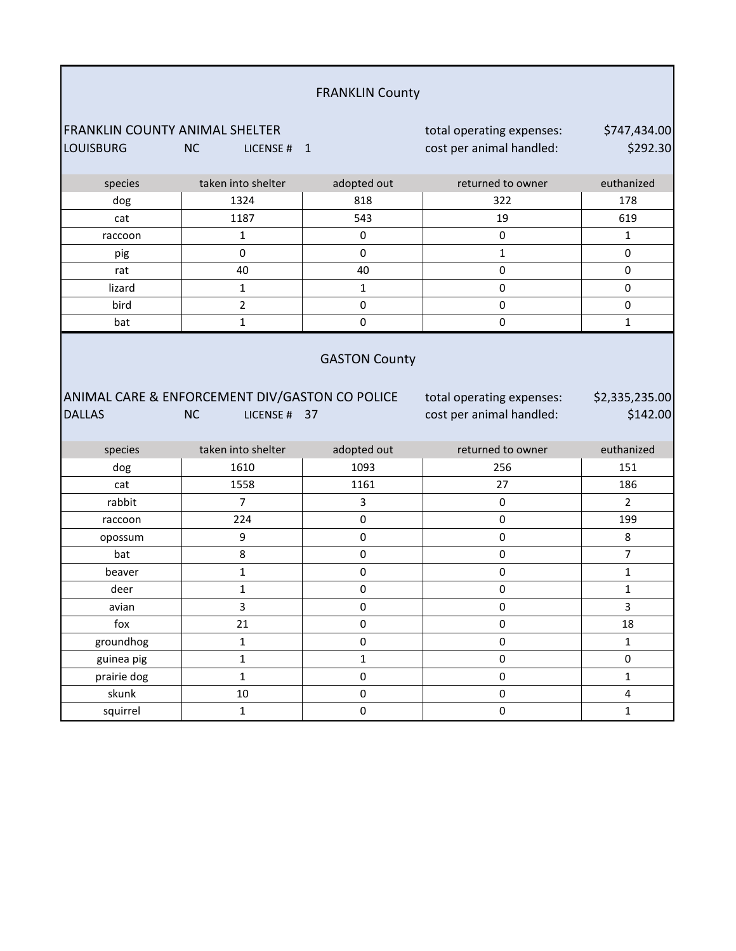|                                       |                                                | <b>FRANKLIN County</b>    |                           |                                     |
|---------------------------------------|------------------------------------------------|---------------------------|---------------------------|-------------------------------------|
| <b>FRANKLIN COUNTY ANIMAL SHELTER</b> |                                                |                           | total operating expenses: | \$747,434.00                        |
| <b>LOUISBURG</b>                      | NC<br>LICENSE # 1                              |                           | cost per animal handled:  | \$292.30                            |
| species                               | taken into shelter                             | adopted out               | returned to owner         | euthanized                          |
| dog                                   | 1324                                           | 818                       | 322                       | 178                                 |
| cat                                   | 1187                                           | 543                       | 19                        | 619                                 |
| raccoon                               | $\mathbf{1}$                                   | $\mathsf{O}\xspace$       | 0                         | $\mathbf{1}$                        |
| pig                                   | 0                                              | $\pmb{0}$                 | $\mathbf 1$               | 0                                   |
| rat                                   | 40                                             | 40                        | $\mathbf 0$               | 0                                   |
| lizard                                | 1                                              | $\mathbf{1}$              | $\mathbf 0$               | 0                                   |
| bird                                  | 2                                              | $\pmb{0}$                 | $\pmb{0}$                 | 0                                   |
| bat                                   | $\mathbf 1$                                    | $\mathsf 0$               | $\pmb{0}$                 | $\mathbf{1}$                        |
|                                       | ANIMAL CARE & ENFORCEMENT DIV/GASTON CO POLICE | <b>GASTON County</b>      | total operating expenses: | \$2,335,235.00                      |
| <b>DALLAS</b>                         | <b>NC</b><br>LICENSE # 37                      |                           | cost per animal handled:  | \$142.00                            |
| species                               | taken into shelter                             | adopted out               | returned to owner         | euthanized                          |
| dog                                   | 1610                                           | 1093                      | 256                       | 151                                 |
| cat                                   | 1558                                           | 1161                      | 27                        | 186                                 |
| rabbit                                | $\overline{7}$                                 | 3                         | 0                         | $\overline{2}$                      |
| raccoon                               | 224                                            | 0                         | $\pmb{0}$                 | 199                                 |
| opossum                               | 9                                              | 0                         | $\mathbf 0$               | 8                                   |
| bat                                   | 8                                              | $\mathbf 0$               | $\mathbf 0$               | $\overline{7}$                      |
| beaver                                | 1                                              | 0                         | $\pmb{0}$                 | 1                                   |
| deer                                  | 1                                              | $\pmb{0}$                 | $\pmb{0}$                 | $\mathbf{1}$                        |
| avian                                 | 3                                              | $\pmb{0}$                 | $\pmb{0}$                 | 3                                   |
| fox                                   | 21                                             | $\mathsf{O}\xspace$       | $\pmb{0}$                 | 18                                  |
| groundhog                             | $\mathbf{1}$                                   | $\mathsf{O}\xspace$       | $\mathsf{O}\xspace$       | $\mathbf{1}$                        |
| guinea pig                            | $\mathbf{1}$<br>$\mathbf 1$                    | $\mathbf{1}$<br>$\pmb{0}$ | $\pmb{0}$<br>$\pmb{0}$    | $\mathsf{O}\xspace$<br>$\mathbf{1}$ |
| prairie dog<br>skunk                  | $10\,$                                         | $\mathbf 0$               | $\mathsf{O}\xspace$       | $\overline{4}$                      |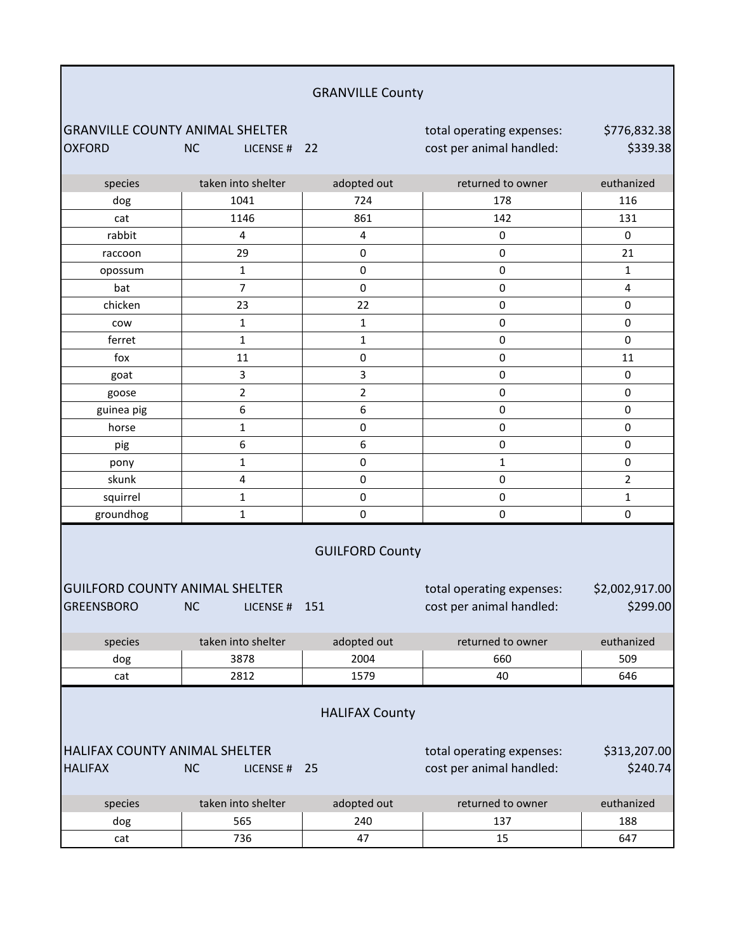|                                                            |                            | <b>GRANVILLE County</b>     |                                                       |                            |
|------------------------------------------------------------|----------------------------|-----------------------------|-------------------------------------------------------|----------------------------|
| <b>GRANVILLE COUNTY ANIMAL SHELTER</b><br><b>OXFORD</b>    | <b>NC</b><br>LICENSE # 22  |                             | total operating expenses:<br>cost per animal handled: | \$776,832.38<br>\$339.38   |
| species                                                    | taken into shelter         | adopted out                 | returned to owner                                     | euthanized                 |
| dog                                                        | 1041                       | 724                         | 178                                                   | 116                        |
| cat                                                        | 1146                       | 861                         | 142                                                   | 131                        |
| rabbit                                                     | 4                          | 4                           | 0                                                     | $\pmb{0}$                  |
| raccoon                                                    | 29                         | 0                           | $\pmb{0}$                                             | 21                         |
| opossum                                                    | $\mathbf 1$                | 0                           | 0                                                     | $\mathbf{1}$               |
| bat                                                        | 7                          | 0                           | 0                                                     | 4                          |
| chicken                                                    | 23                         | 22                          | 0                                                     | $\pmb{0}$                  |
| cow                                                        | $\mathbf{1}$               | 1                           | $\mathbf 0$                                           | $\mathbf 0$                |
| ferret                                                     | 1                          | $\mathbf{1}$                | 0                                                     | 0                          |
| fox                                                        | 11                         | 0                           | 0                                                     | 11                         |
| goat                                                       | 3                          | 3                           | $\pmb{0}$                                             | $\pmb{0}$                  |
| goose                                                      | 2                          | 2                           | 0                                                     | $\pmb{0}$                  |
| guinea pig                                                 | 6                          | 6                           | 0                                                     | $\pmb{0}$                  |
| horse                                                      | $\mathbf 1$                | 0                           | $\mathbf 0$                                           | 0                          |
| pig                                                        | 6                          | 6                           | 0                                                     | 0                          |
| pony                                                       | 1                          | 0                           | $\mathbf 1$                                           | $\pmb{0}$                  |
| skunk                                                      | 4                          | 0                           | $\pmb{0}$                                             | $\overline{2}$             |
| squirrel                                                   | 1                          | 0                           | 0                                                     | $\mathbf 1$                |
| groundhog                                                  | $\mathbf{1}$               | 0                           | 0                                                     | 0                          |
| <b>GUILFORD COUNTY ANIMAL SHELTER</b><br><b>GREENSBORO</b> | <b>NC</b><br>LICENSE # 151 | <b>GUILFORD County</b>      | total operating expenses:<br>cost per animal handled: | \$2,002,917.00<br>\$299.00 |
| species                                                    | taken into shelter         | adopted out                 | returned to owner                                     | euthanized                 |
| dog                                                        | 3878                       | 2004                        | 660                                                   | 509                        |
| cat                                                        | 2812                       | 1579                        | 40                                                    | 646                        |
| HALIFAX COUNTY ANIMAL SHELTER<br><b>HALIFAX</b>            | <b>NC</b><br>LICENSE #     | <b>HALIFAX County</b><br>25 | total operating expenses:<br>cost per animal handled: | \$313,207.00<br>\$240.74]  |
| species                                                    | taken into shelter         | adopted out                 | returned to owner                                     | euthanized                 |
| dog                                                        | 565                        | 240                         | 137                                                   | 188                        |
| cat                                                        | 736                        | 47                          | 15                                                    | 647                        |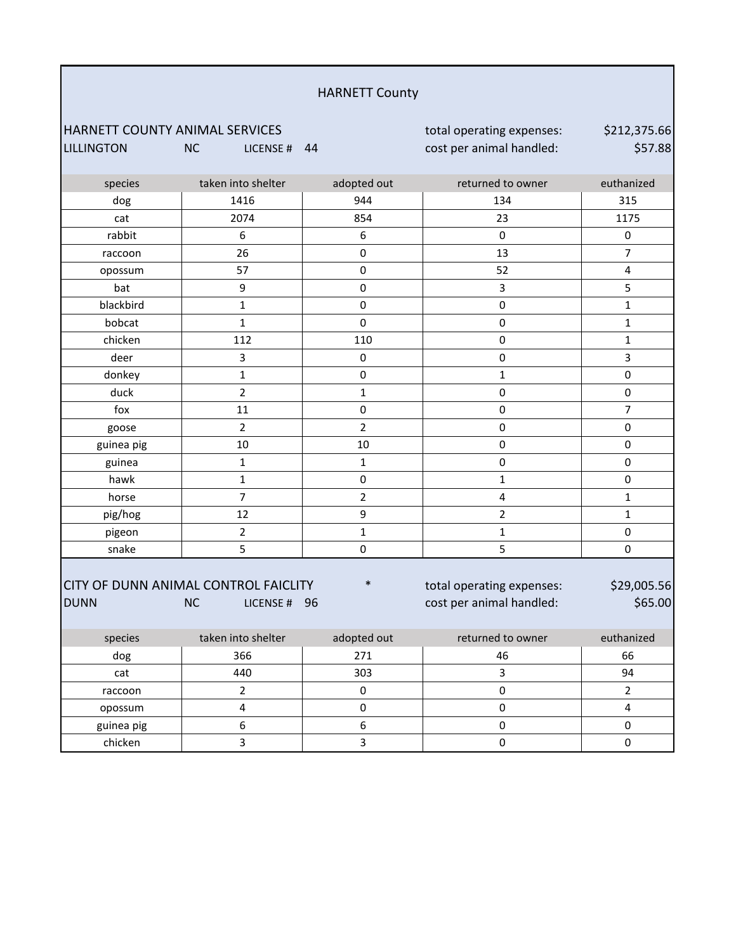#### HARNETT County

#### HARNETT COUNTY ANIMAL SERVICES **total operating expenses:** LILLINGTON NC LICENSE # 44 cost per animal handled:

\$212,375.66 \$57.88

| species     | taken into shelter                                                | adopted out      | returned to owner                                     | euthanized              |
|-------------|-------------------------------------------------------------------|------------------|-------------------------------------------------------|-------------------------|
| dog         | 1416                                                              | 944              | 134                                                   | 315                     |
| cat         | 2074                                                              | 854              | 23                                                    | 1175                    |
| rabbit      | 6                                                                 | 6                | $\pmb{0}$                                             | $\pmb{0}$               |
| raccoon     | 26                                                                | $\mathsf 0$      | 13                                                    | $\overline{7}$          |
| opossum     | 57                                                                | $\mathsf 0$      | 52                                                    | $\overline{\mathbf{4}}$ |
| bat         | 9                                                                 | $\pmb{0}$        | 3                                                     | 5                       |
| blackbird   | $\mathbf 1$                                                       | $\pmb{0}$        | $\pmb{0}$                                             | $\mathbf 1$             |
| bobcat      | $\mathbf{1}$                                                      | $\mathbf 0$      | $\pmb{0}$                                             | $\mathbf{1}$            |
| chicken     | 112                                                               | 110              | $\pmb{0}$                                             | $\mathbf{1}$            |
| deer        | $\overline{\mathbf{3}}$                                           | $\pmb{0}$        | $\pmb{0}$                                             | $\overline{\mathbf{3}}$ |
| donkey      | $\mathbf 1$                                                       | $\mathsf 0$      | $\mathbf{1}$                                          | $\pmb{0}$               |
| duck        | $\overline{2}$                                                    | $\mathbf 1$      | $\mathbf 0$                                           | $\mathbf 0$             |
| fox         | 11                                                                | $\pmb{0}$        | $\pmb{0}$                                             | $\overline{7}$          |
| goose       | $\overline{2}$                                                    | $\overline{2}$   | $\pmb{0}$                                             | $\pmb{0}$               |
| guinea pig  | 10                                                                | $10\,$           | $\pmb{0}$                                             | $\pmb{0}$               |
| guinea      | $\mathbf{1}$                                                      | $\mathbf{1}$     | 0                                                     | $\pmb{0}$               |
| hawk        | $\mathbf 1$                                                       | $\mathbf 0$      | $\mathbf 1$                                           | $\mathsf{O}\xspace$     |
| horse       | $\overline{7}$                                                    | $\overline{2}$   | $\overline{\mathbf{4}}$                               | $\mathbf{1}$            |
| pig/hog     | 12                                                                | 9                | $\overline{2}$                                        | $\mathbf{1}$            |
| pigeon      | $\overline{2}$                                                    | $\mathbf{1}$     | $\mathbf 1$                                           | $\pmb{0}$               |
| snake       | 5                                                                 | $\mathbf 0$      | 5                                                     | $\pmb{0}$               |
| <b>DUNN</b> | CITY OF DUNN ANIMAL CONTROL FAICLITY<br><b>NC</b><br>LICENSE # 96 | $\ast$           | total operating expenses:<br>cost per animal handled: | \$29,005.56<br>\$65.00  |
| species     | taken into shelter                                                | adopted out      | returned to owner                                     | euthanized              |
| dog         | 366                                                               | 271              | 46                                                    | 66                      |
| cat         | 440                                                               | 303              | 3                                                     | 94                      |
| raccoon     | $\overline{2}$                                                    | $\pmb{0}$        | $\pmb{0}$                                             | $\overline{2}$          |
| opossum     | $\overline{\mathbf{4}}$                                           | $\pmb{0}$        | $\pmb{0}$                                             | $\overline{\mathbf{4}}$ |
| guinea pig  | 6                                                                 | $\boldsymbol{6}$ | $\pmb{0}$                                             | $\pmb{0}$               |
| chicken     | 3                                                                 | 3                | $\mathbf 0$                                           | $\pmb{0}$               |
|             |                                                                   |                  |                                                       |                         |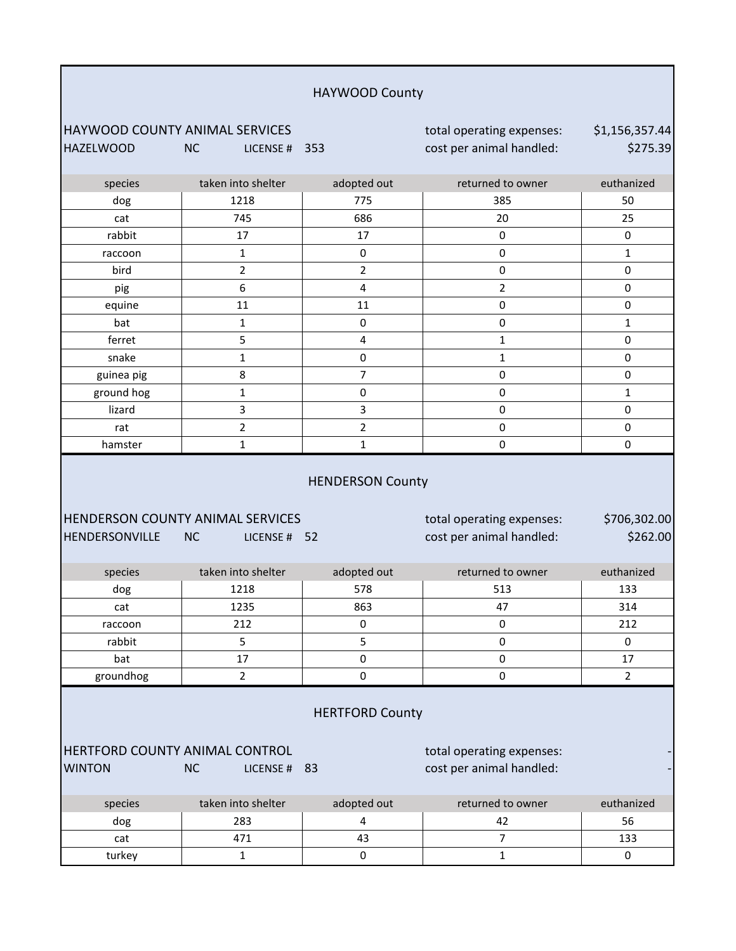| HAYWOOD County                                                                                                                                                                                    |                            |                |                                                       |                            |  |
|---------------------------------------------------------------------------------------------------------------------------------------------------------------------------------------------------|----------------------------|----------------|-------------------------------------------------------|----------------------------|--|
| HAYWOOD COUNTY ANIMAL SERVICES<br><b>HAZELWOOD</b>                                                                                                                                                | <b>NC</b><br>LICENSE # 353 |                | total operating expenses:<br>cost per animal handled: | \$1,156,357.44<br>\$275.39 |  |
| species                                                                                                                                                                                           | taken into shelter         | adopted out    | returned to owner                                     | euthanized                 |  |
| dog                                                                                                                                                                                               | 1218                       | 775            | 385                                                   | 50                         |  |
| cat                                                                                                                                                                                               | 745                        | 686            | 20                                                    | 25                         |  |
| rabbit                                                                                                                                                                                            | 17                         | 17             | $\pmb{0}$                                             | $\mathsf 0$                |  |
| raccoon                                                                                                                                                                                           | 1                          | $\pmb{0}$      | $\pmb{0}$                                             | $\mathbf{1}$               |  |
| bird                                                                                                                                                                                              | $\overline{2}$             | $\overline{2}$ | $\pmb{0}$                                             | $\pmb{0}$                  |  |
| pig                                                                                                                                                                                               | 6                          | 4              | $\overline{2}$                                        | $\pmb{0}$                  |  |
| equine                                                                                                                                                                                            | 11                         | 11             | $\pmb{0}$                                             | $\pmb{0}$                  |  |
| bat                                                                                                                                                                                               | $\mathbf 1$                | 0              | 0                                                     | $\mathbf{1}$               |  |
| ferret                                                                                                                                                                                            | 5                          | $\pmb{4}$      | $\mathbf{1}$                                          | $\pmb{0}$                  |  |
| snake                                                                                                                                                                                             | $\mathbf 1$                | $\pmb{0}$      | $\mathbf 1$                                           | $\pmb{0}$                  |  |
| guinea pig                                                                                                                                                                                        | 8                          | $\overline{7}$ | $\pmb{0}$                                             | $\mathbf 0$                |  |
| ground hog                                                                                                                                                                                        | 1                          | 0              | 0                                                     | 1                          |  |
| lizard                                                                                                                                                                                            | 3                          | $\mathbf{3}$   | 0                                                     | $\pmb{0}$                  |  |
| rat                                                                                                                                                                                               | $\overline{2}$             | $\mathbf 2$    | $\pmb{0}$                                             | $\pmb{0}$                  |  |
| hamster                                                                                                                                                                                           | 1                          | 1              | $\pmb{0}$                                             | $\pmb{0}$                  |  |
| <b>HENDERSON County</b><br>HENDERSON COUNTY ANIMAL SERVICES<br>total operating expenses:<br>\$706,302.00<br>cost per animal handled:<br>\$262.00<br>HENDERSONVILLE<br><b>NC</b><br>52<br>LICENSE# |                            |                |                                                       |                            |  |
| species                                                                                                                                                                                           | taken into shelter         | adopted out    | returned to owner                                     | euthanized                 |  |
| dog                                                                                                                                                                                               | 1218                       | 578            | 513                                                   | 133                        |  |
| cat                                                                                                                                                                                               | 1235                       | 863            | 47                                                    | 314                        |  |
| raccoon                                                                                                                                                                                           | 212                        | $\Omega$       | 0                                                     | 212                        |  |
| rabbit                                                                                                                                                                                            | 5                          | 5              | $\pmb{0}$                                             | 0                          |  |
| bat                                                                                                                                                                                               | 17                         | $\pmb{0}$      | $\pmb{0}$                                             | 17                         |  |
| groundhog                                                                                                                                                                                         | 2                          | $\mathbf 0$    | $\mathbf 0$                                           | $\overline{2}$             |  |
| <b>HERTFORD County</b><br>HERTFORD COUNTY ANIMAL CONTROL<br>total operating expenses:<br>cost per animal handled:<br><b>WINTON</b><br><b>NC</b><br>LICENSE # 83                                   |                            |                |                                                       |                            |  |
| species                                                                                                                                                                                           | taken into shelter         | adopted out    | returned to owner                                     | euthanized                 |  |
| dog                                                                                                                                                                                               | 283                        | 4              | 42                                                    | 56                         |  |
| cat                                                                                                                                                                                               | 471                        | 43             | $\overline{7}$                                        | 133                        |  |
| turkey                                                                                                                                                                                            | $\mathbf{1}$               | $\pmb{0}$      | $\mathbf 1$                                           | $\pmb{0}$                  |  |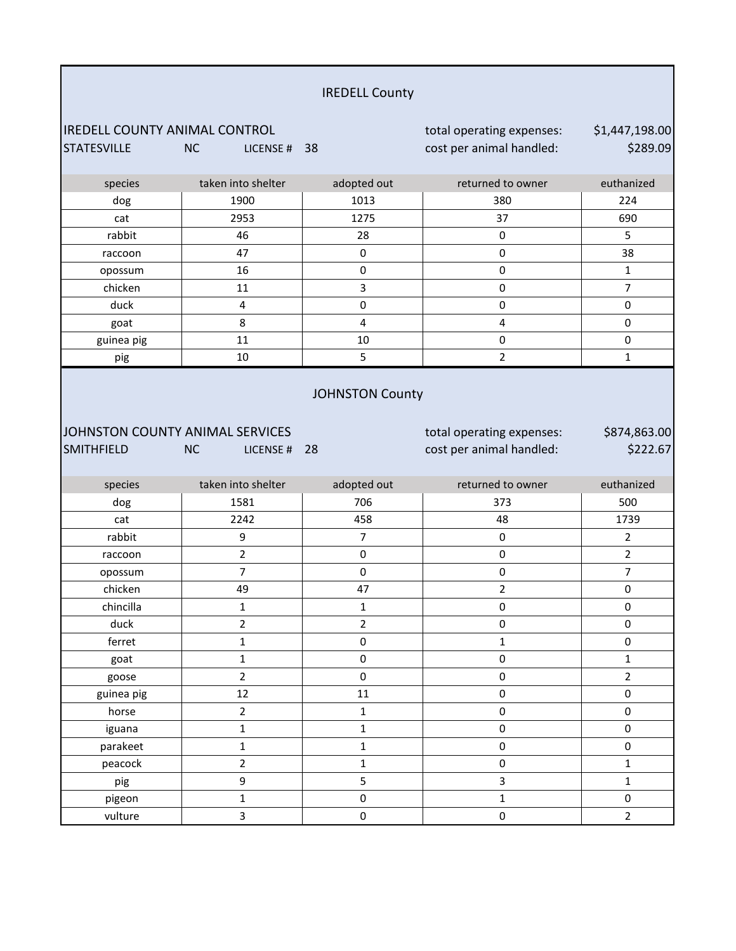|                                                            |                        | <b>IREDELL County</b> |                                                       |                            |
|------------------------------------------------------------|------------------------|-----------------------|-------------------------------------------------------|----------------------------|
|                                                            |                        |                       |                                                       |                            |
| <b>IREDELL COUNTY ANIMAL CONTROL</b><br><b>STATESVILLE</b> | <b>NC</b><br>LICENSE # | 38                    | total operating expenses:<br>cost per animal handled: | \$1,447,198.00<br>\$289.09 |
| species                                                    | taken into shelter     | adopted out           | returned to owner                                     | euthanized                 |
| dog                                                        | 1900                   | 1013                  | 380                                                   | 224                        |
| cat                                                        | 2953                   | 1275                  | 37                                                    | 690                        |
| rabbit                                                     | 46                     | 28                    | 0                                                     | 5                          |
| raccoon                                                    | 47                     | $\pmb{0}$             | $\pmb{0}$                                             | 38                         |
| opossum                                                    | 16                     | $\pmb{0}$             | $\pmb{0}$                                             | $\mathbf{1}$               |
| chicken                                                    | 11                     | 3                     | $\pmb{0}$                                             | $\overline{7}$             |
| duck                                                       | 4                      | $\pmb{0}$             | $\pmb{0}$                                             | $\pmb{0}$                  |
| goat                                                       | 8                      | $\pmb{4}$             | 4                                                     | $\pmb{0}$                  |
| guinea pig                                                 | 11                     | 10                    | $\pmb{0}$                                             | 0                          |
| pig                                                        | 10                     | 5                     | $\overline{2}$                                        | $\mathbf{1}$               |
| JOHNSTON COUNTY ANIMAL SERVICES                            |                        |                       | total operating expenses:                             | \$874,863.00               |
| <b>SMITHFIELD</b>                                          | <b>NC</b><br>LICENSE # | 28                    | cost per animal handled:                              | \$222.67                   |
| species                                                    | taken into shelter     | adopted out           | returned to owner                                     | euthanized                 |
| dog                                                        | 1581                   | 706                   | 373                                                   | 500                        |
| cat                                                        | 2242                   | 458                   | 48                                                    | 1739                       |
| rabbit                                                     | 9                      | $\overline{7}$        | $\pmb{0}$                                             | $\overline{2}$             |
| raccoon                                                    | $\overline{2}$         | $\pmb{0}$             | $\pmb{0}$                                             | $\overline{2}$             |
| opossum                                                    | $\overline{7}$         | $\pmb{0}$             | $\pmb{0}$                                             | $\overline{7}$             |
| chicken                                                    | 49                     | 47                    | $\overline{\mathbf{c}}$                               | 0                          |
| chincilla                                                  | $\mathbf 1$            | $\mathbf{1}$          | 0                                                     | 0                          |
| duck                                                       | $\overline{2}$         | $\overline{2}$        | $\pmb{0}$                                             | 0                          |
| ferret                                                     | $\mathbf{1}$           | $\pmb{0}$             | $\mathbf 1$                                           | $\pmb{0}$                  |
| goat                                                       | $\mathbf 1$            | $\pmb{0}$             | $\pmb{0}$                                             | $\mathbf{1}$               |
| goose                                                      | $\overline{2}$         | $\pmb{0}$             | $\mathsf{O}\xspace$                                   | $\overline{2}$             |
| guinea pig                                                 | 12                     | $11\,$                | $\mathsf{O}\xspace$                                   | $\pmb{0}$                  |
| horse                                                      | $\overline{2}$         | $\mathbf 1$           | $\pmb{0}$                                             | 0                          |
| iguana                                                     | $\mathbf{1}$           | $\mathbf 1$           | $\pmb{0}$                                             | $\pmb{0}$                  |
| parakeet                                                   | $\mathbf{1}$           | $\mathbf 1$           | $\mathbf 0$                                           | 0                          |
| peacock                                                    | $\overline{2}$         | $\mathbf 1$           | $\mathbf 0$                                           | $\mathbf{1}$               |
| pig                                                        | 9<br>$\mathbf 1$       | 5<br>$\pmb{0}$        | 3<br>$\mathbf{1}$                                     | $\mathbf 1$<br>$\pmb{0}$   |

vulture | 3 | 0 | 0 0 |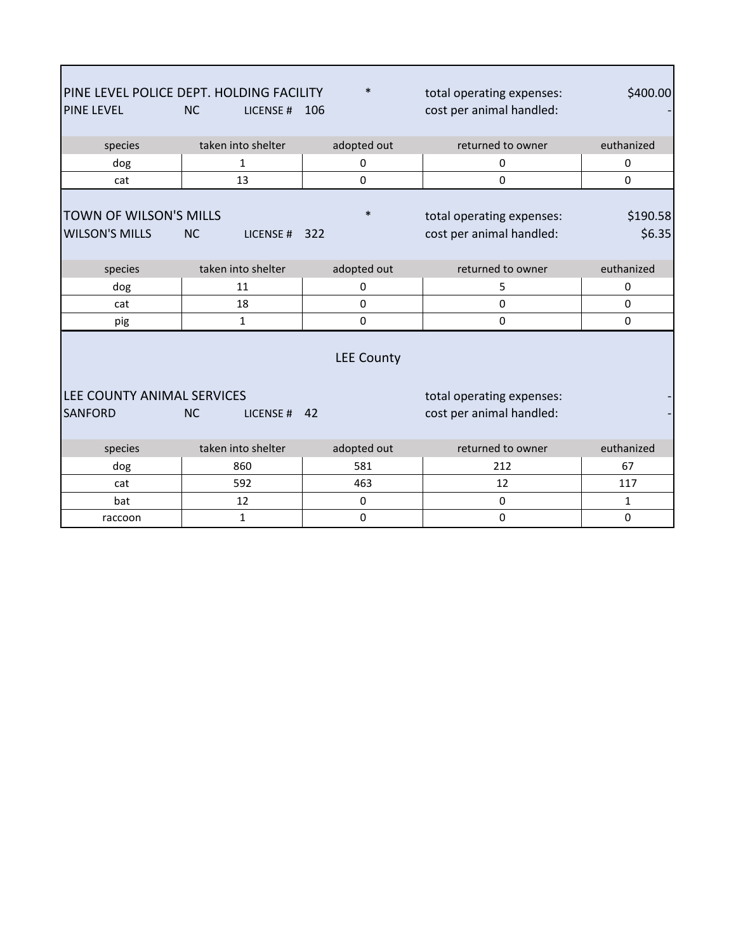| <b>PINE LEVEL</b>                               | PINE LEVEL POLICE DEPT. HOLDING FACILITY<br><b>NC</b><br>LICENSE# | $\ast$<br>106     | total operating expenses:<br>cost per animal handled: | \$400.00           |
|-------------------------------------------------|-------------------------------------------------------------------|-------------------|-------------------------------------------------------|--------------------|
| species                                         | taken into shelter                                                | adopted out       | returned to owner                                     | euthanized         |
| dog                                             | 1                                                                 | 0                 | 0                                                     | 0                  |
| cat                                             | 13                                                                | 0                 | $\mathbf 0$                                           | $\mathbf 0$        |
| TOWN OF WILSON'S MILLS<br><b>WILSON'S MILLS</b> | <b>NC</b><br>LICENSE#                                             | $\ast$<br>322     | total operating expenses:<br>cost per animal handled: | \$190.58<br>\$6.35 |
| species                                         | taken into shelter                                                | adopted out       | returned to owner                                     | euthanized         |
| dog                                             | 11                                                                | 0                 | 5                                                     | 0                  |
| cat                                             | 18                                                                | $\Omega$          | 0                                                     | 0                  |
| pig                                             | $\mathbf{1}$                                                      | $\mathbf 0$       | 0                                                     | $\pmb{0}$          |
| LEE COUNTY ANIMAL SERVICES<br><b>SANFORD</b>    | <b>NC</b><br>LICENSE # $42$                                       | <b>LEE County</b> | total operating expenses:<br>cost per animal handled: |                    |
| species                                         | taken into shelter                                                | adopted out       | returned to owner                                     | euthanized         |
| dog                                             | 860                                                               | 581               | 212                                                   | 67                 |
| cat                                             | 592                                                               | 463               | 12                                                    | 117                |
| bat                                             | 12                                                                | 0                 | 0                                                     | $\mathbf{1}$       |
| raccoon                                         | $\mathbf{1}$                                                      | $\mathbf 0$       | 0                                                     | 0                  |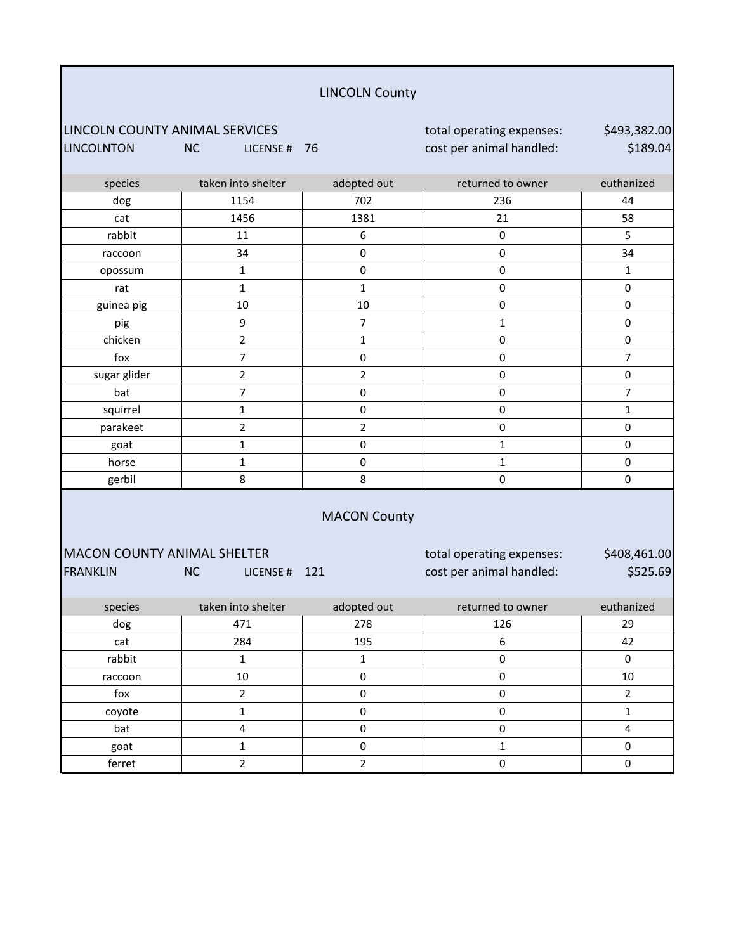| <b>LINCOLN County</b> |  |
|-----------------------|--|
|-----------------------|--|

LINCOLN COUNTY ANIMAL SERVICES total operating expenses: LINCOLNTON NC LICENSE # 76 cost per animal handled:

| species      | taken into shelter | adopted out    | returned to owner | euthanized  |
|--------------|--------------------|----------------|-------------------|-------------|
| dog          | 1154               | 702            | 236               | 44          |
| cat          | 1456               | 1381           | 21                | 58          |
| rabbit       | 11                 | 6              | $\pmb{0}$         | 5           |
| raccoon      | 34                 | 0              | $\pmb{0}$         | 34          |
| opossum      | 1                  | $\mathbf 0$    | $\pmb{0}$         | 1           |
| rat          | 1                  | $\mathbf{1}$   | $\pmb{0}$         | 0           |
| guinea pig   | $10\,$             | 10             | $\pmb{0}$         | $\mathbf 0$ |
| pig          | 9                  | 7              | 1                 | 0           |
| chicken      | $\overline{2}$     | $\mathbf{1}$   | $\pmb{0}$         | $\pmb{0}$   |
| fox          | 7                  | $\mathbf 0$    | $\pmb{0}$         | 7           |
| sugar glider | $\overline{2}$     | $\overline{2}$ | $\pmb{0}$         | 0           |
| bat          | 7                  | $\mathbf 0$    | $\pmb{0}$         | 7           |
| squirrel     | 1                  | 0              | $\pmb{0}$         | 1           |
| parakeet     | $\overline{2}$     | $\overline{2}$ | 0                 | 0           |
| goat         |                    | 0              | 1                 | 0           |
| horse        | 1                  | $\mathbf 0$    | 1                 | 0           |
| gerbil       | 8                  | 8              | 0                 | 0           |
|              |                    |                |                   |             |

#### MACON County

| IMACON COUNTY ANIMAL SHELTER |           |               |  |
|------------------------------|-----------|---------------|--|
| <b>FRANKLIN</b>              | <b>NC</b> | IICENSE # 121 |  |

total operating expenses: cost per animal handled:

\$408,461.00 \$525.69

| species | taken into shelter | adopted out | returned to owner | euthanized |
|---------|--------------------|-------------|-------------------|------------|
| dog     | 471                | 278         | 126               | 29         |
| cat     | 284                | 195         | 6                 | 42         |
| rabbit  |                    |             |                   |            |
| raccoon | 10                 | $\Box$      |                   | 10         |
| fox     |                    | $\Omega$    |                   |            |
| coyote  |                    |             |                   |            |
| bat     |                    |             |                   |            |
| goat    |                    |             |                   |            |
| ferret  |                    |             |                   |            |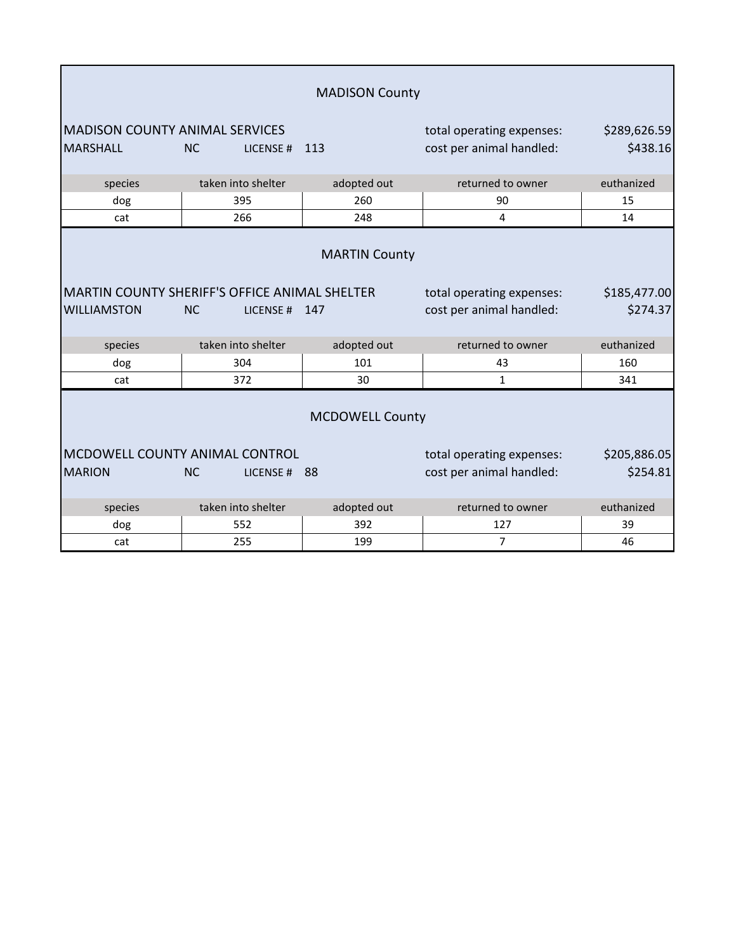|                                                          |                                                                        | <b>MADISON County</b> |                                                       |                          |
|----------------------------------------------------------|------------------------------------------------------------------------|-----------------------|-------------------------------------------------------|--------------------------|
| <b>MADISON COUNTY ANIMAL SERVICES</b><br><b>MARSHALL</b> | <b>NC</b><br>LICENSE#                                                  | 113                   | total operating expenses:<br>cost per animal handled: | \$289,626.59<br>\$438.16 |
| species                                                  | taken into shelter                                                     | adopted out           | returned to owner                                     | euthanized               |
| dog                                                      | 395                                                                    | 260                   | 90                                                    | 15                       |
| cat                                                      | 266                                                                    | 248                   | 4                                                     | 14                       |
|                                                          |                                                                        | <b>MARTIN County</b>  |                                                       |                          |
| <b>WILLIAMSTON</b>                                       | MARTIN COUNTY SHERIFF'S OFFICE ANIMAL SHELTER<br><b>NC</b><br>LICENSE# | 147                   | total operating expenses:<br>cost per animal handled: | \$185,477.00<br>\$274.37 |
| species                                                  | taken into shelter                                                     | adopted out           | returned to owner                                     | euthanized               |
| dog                                                      | 304                                                                    | 101                   | 43                                                    | 160                      |
| cat                                                      | 372                                                                    | 30                    | $\mathbf{1}$                                          | 341                      |
| <b>MCDOWELL County</b>                                   |                                                                        |                       |                                                       |                          |
| MCDOWELL COUNTY ANIMAL CONTROL                           |                                                                        |                       | total operating expenses:                             | \$205,886.05             |
| <b>MARION</b>                                            | <b>NC</b><br>LICENSE#                                                  | 88                    | cost per animal handled:                              | \$254.81                 |
| species                                                  | taken into shelter                                                     | adopted out           | returned to owner                                     | euthanized               |
| dog                                                      | 552                                                                    | 392                   | 127                                                   | 39                       |
| cat                                                      | 255                                                                    | 199                   | 7                                                     | 46                       |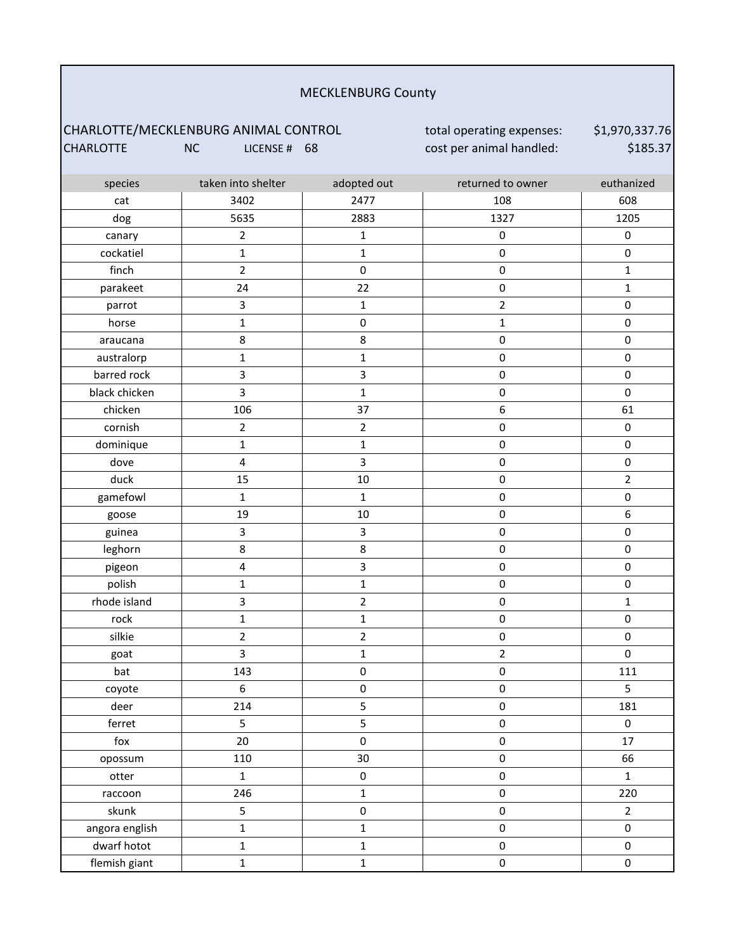#### MECKLENBURG County

### CHARLOTTE/MECKLENBURG ANIMAL CONTROL **total operating expenses:** CHARLOTTE NC LICENSE # 68 cost per animal handled:

\$1,970,337.76 \$185.37

| species        | taken into shelter      | adopted out         | returned to owner   | euthanized          |
|----------------|-------------------------|---------------------|---------------------|---------------------|
| cat            | 3402                    | 2477                | 108                 | 608                 |
| dog            | 5635                    | 2883                | 1327                | 1205                |
| canary         | $\overline{2}$          | $\mathbf 1$         | $\pmb{0}$           | $\pmb{0}$           |
| cockatiel      | $\mathbf 1$             | $\mathbf 1$         | $\mathbf 0$         | $\mathsf 0$         |
| finch          | $\overline{2}$          | $\pmb{0}$           | $\pmb{0}$           | $\mathbf 1$         |
| parakeet       | 24                      | 22                  | $\pmb{0}$           | $\mathbf{1}$        |
| parrot         | 3                       | $\mathbf 1$         | $\overline{2}$      | $\mathsf{O}\xspace$ |
| horse          | $\mathbf 1$             | $\pmb{0}$           | $\mathbf 1$         | $\mathsf 0$         |
| araucana       | 8                       | 8                   | $\mathbf 0$         | $\mathsf{O}\xspace$ |
| australorp     | $\mathbf 1$             | $\mathbf 1$         | $\pmb{0}$           | $\pmb{0}$           |
| barred rock    | 3                       | 3                   | $\pmb{0}$           | $\mathbf 0$         |
| black chicken  | $\overline{\mathbf{3}}$ | $\mathbf 1$         | $\pmb{0}$           | $\pmb{0}$           |
| chicken        | 106                     | 37                  | $\boldsymbol{6}$    | 61                  |
| cornish        | $\overline{2}$          | $\mathbf 2$         | $\mathbf 0$         | $\pmb{0}$           |
| dominique      | $\mathbf 1$             | $\mathbf 1$         | $\pmb{0}$           | $\pmb{0}$           |
| dove           | 4                       | 3                   | $\pmb{0}$           | $\mathsf 0$         |
| duck           | 15                      | $10\,$              | $\pmb{0}$           | $\overline{2}$      |
| gamefowl       | $\mathbf 1$             | $\mathbf 1$         | $\pmb{0}$           | $\mathsf 0$         |
| goose          | 19                      | $10\,$              | $\pmb{0}$           | 6                   |
| guinea         | 3                       | 3                   | $\pmb{0}$           | $\mathsf 0$         |
| leghorn        | 8                       | $\bf 8$             | $\pmb{0}$           | $\mathsf 0$         |
| pigeon         | $\overline{\mathbf{4}}$ | 3                   | $\pmb{0}$           | $\pmb{0}$           |
| polish         | $\mathbf 1$             | $\mathbf 1$         | $\pmb{0}$           | 0                   |
| rhode island   | 3                       | 2                   | $\pmb{0}$           | $\mathbf{1}$        |
| rock           | $\mathbf 1$             | $\mathbf{1}$        | $\pmb{0}$           | $\mathsf 0$         |
| silkie         | $\overline{2}$          | $\overline{2}$      | $\pmb{0}$           | $\mathsf{O}\xspace$ |
| goat           | 3                       | $\mathbf 1$         | $\overline{2}$      | $\pmb{0}$           |
| bat            | 143                     | $\pmb{0}$           | $\mathbf 0$         | 111                 |
| coyote         | 6                       | $\pmb{0}$           | $\pmb{0}$           | 5                   |
| deer           | 214                     | 5                   | $\mathbf 0$         | 181                 |
| ferret         | 5                       | 5                   | $\pmb{0}$           | $\pmb{0}$           |
| fox            | 20                      | $\mathsf{O}\xspace$ | $\pmb{0}$           | 17                  |
| opossum        | 110                     | 30 <sub>o</sub>     | $\pmb{0}$           | 66                  |
| otter          | $\mathbf 1$             | $\pmb{0}$           | $\pmb{0}$           | $\mathbf{1}$        |
| raccoon        | 246                     | $\mathbf{1}$        | $\pmb{0}$           | 220                 |
| skunk          | 5                       | $\pmb{0}$           | $\pmb{0}$           | $\overline{2}$      |
| angora english | $\mathbf 1$             | $\mathbf{1}$        | $\mathsf{O}\xspace$ | $\pmb{0}$           |
| dwarf hotot    | $\mathbf{1}$            | $\mathbf 1$         | $\pmb{0}$           | $\pmb{0}$           |
| flemish giant  | $\mathbf 1$             | $\mathbf{1}$        | $\mathsf{O}\xspace$ | $\pmb{0}$           |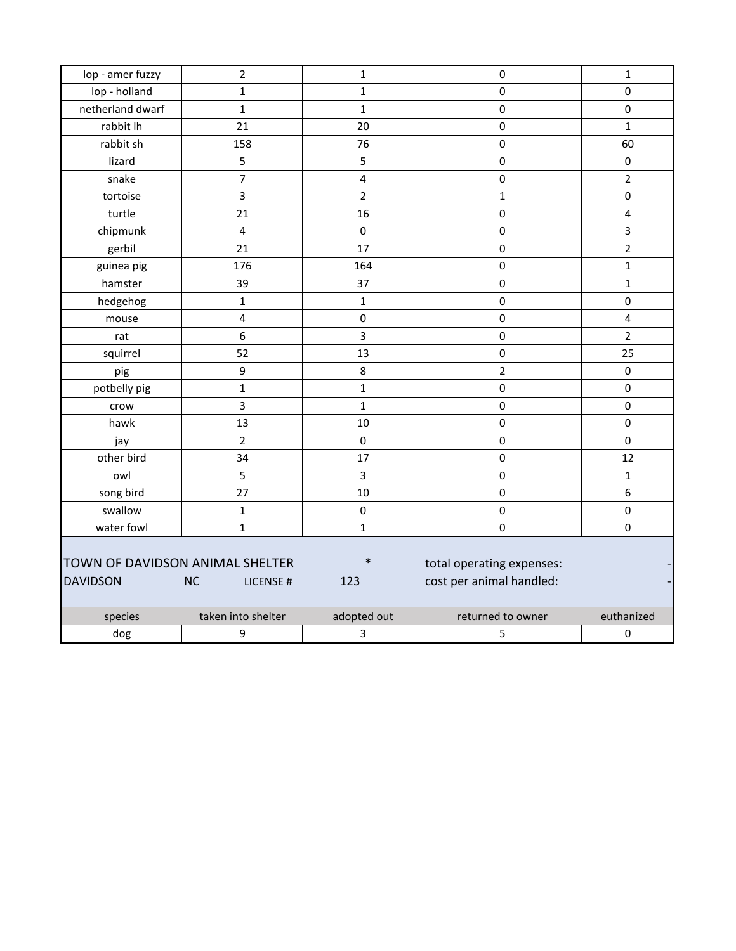| lop - amer fuzzy                                   | $\overline{2}$         | $\mathbf{1}$            | $\pmb{0}$                                             | $\mathbf{1}$            |
|----------------------------------------------------|------------------------|-------------------------|-------------------------------------------------------|-------------------------|
| lop - holland                                      | $\mathbf{1}$           | $\mathbf{1}$            | $\pmb{0}$                                             | $\pmb{0}$               |
| netherland dwarf                                   | $\mathbf{1}$           | $\mathbf{1}$            | $\pmb{0}$                                             | $\pmb{0}$               |
| rabbit lh                                          | 21                     | 20                      | $\pmb{0}$                                             | $\mathbf{1}$            |
| rabbit sh                                          | 158                    | 76                      | $\pmb{0}$                                             | 60                      |
| lizard                                             | 5                      | 5                       | $\pmb{0}$                                             | $\pmb{0}$               |
| snake                                              | $\overline{7}$         | $\overline{\mathbf{4}}$ | $\pmb{0}$                                             | $\overline{2}$          |
| tortoise                                           | 3                      | $\overline{2}$          | $\mathbf{1}$                                          | $\pmb{0}$               |
| turtle                                             | 21                     | 16                      | $\pmb{0}$                                             | $\overline{\mathbf{4}}$ |
| chipmunk                                           | 4                      | $\pmb{0}$               | $\pmb{0}$                                             | 3                       |
| gerbil                                             | 21                     | 17                      | $\pmb{0}$                                             | $\overline{2}$          |
| guinea pig                                         | 176                    | 164                     | $\pmb{0}$                                             | $\mathbf{1}$            |
| hamster                                            | 39                     | 37                      | $\pmb{0}$                                             | $\mathbf{1}$            |
| hedgehog                                           | $\mathbf 1$            | $\mathbf 1$             | $\pmb{0}$                                             | $\pmb{0}$               |
| mouse                                              | 4                      | $\pmb{0}$               | $\pmb{0}$                                             | $\overline{\mathbf{4}}$ |
| rat                                                | 6                      | 3                       | $\pmb{0}$                                             | $\overline{2}$          |
| squirrel                                           | 52                     | 13                      | $\pmb{0}$                                             | 25                      |
| pig                                                | 9                      | 8                       | $\overline{2}$                                        | $\pmb{0}$               |
| potbelly pig                                       | $\mathbf{1}$           | $\mathbf{1}$            | $\pmb{0}$                                             | $\mathbf 0$             |
| crow                                               | 3                      | $\mathbf{1}$            | $\pmb{0}$                                             | $\pmb{0}$               |
| hawk                                               | 13                     | 10                      | $\pmb{0}$                                             | $\pmb{0}$               |
| jay                                                | $\overline{2}$         | $\mathbf 0$             | $\pmb{0}$                                             | $\pmb{0}$               |
| other bird                                         | 34                     | 17                      | $\pmb{0}$                                             | 12                      |
| owl                                                | 5                      | 3                       | $\pmb{0}$                                             | $\mathbf{1}$            |
| song bird                                          | 27                     | 10                      | $\pmb{0}$                                             | 6                       |
| swallow                                            | $\mathbf 1$            | $\mathsf 0$             | $\pmb{0}$                                             | $\pmb{0}$               |
| water fowl                                         | $\mathbf{1}$           | $\mathbf{1}$            | $\pmb{0}$                                             | $\pmb{0}$               |
| TOWN OF DAVIDSON ANIMAL SHELTER<br><b>DAVIDSON</b> | <b>NC</b><br>LICENSE # | $\ast$<br>123           | total operating expenses:<br>cost per animal handled: |                         |
| species                                            | taken into shelter     | adopted out             | returned to owner                                     | euthanized              |
| dog                                                | 9                      | 3                       | 5                                                     | 0                       |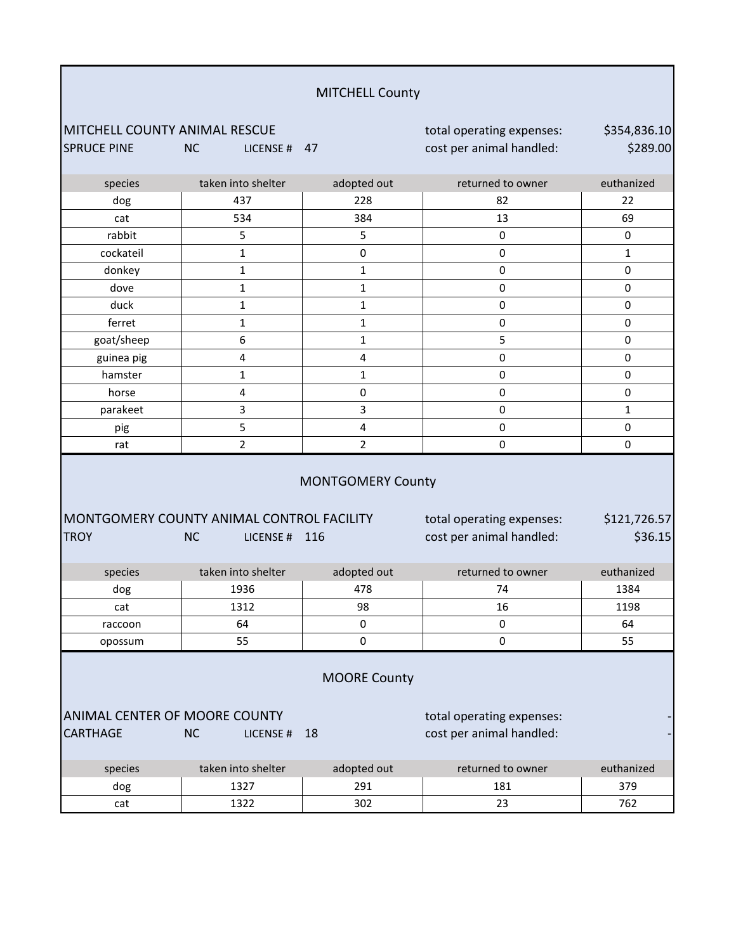| <b>MITCHELL County</b> |  |
|------------------------|--|
|                        |  |

MITCHELL COUNTY ANIMAL RESCUE total operating expenses: SPRUCE PINE NC LICENSE # 47 cost per animal handled:

\$354,836.10 \$289.00

> - -

| species     | taken into shelter                        | adopted out              | returned to owner         | euthanized   |
|-------------|-------------------------------------------|--------------------------|---------------------------|--------------|
| dog         | 437                                       | 228                      | 82                        | 22           |
| cat         | 534                                       | 384                      | 13                        | 69           |
| rabbit      | 5                                         | 5                        | $\pmb{0}$                 | $\mathbf 0$  |
| cockateil   | 1                                         | 0                        | $\pmb{0}$                 | $\mathbf 1$  |
| donkey      | 1                                         | 1                        | 0                         | $\mathbf 0$  |
| dove        | 1                                         | $\mathbf 1$              | $\pmb{0}$                 | $\mathbf 0$  |
| duck        | 1                                         | $\mathbf 1$              | $\pmb{0}$                 | $\mathbf 0$  |
| ferret      | 1                                         | $\mathbf 1$              | $\pmb{0}$                 | $\mathbf 0$  |
| goat/sheep  | 6                                         | $\mathbf{1}$             | 5                         | $\mathbf 0$  |
| guinea pig  | $\overline{\mathbf{4}}$                   | $\pmb{4}$                | $\pmb{0}$                 | $\pmb{0}$    |
| hamster     | $\mathbf 1$                               | $\mathbf 1$              | $\pmb{0}$                 | $\pmb{0}$    |
| horse       | $\overline{\mathbf{4}}$                   | 0                        | $\pmb{0}$                 | $\mathbf 0$  |
| parakeet    | 3                                         | 3                        | $\pmb{0}$                 | $\mathbf{1}$ |
| pig         | 5                                         | $\pmb{4}$                | $\pmb{0}$                 | $\pmb{0}$    |
| rat         | $\overline{2}$                            | $\overline{2}$           | 0                         | $\mathbf 0$  |
|             |                                           | <b>MONTGOMERY County</b> |                           |              |
|             | MONTGOMERY COUNTY ANIMAL CONTROL FACILITY |                          | total operating expenses: | \$121,726.57 |
| <b>TROY</b> | <b>NC</b><br>LICENSE #                    | 116                      | cost per animal handled:  | \$36.15      |
| species     | taken into shelter                        | adopted out              | returned to owner         | euthanized   |
| dog         | 1936                                      | 478                      | 74                        | 1384         |
| cat         | 1312                                      | 98                       | 16                        | 1198         |

MOORE County

raccoon | 64 | 0 | 0 0 | 64 opossum | 55 | 0 | 0 | 55

ANIMAL CENTER OF MOORE COUNTY The state of total operating expenses: CARTHAGE NC LICENSE # 18 cost per animal handled:

| species | taken into shelter | adopted out | returned to owner | euthanized |
|---------|--------------------|-------------|-------------------|------------|
| dog     | דרכ<br>LJZ.        | 291         | 181               | 379        |
| cat     | ר כפ               | 302         | ــ                | 762        |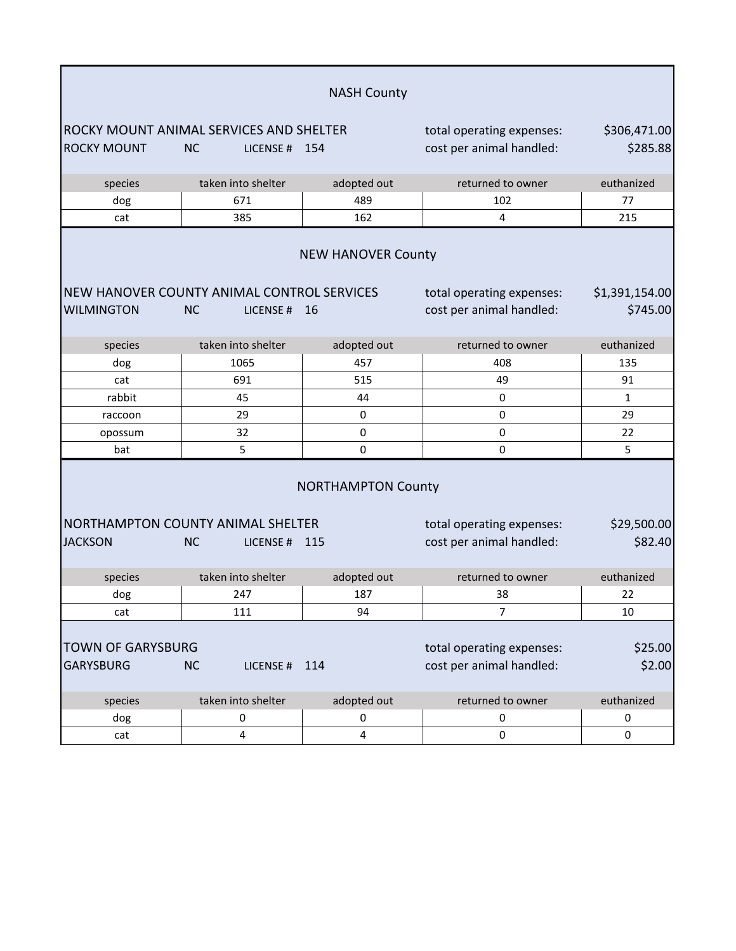|                                              |                                                                     | <b>NASH County</b>        |                                                       |                            |
|----------------------------------------------|---------------------------------------------------------------------|---------------------------|-------------------------------------------------------|----------------------------|
|                                              | ROCKY MOUNT ANIMAL SERVICES AND SHELTER                             |                           | total operating expenses:                             | \$306,471.00               |
| <b>ROCKY MOUNT</b>                           | <b>NC</b><br>LICENSE # $154$                                        |                           | cost per animal handled:                              | \$285.88                   |
| species                                      | taken into shelter                                                  | adopted out               | returned to owner                                     | euthanized                 |
| dog                                          | 671                                                                 | 489                       | 102                                                   | 77                         |
| cat                                          | 385                                                                 | 162                       | 4                                                     | 215                        |
|                                              |                                                                     | <b>NEW HANOVER County</b> |                                                       |                            |
| <b>WILMINGTON</b>                            | NEW HANOVER COUNTY ANIMAL CONTROL SERVICES<br><b>NC</b><br>LICENSE# | - 16                      | total operating expenses:<br>cost per animal handled: | \$1,391,154.00<br>\$745.00 |
| species                                      | taken into shelter                                                  | adopted out               | returned to owner                                     | euthanized                 |
| dog                                          | 1065                                                                | 457                       | 408                                                   | 135                        |
| cat                                          | 691                                                                 | 515                       | 49                                                    | 91                         |
| rabbit                                       | 45                                                                  | 44                        | 0                                                     | 1                          |
| raccoon                                      | 29                                                                  | 0                         | 0                                                     | 29                         |
| opossum                                      | 32                                                                  | 0                         | 0                                                     | 22                         |
| bat                                          | 5                                                                   | 0                         | 0                                                     | 5                          |
|                                              |                                                                     | <b>NORTHAMPTON County</b> |                                                       |                            |
|                                              | NORTHAMPTON COUNTY ANIMAL SHELTER                                   |                           | total operating expenses:                             | \$29,500.00                |
| <b>JACKSON</b>                               | <b>NC</b><br>LICENSE # $115$                                        |                           | cost per animal handled:                              | \$82.40                    |
| species                                      | taken into shelter                                                  | adopted out               | returned to owner                                     | euthanized                 |
| dog                                          | 247                                                                 | 187                       | 38                                                    | 22                         |
| cat                                          | 111                                                                 | 94                        | 7                                                     | 10                         |
| <b>TOWN OF GARYSBURG</b><br><b>GARYSBURG</b> | <b>NC</b><br>LICENSE#                                               | 114                       | total operating expenses:<br>cost per animal handled: | \$25.00<br>\$2.00          |
| species                                      | taken into shelter                                                  | adopted out               | returned to owner                                     | euthanized                 |
| dog                                          | 0                                                                   | 0                         | 0                                                     | 0                          |
| cat                                          | 4                                                                   | 4                         | 0                                                     | 0                          |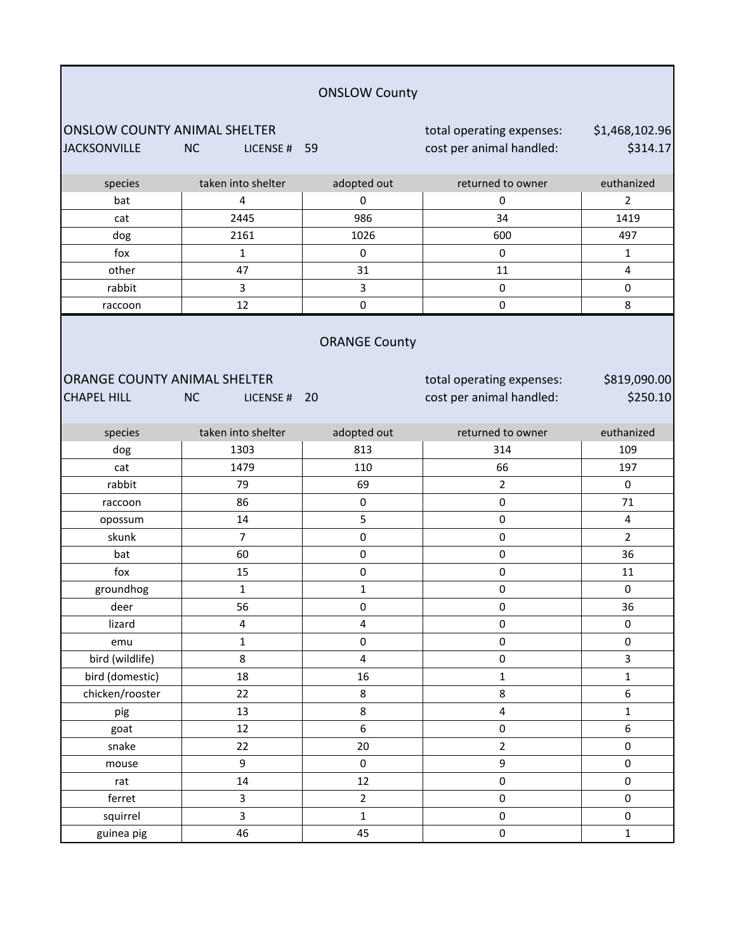|                                                            |                           | <b>ONSLOW County</b>    |                                                       |                            |
|------------------------------------------------------------|---------------------------|-------------------------|-------------------------------------------------------|----------------------------|
| <b>ONSLOW COUNTY ANIMAL SHELTER</b><br><b>JACKSONVILLE</b> | <b>NC</b><br>LICENSE # 59 |                         | total operating expenses:<br>cost per animal handled: | \$1,468,102.96<br>\$314.17 |
| species                                                    | taken into shelter        | adopted out             | returned to owner                                     | euthanized                 |
| bat                                                        | 4                         | 0                       | $\pmb{0}$                                             | $\overline{2}$             |
| cat                                                        | 2445                      | 986                     | 34                                                    | 1419                       |
| dog                                                        | 2161                      | 1026                    | 600                                                   | 497                        |
| fox                                                        | $\mathbf{1}$              | $\pmb{0}$               | 0                                                     | $\mathbf{1}$               |
| other                                                      | 47                        | 31                      | 11                                                    | 4                          |
| rabbit                                                     | 3                         | $\overline{3}$          | 0                                                     | $\pmb{0}$                  |
| raccoon                                                    | 12                        | $\pmb{0}$               | 0                                                     | 8                          |
| ORANGE COUNTY ANIMAL SHELTER<br><b>CHAPEL HILL</b>         | <b>NC</b><br>LICENSE # 20 | <b>ORANGE County</b>    | total operating expenses:<br>cost per animal handled: | \$819,090.00<br>\$250.10   |
| species                                                    | taken into shelter        | adopted out             | returned to owner                                     | euthanized                 |
| dog                                                        | 1303                      | 813                     | 314                                                   | 109                        |
| cat                                                        | 1479                      | 110                     | 66                                                    | 197                        |
| rabbit                                                     | 79                        | 69                      | $\overline{2}$                                        | $\pmb{0}$                  |
| raccoon                                                    | 86                        | $\pmb{0}$               | 0                                                     | 71                         |
| opossum                                                    | 14                        | 5                       | 0                                                     | 4                          |
| skunk                                                      | $\overline{7}$            | 0                       | $\pmb{0}$                                             | $\overline{2}$             |
| bat                                                        | 60                        | 0                       | 0                                                     | 36                         |
| fox                                                        | 15                        | 0                       | $\pmb{0}$                                             | 11                         |
| groundhog                                                  | $\mathbf 1$               | 1                       | 0                                                     | 0                          |
| deer                                                       | 56                        | 0                       | 0                                                     | 36                         |
| lizard                                                     | $\overline{\mathbf{4}}$   | $\overline{4}$          | 0                                                     | 0                          |
| emu                                                        | $\mathbf 1$               | 0                       | 0                                                     | $\pmb{0}$                  |
| bird (wildlife)                                            | 8                         | $\overline{\mathbf{4}}$ | $\pmb{0}$                                             | $\overline{\mathbf{3}}$    |
| bird (domestic)                                            | 18                        | 16                      | $\mathbf 1$                                           | $\mathbf{1}$               |
| chicken/rooster                                            | 22                        | 8                       | 8                                                     | 6                          |
| pig                                                        | 13                        | 8                       | 4                                                     | $\mathbf{1}$               |
| goat                                                       | 12                        | 6                       | $\pmb{0}$                                             | 6                          |
| snake                                                      | 22                        | 20                      | $\overline{2}$                                        | 0                          |
| mouse                                                      | $\mathsf g$               | $\pmb{0}$               | 9                                                     | $\pmb{0}$                  |
| rat                                                        | 14                        | 12                      | 0                                                     | $\pmb{0}$                  |
| ferret                                                     | 3                         | $\overline{2}$          | 0                                                     | $\pmb{0}$                  |
| squirrel                                                   | $\overline{\mathbf{3}}$   | $\mathbf 1$             | $\pmb{0}$                                             | $\pmb{0}$                  |
| guinea pig                                                 | 46                        | 45                      | $\pmb{0}$                                             | $\mathbf{1}$               |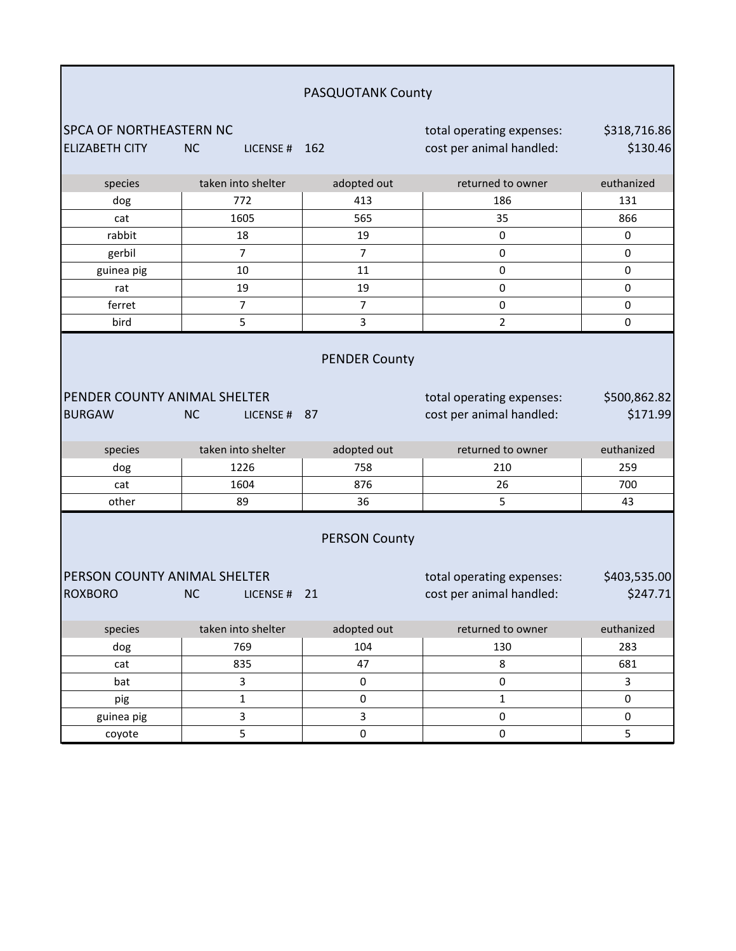|                                                                                                                                                                                            |                           | PASQUOTANK County    |                                                       |                          |
|--------------------------------------------------------------------------------------------------------------------------------------------------------------------------------------------|---------------------------|----------------------|-------------------------------------------------------|--------------------------|
| <b>SPCA OF NORTHEASTERN NC</b>                                                                                                                                                             |                           |                      |                                                       |                          |
| <b>ELIZABETH CITY</b>                                                                                                                                                                      | <b>NC</b><br>LICENSE #    | 162                  | total operating expenses:<br>cost per animal handled: | \$318,716.86<br>\$130.46 |
|                                                                                                                                                                                            |                           |                      |                                                       |                          |
| species                                                                                                                                                                                    | taken into shelter        | adopted out          | returned to owner                                     | euthanized               |
| dog                                                                                                                                                                                        | 772                       | 413                  | 186                                                   | 131                      |
| cat                                                                                                                                                                                        | 1605                      | 565                  | 35                                                    | 866                      |
| rabbit                                                                                                                                                                                     | 18                        | 19                   | $\pmb{0}$                                             | 0                        |
| gerbil                                                                                                                                                                                     | $\overline{7}$            | $\overline{7}$       | 0                                                     | $\pmb{0}$                |
| guinea pig                                                                                                                                                                                 | 10                        | 11                   | 0                                                     | $\pmb{0}$                |
| rat                                                                                                                                                                                        | 19                        | 19                   | 0                                                     | $\pmb{0}$                |
| ferret                                                                                                                                                                                     | $\overline{7}$            | $\overline{7}$       | 0                                                     | $\pmb{0}$                |
| bird                                                                                                                                                                                       | 5                         | 3                    | $\overline{2}$                                        | 0                        |
| PENDER COUNTY ANIMAL SHELTER<br><b>BURGAW</b>                                                                                                                                              | <b>NC</b><br>LICENSE # 87 | <b>PENDER County</b> | total operating expenses:<br>cost per animal handled: | \$500,862.82<br>\$171.99 |
| species                                                                                                                                                                                    | taken into shelter        | adopted out          | returned to owner                                     | euthanized               |
| dog                                                                                                                                                                                        | 1226                      | 758                  | 210                                                   | 259                      |
| cat                                                                                                                                                                                        | 1604                      | 876                  | 26                                                    | 700                      |
| other                                                                                                                                                                                      | 89                        | 36                   | 5                                                     | 43                       |
| <b>PERSON County</b><br>PERSON COUNTY ANIMAL SHELTER<br>\$403,535.00<br>total operating expenses:<br>cost per animal handled:<br>\$247.71<br><b>ROXBORO</b><br><b>NC</b><br>21<br>LICENSE# |                           |                      |                                                       |                          |
| species                                                                                                                                                                                    | taken into shelter        | adopted out          | returned to owner                                     | euthanized               |
| dog                                                                                                                                                                                        | 769                       | 104                  | 130                                                   | 283                      |
| cat                                                                                                                                                                                        | 835                       | 47                   | 8                                                     | 681                      |
| bat                                                                                                                                                                                        | $\mathbf{3}$              | $\pmb{0}$            | $\pmb{0}$                                             | $\mathbf{3}$             |
| pig                                                                                                                                                                                        | $\mathbf 1$               | $\pmb{0}$            | $\mathbf 1$                                           | $\pmb{0}$                |
| guinea pig                                                                                                                                                                                 | $\mathbf{3}$              | $\mathbf{3}$         | $\pmb{0}$                                             | $\pmb{0}$                |
| coyote                                                                                                                                                                                     | $\overline{5}$            | $\pmb{0}$            | 0                                                     | 5                        |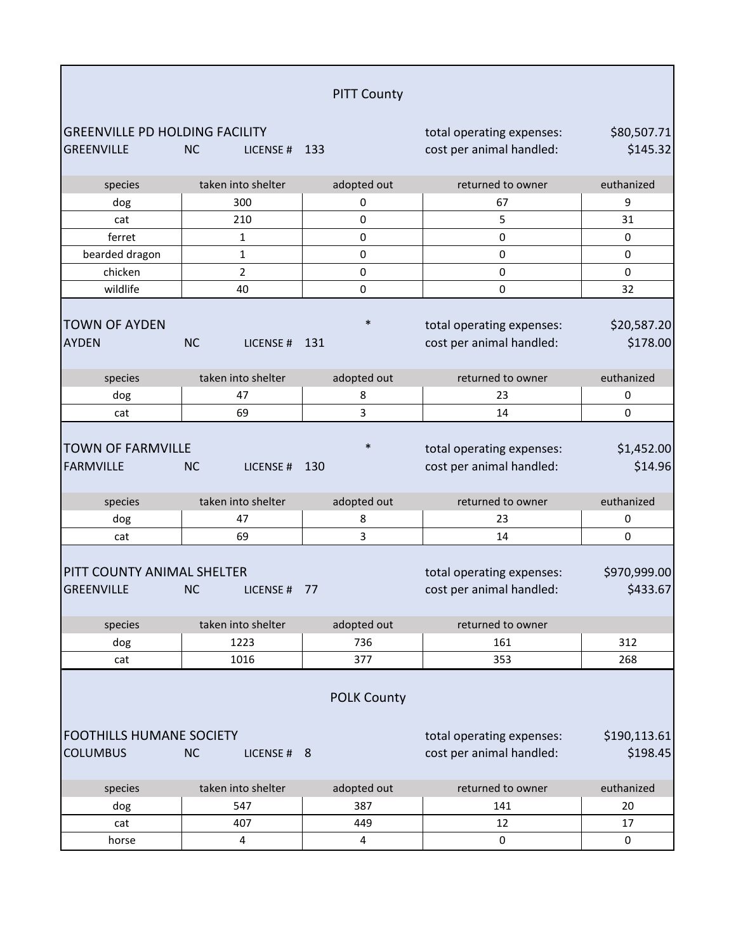|                                                            |                          | <b>PITT County</b> |                                                       |                          |
|------------------------------------------------------------|--------------------------|--------------------|-------------------------------------------------------|--------------------------|
| <b>GREENVILLE PD HOLDING FACILITY</b><br><b>GREENVILLE</b> | <b>NC</b><br>LICENSE #   | 133                | total operating expenses:<br>cost per animal handled: | \$80,507.71<br>\$145.32  |
| species                                                    | taken into shelter       | adopted out        | returned to owner                                     | euthanized               |
| dog                                                        | 300                      | 0                  | 67                                                    | 9                        |
| cat                                                        | 210                      | 0                  | 5                                                     | 31                       |
| ferret                                                     | 1                        | $\mathbf 0$        | $\pmb{0}$                                             | 0                        |
| bearded dragon                                             | 1                        | $\pmb{0}$          | $\pmb{0}$                                             | 0                        |
| chicken                                                    | 2                        | $\pmb{0}$          | $\pmb{0}$                                             | 0                        |
| wildlife                                                   | 40                       | 0                  | 0                                                     | 32                       |
| <b>TOWN OF AYDEN</b><br><b>AYDEN</b>                       | <b>NC</b><br>LICENSE#    | $\ast$<br>131      | total operating expenses:<br>cost per animal handled: | \$20,587.20<br>\$178.00  |
| species                                                    | taken into shelter       | adopted out        | returned to owner                                     | euthanized               |
| dog                                                        | 47                       | 8                  | 23                                                    | 0                        |
| cat                                                        | 69                       | 3                  | 14                                                    | 0                        |
| <b>TOWN OF FARMVILLE</b><br><b>FARMVILLE</b>               | <b>NC</b><br>LICENSE#    | $\ast$<br>130      | total operating expenses:<br>cost per animal handled: | \$1,452.00<br>\$14.96    |
| species                                                    | taken into shelter       | adopted out        | returned to owner                                     | euthanized               |
| dog                                                        | 47                       | 8                  | 23                                                    | 0                        |
| cat                                                        | 69                       | 3                  | 14                                                    | 0                        |
| PITT COUNTY ANIMAL SHELTER<br>GREENVILLE                   | <b>NC</b><br>LICENSE#    | 77                 | total operating expenses:<br>cost per animal handled: | \$970,999.00<br>\$433.67 |
| species                                                    | taken into shelter       | adopted out        | returned to owner                                     |                          |
| dog                                                        | 1223                     | 736                | 161                                                   | 312                      |
| cat                                                        | 1016                     | 377                | 353                                                   | 268                      |
|                                                            |                          | <b>POLK County</b> |                                                       |                          |
| <b>FOOTHILLS HUMANE SOCIETY</b><br><b>COLUMBUS</b>         | <b>NC</b><br>LICENSE # 8 |                    | total operating expenses:<br>cost per animal handled: | \$190,113.61<br>\$198.45 |
| species                                                    | taken into shelter       | adopted out        | returned to owner                                     | euthanized               |
| dog                                                        | 547                      | 387                | 141                                                   | 20                       |
| cat                                                        | 407                      | 449                | 12                                                    | 17                       |
| horse                                                      | 4                        | 4                  | 0                                                     | 0                        |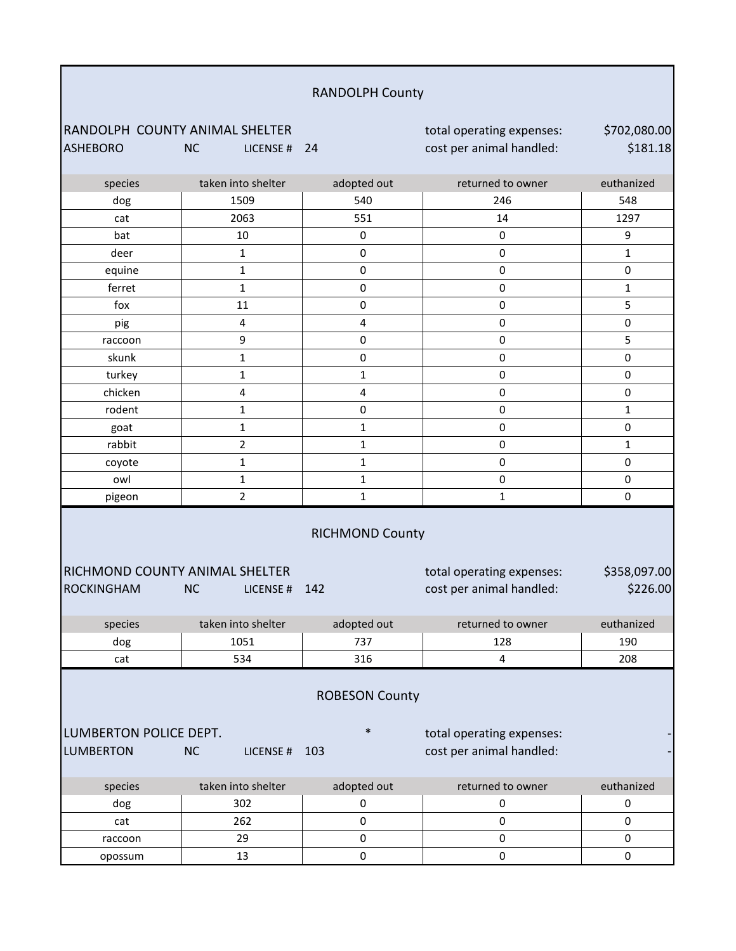| <b>RANDOLPH County</b> |  |
|------------------------|--|
|------------------------|--|

RANDOLPH COUNTY ANIMAL SHELTER<br>ASHEBORO MC LICENSE # 24 cost per animal handled: NC LICENSE # 24 cost per animal handled:

\$702,080.00 \$181.18

| species                        | taken into shelter     | adopted out            | returned to owner         | euthanized   |
|--------------------------------|------------------------|------------------------|---------------------------|--------------|
| dog                            | 1509                   | 540                    | 246                       | 548          |
| cat                            | 2063                   | 551                    | 14                        | 1297         |
| bat                            | 10                     | $\pmb{0}$              | $\pmb{0}$                 | 9            |
| deer                           | $\mathbf{1}$           | $\pmb{0}$              | $\mathsf 0$               | $\mathbf 1$  |
| equine                         | $\mathbf{1}$           | 0                      | $\pmb{0}$                 | $\pmb{0}$    |
| ferret                         | 1                      | $\pmb{0}$              | $\pmb{0}$                 | $\mathbf{1}$ |
| fox                            | 11                     | 0                      | $\mathsf 0$               | 5            |
| pig                            | 4                      | 4                      | $\pmb{0}$                 | $\pmb{0}$    |
| raccoon                        | 9                      | $\pmb{0}$              | $\pmb{0}$                 | 5            |
| skunk                          | $\mathbf{1}$           | $\pmb{0}$              | $\mathsf 0$               | $\pmb{0}$    |
| turkey                         | $\mathbf{1}$           | $\mathbf 1$            | $\pmb{0}$                 | $\pmb{0}$    |
| chicken                        | 4                      | 4                      | $\pmb{0}$                 | $\pmb{0}$    |
| rodent                         | $\mathbf{1}$           | 0                      | $\pmb{0}$                 | $\mathbf{1}$ |
| goat                           | $\mathbf{1}$           | $\mathbf 1$            | $\pmb{0}$                 | $\pmb{0}$    |
| rabbit                         | $\overline{2}$         | $\mathbf{1}$           | $\pmb{0}$                 | $\mathbf{1}$ |
| coyote                         | $\mathbf{1}$           | $\mathbf{1}$           | $\pmb{0}$                 | $\pmb{0}$    |
| owl                            | $\mathbf{1}$           | $\mathbf{1}$           | $\mathsf 0$               | $\pmb{0}$    |
| pigeon                         | $\overline{2}$         | $\mathbf 1$            | $\mathbf 1$               | $\pmb{0}$    |
|                                |                        | <b>RICHMOND County</b> |                           |              |
| RICHMOND COUNTY ANIMAL SHELTER |                        |                        | total operating expenses: | \$358,097.00 |
| <b>ROCKINGHAM</b>              | <b>NC</b><br>LICENSE # | 142                    | cost per animal handled:  | \$226.00     |
|                                |                        |                        |                           |              |
| species                        | taken into shelter     | adopted out            | returned to owner         | euthanized   |
| dog                            | 1051                   | 737                    | 128                       | 190          |
| cat                            | 534                    | 316                    | $\overline{4}$            | 208          |
|                                |                        | <b>ROBESON County</b>  |                           |              |
| LUMBERTON POLICE DEPT.         |                        | $\ast$                 | total operating expenses: |              |
| <b>LUMBERTON</b>               | <b>NC</b><br>LICENSE # | 103                    | cost per animal handled:  |              |
| species                        | taken into shelter     | adopted out            | returned to owner         | euthanized   |
| dog                            | 302                    | 0                      | 0                         | $\pmb{0}$    |
| cat                            | 262                    |                        |                           |              |
|                                |                        | $\mathsf{O}\xspace$    | 0                         | 0            |

opossum | 13 | 0 | 0 0 0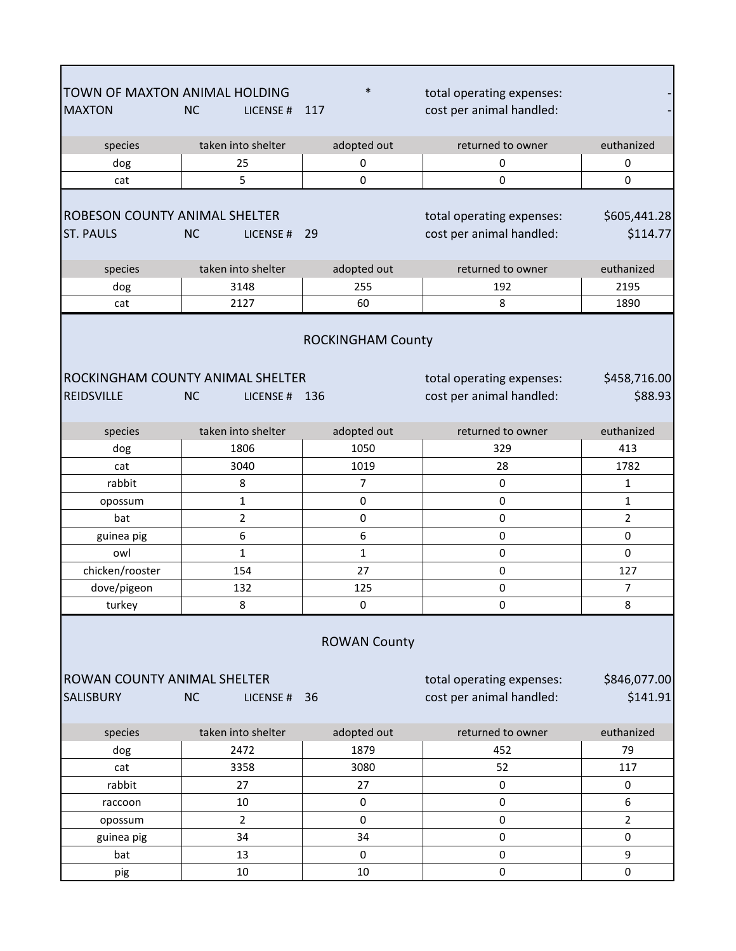| TOWN OF MAXTON ANIMAL HOLDING<br><b>MAXTON</b>               | <b>NC</b><br>LICENSE#                                                                                  | $\ast$<br>117                   | total operating expenses:<br>cost per animal handled: |                          |  |
|--------------------------------------------------------------|--------------------------------------------------------------------------------------------------------|---------------------------------|-------------------------------------------------------|--------------------------|--|
| species                                                      | taken into shelter                                                                                     | adopted out                     | returned to owner                                     | euthanized               |  |
| dog                                                          | 25                                                                                                     | 0                               | 0                                                     | 0                        |  |
| cat                                                          | 5                                                                                                      | $\mathbf 0$                     | 0                                                     | 0                        |  |
| <b>ROBESON COUNTY ANIMAL SHELTER</b><br><b>ST. PAULS</b>     | <b>NC</b><br>LICENSE#                                                                                  | 29                              | total operating expenses:<br>cost per animal handled: | \$605,441.28<br>\$114.77 |  |
| species                                                      | taken into shelter                                                                                     | adopted out                     | returned to owner                                     | euthanized               |  |
| dog                                                          | 3148                                                                                                   | 255                             | 192                                                   | 2195                     |  |
| cat                                                          | 2127                                                                                                   | 60                              | 8                                                     | 1890                     |  |
| <b>ROCKINGHAM COUNTY ANIMAL SHELTER</b><br><b>REIDSVILLE</b> | <b>NC</b><br>LICENSE#                                                                                  | <b>ROCKINGHAM County</b><br>136 | total operating expenses:<br>cost per animal handled: | \$458,716.00<br>\$88.93  |  |
| species                                                      | taken into shelter                                                                                     | adopted out                     | returned to owner                                     | euthanized               |  |
| dog                                                          | 1806                                                                                                   | 1050                            | 329                                                   | 413                      |  |
| cat                                                          | 3040                                                                                                   | 1019                            | 28                                                    | 1782                     |  |
| rabbit                                                       | 8                                                                                                      | $\overline{7}$                  | $\pmb{0}$                                             | 1                        |  |
| opossum                                                      | 1                                                                                                      | $\pmb{0}$                       | $\pmb{0}$                                             | $\mathbf{1}$             |  |
| bat                                                          | 2                                                                                                      | $\mathbf 0$                     | $\mathsf 0$                                           | $\overline{2}$           |  |
| guinea pig                                                   | 6                                                                                                      | 6                               | $\pmb{0}$                                             | 0                        |  |
| owl                                                          | $\mathbf{1}$                                                                                           | $\mathbf{1}$                    | 0                                                     | 0                        |  |
| chicken/rooster                                              | 154                                                                                                    | 27                              | $\pmb{0}$                                             | 127                      |  |
| dove/pigeon                                                  | 132                                                                                                    | 125                             | $\pmb{0}$                                             | $\overline{7}$           |  |
| turkey                                                       | 8                                                                                                      | $\mathbf 0$                     | 0                                                     | 8                        |  |
|                                                              | <b>ROWAN County</b><br><b>ROWAN COUNTY ANIMAL SHELTER</b><br>total operating expenses:<br>\$846,077.00 |                                 |                                                       |                          |  |
| <b>SALISBURY</b>                                             | <b>NC</b><br>LICENSE # 36                                                                              |                                 | cost per animal handled:                              | \$141.91                 |  |
| species                                                      | taken into shelter                                                                                     | adopted out                     | returned to owner                                     | euthanized               |  |
| dog                                                          | 2472                                                                                                   | 1879                            | 452                                                   | 79                       |  |
| cat                                                          | 3358                                                                                                   | 3080                            | 52                                                    | 117                      |  |
| rabbit                                                       | 27                                                                                                     | 27                              | $\pmb{0}$                                             | $\pmb{0}$                |  |
| raccoon                                                      | 10                                                                                                     | 0                               | $\pmb{0}$                                             | 6                        |  |
| opossum                                                      | $\overline{2}$                                                                                         | $\mathbf 0$                     | $\pmb{0}$                                             | $\overline{2}$           |  |
| guinea pig                                                   | 34                                                                                                     | 34                              | $\pmb{0}$                                             | 0                        |  |
| bat                                                          | 13                                                                                                     | 0                               | $\pmb{0}$                                             | 9                        |  |
| pig                                                          | 10                                                                                                     | 10                              | $\pmb{0}$                                             | $\pmb{0}$                |  |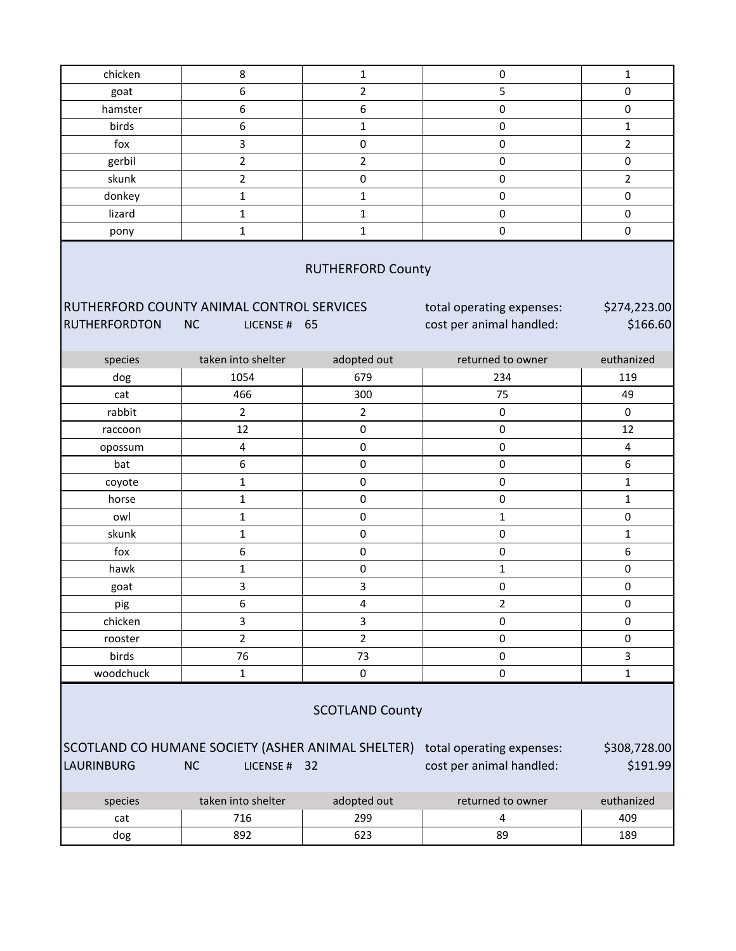| chicken                                                                                                                                                                                                            | 8                          | $\mathbf 1$        | $\pmb{0}$                | $\mathbf{1}$      |  |  |
|--------------------------------------------------------------------------------------------------------------------------------------------------------------------------------------------------------------------|----------------------------|--------------------|--------------------------|-------------------|--|--|
| goat                                                                                                                                                                                                               | 6                          | $\overline{2}$     | 5                        | 0                 |  |  |
| hamster                                                                                                                                                                                                            | 6                          | $\boldsymbol{6}$   | $\pmb{0}$                | 0                 |  |  |
| birds                                                                                                                                                                                                              | 6                          | $\mathbf{1}$       | $\pmb{0}$                | $\mathbf{1}$      |  |  |
| fox                                                                                                                                                                                                                | 3                          | $\pmb{0}$          | $\pmb{0}$                | $\overline{2}$    |  |  |
| gerbil                                                                                                                                                                                                             | $\overline{2}$             | $\overline{2}$     | 0                        | 0                 |  |  |
| skunk                                                                                                                                                                                                              | $\overline{2}$             | $\pmb{0}$          | $\pmb{0}$                | $\overline{2}$    |  |  |
| donkey                                                                                                                                                                                                             | 1                          | $\mathbf{1}$       | $\pmb{0}$                | 0                 |  |  |
| lizard                                                                                                                                                                                                             | $\mathbf 1$                | $\mathbf 1$        | $\pmb{0}$                | 0                 |  |  |
| pony                                                                                                                                                                                                               | $\mathbf 1$                | $\mathbf{1}$       | 0                        | 0                 |  |  |
| <b>RUTHERFORD County</b><br>RUTHERFORD COUNTY ANIMAL CONTROL SERVICES<br>total operating expenses:<br>\$274,223.00<br>\$166.60<br><b>RUTHERFORDTON</b><br><b>NC</b><br>cost per animal handled:<br>LICENSE #<br>65 |                            |                    |                          |                   |  |  |
|                                                                                                                                                                                                                    |                            |                    |                          |                   |  |  |
| species                                                                                                                                                                                                            | taken into shelter<br>1054 | adopted out<br>679 | returned to owner<br>234 | euthanized<br>119 |  |  |
| dog                                                                                                                                                                                                                | 466                        | 300                |                          | 49                |  |  |
| cat<br>rabbit                                                                                                                                                                                                      | $\overline{2}$             |                    | 75                       |                   |  |  |
|                                                                                                                                                                                                                    |                            | $\overline{2}$     | 0                        | 0                 |  |  |
| raccoon                                                                                                                                                                                                            | 12                         | $\pmb{0}$          | $\pmb{0}$                | 12                |  |  |
| opossum                                                                                                                                                                                                            | 4                          | $\pmb{0}$          | $\pmb{0}$                | 4                 |  |  |
| bat                                                                                                                                                                                                                | 6                          | $\pmb{0}$          | $\pmb{0}$                | 6                 |  |  |
| coyote                                                                                                                                                                                                             | $\mathbf 1$                | $\pmb{0}$          | $\pmb{0}$                | $\mathbf{1}$      |  |  |
| horse                                                                                                                                                                                                              | 1                          | $\pmb{0}$          | 0                        | $\mathbf 1$       |  |  |
| owl                                                                                                                                                                                                                | $\mathbf 1$                | $\mathsf 0$        | $\mathbf{1}$             | 0                 |  |  |
| skunk                                                                                                                                                                                                              | $\mathbf 1$                | $\pmb{0}$          | $\pmb{0}$                | $\mathbf{1}$      |  |  |
| fox                                                                                                                                                                                                                | 6                          | $\pmb{0}$          | $\pmb{0}$                | 6                 |  |  |
| hawk                                                                                                                                                                                                               | $\mathbf 1$                | $\pmb{0}$          | $\mathbf{1}$             | 0                 |  |  |
| goat                                                                                                                                                                                                               | 3                          | 3                  | $\pmb{0}$                | 0                 |  |  |
| pig                                                                                                                                                                                                                | 6                          | 4                  | 2                        | 0                 |  |  |
| chicken                                                                                                                                                                                                            | 3                          | 3                  | $\mathsf 0$              | 0                 |  |  |
| rooster                                                                                                                                                                                                            | $\overline{2}$             | $\overline{2}$     | $\pmb{0}$                | 0                 |  |  |
| birds                                                                                                                                                                                                              | 76                         | 73                 | $\pmb{0}$                | 3                 |  |  |
| woodchuck                                                                                                                                                                                                          | $\mathbf{1}$               | $\pmb{0}$          | $\pmb{0}$                | $\mathbf{1}$      |  |  |
| <b>SCOTLAND County</b><br>SCOTLAND CO HUMANE SOCIETY (ASHER ANIMAL SHELTER)<br>\$308,728.00<br>total operating expenses:<br>cost per animal handled:<br><b>LAURINBURG</b><br><b>NC</b><br>\$191.99<br>LICENSE # 32 |                            |                    |                          |                   |  |  |
| species                                                                                                                                                                                                            | taken into shelter         | adopted out        | returned to owner        | euthanized        |  |  |
| cat                                                                                                                                                                                                                | 716                        | 299                | $\overline{4}$           | 409               |  |  |
| dog                                                                                                                                                                                                                | 892                        | 623                | 89                       | 189               |  |  |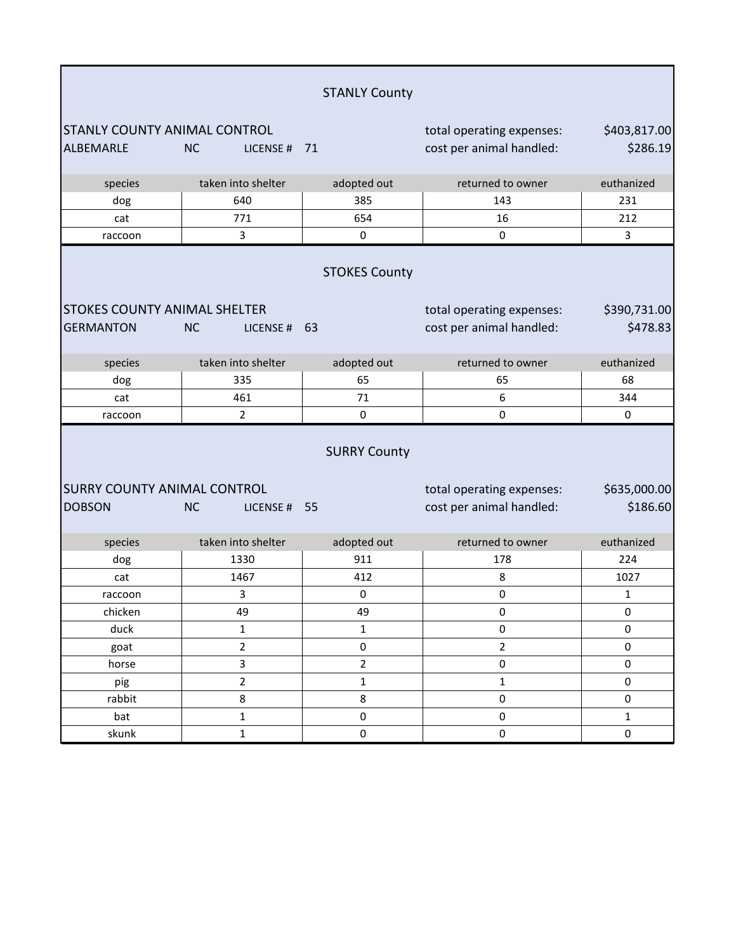|                                                         |                                                                  | <b>STANLY County</b>       |                                                       |                          |  |  |
|---------------------------------------------------------|------------------------------------------------------------------|----------------------------|-------------------------------------------------------|--------------------------|--|--|
| <b>STANLY COUNTY ANIMAL CONTROL</b><br>ALBEMARLE        | <b>NC</b><br>LICENSE #                                           | 71                         | total operating expenses:<br>cost per animal handled: | \$403,817.00<br>\$286.19 |  |  |
| species                                                 | taken into shelter                                               | adopted out                | returned to owner                                     | euthanized               |  |  |
| dog                                                     | 640                                                              | 385                        | 143                                                   | 231                      |  |  |
| cat                                                     | 771                                                              | 654                        | 16                                                    | 212                      |  |  |
| raccoon                                                 | 3                                                                | $\pmb{0}$                  | 0                                                     | $\overline{3}$           |  |  |
| <b>STOKES COUNTY ANIMAL SHELTER</b><br><b>GERMANTON</b> | <b>NC</b><br>LICENSE#                                            | <b>STOKES County</b><br>63 | total operating expenses:<br>cost per animal handled: | \$390,731.00<br>\$478.83 |  |  |
| species                                                 | taken into shelter                                               | adopted out                | returned to owner                                     | euthanized               |  |  |
| dog                                                     | 335                                                              | 65                         | 65                                                    | 68                       |  |  |
| cat                                                     | 461                                                              | 71                         | 6                                                     | 344                      |  |  |
| raccoon                                                 | $\overline{2}$                                                   | 0                          | 0                                                     | 0                        |  |  |
| <b>SURRY COUNTY ANIMAL CONTROL</b>                      | <b>SURRY County</b><br>\$635,000.00<br>total operating expenses: |                            |                                                       |                          |  |  |
| <b>DOBSON</b>                                           | <b>NC</b><br>LICENSE # 55                                        |                            | cost per animal handled:                              | \$186.60                 |  |  |
| species                                                 | taken into shelter                                               | adopted out                | returned to owner                                     | euthanized               |  |  |
| dog                                                     | 1330                                                             | 911                        | 178                                                   | 224                      |  |  |
| cat                                                     | 1467                                                             | 412                        | 8                                                     | 1027                     |  |  |
| raccoon                                                 | 3                                                                | 0                          | 0                                                     | 1                        |  |  |
| chicken                                                 | 49                                                               | 49                         | $\pmb{0}$                                             | 0                        |  |  |
| duck                                                    | $\mathbf 1$                                                      | $\mathbf{1}$               | 0                                                     | 0                        |  |  |
| goat                                                    | $\overline{2}$                                                   | $\pmb{0}$                  | $\overline{2}$                                        | 0                        |  |  |
| horse                                                   | 3                                                                | $\overline{2}$             | $\pmb{0}$                                             | 0                        |  |  |
| pig                                                     | $\overline{2}$                                                   | $\mathbf{1}$               | $\mathbf 1$                                           | 0                        |  |  |
| rabbit                                                  | 8                                                                | 8                          | 0                                                     | 0                        |  |  |
| bat                                                     | $\mathbf 1$                                                      | $\pmb{0}$                  | 0                                                     | $\mathbf{1}$             |  |  |
| skunk                                                   | $\mathbf 1$                                                      | $\pmb{0}$                  | $\pmb{0}$                                             | 0                        |  |  |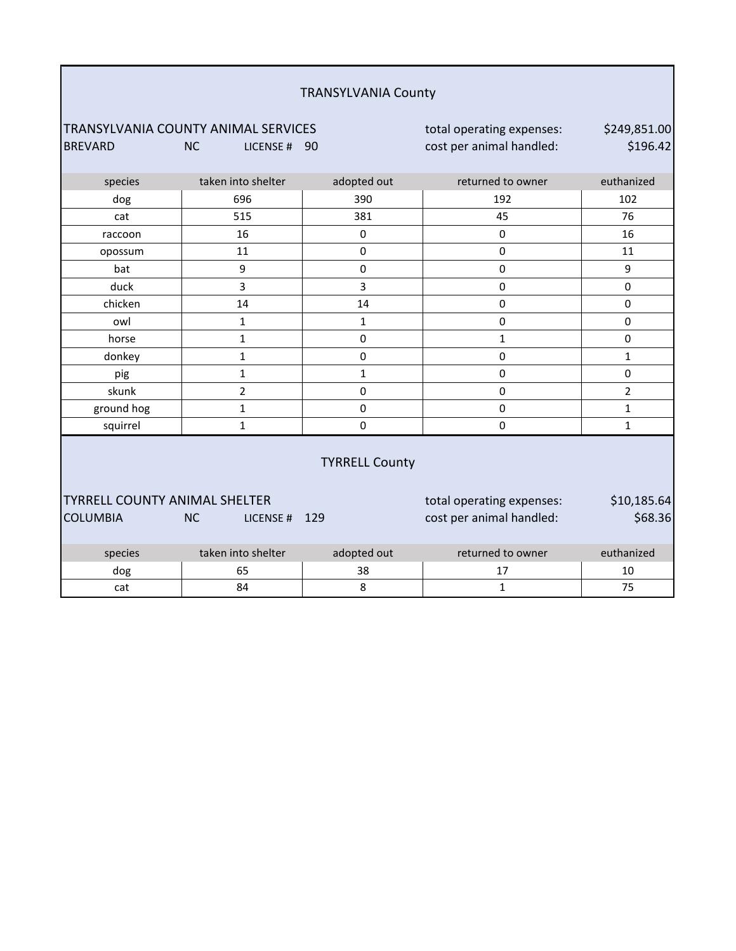| <b>TRANSYLVANIA County</b>                                                                                                                                              |                       |              |                           |                |  |  |
|-------------------------------------------------------------------------------------------------------------------------------------------------------------------------|-----------------------|--------------|---------------------------|----------------|--|--|
| TRANSYLVANIA COUNTY ANIMAL SERVICES<br>\$249,851.00<br>total operating expenses:<br>\$196.42<br>cost per animal handled:<br><b>BREVARD</b><br><b>NC</b><br>LICENSE # 90 |                       |              |                           |                |  |  |
|                                                                                                                                                                         |                       |              |                           |                |  |  |
| species                                                                                                                                                                 | taken into shelter    | adopted out  | returned to owner         | euthanized     |  |  |
| dog                                                                                                                                                                     | 696                   | 390          | 192                       | 102            |  |  |
| cat                                                                                                                                                                     | 515                   | 381          | 45                        | 76             |  |  |
| raccoon                                                                                                                                                                 | 16                    | $\Omega$     | $\mathbf{0}$              | 16             |  |  |
| opossum                                                                                                                                                                 | 11                    | 0            | $\pmb{0}$                 | 11             |  |  |
| bat                                                                                                                                                                     | 9                     | 0            | $\mathbf 0$               | 9              |  |  |
| duck                                                                                                                                                                    | 3                     | 3            | $\pmb{0}$                 | 0              |  |  |
| chicken                                                                                                                                                                 | 14                    | 14           | $\mathbf 0$               | 0              |  |  |
| owl                                                                                                                                                                     | $\mathbf 1$           | $\mathbf{1}$ | $\mathbf 0$               | 0              |  |  |
| horse                                                                                                                                                                   | $\mathbf 1$           | 0            | $\mathbf{1}$              | 0              |  |  |
| donkey                                                                                                                                                                  | $\mathbf 1$           | 0            | $\pmb{0}$                 | $\mathbf{1}$   |  |  |
| pig                                                                                                                                                                     | $\mathbf 1$           | $\mathbf 1$  | $\pmb{0}$                 | 0              |  |  |
| skunk                                                                                                                                                                   | $\overline{2}$        | $\mathbf 0$  | $\pmb{0}$                 | $\overline{2}$ |  |  |
| ground hog                                                                                                                                                              | 1                     | $\mathbf 0$  | $\mathbf 0$               | $\mathbf{1}$   |  |  |
| squirrel                                                                                                                                                                | $\mathbf{1}$          | 0            | $\mathbf 0$               | $\mathbf{1}$   |  |  |
|                                                                                                                                                                         | <b>TYRRELL County</b> |              |                           |                |  |  |
| <b>TYRRELL COUNTY ANIMAL SHELTER</b>                                                                                                                                    |                       |              | total operating expenses: | \$10,185.64    |  |  |
| <b>COLUMBIA</b>                                                                                                                                                         | <b>NC</b><br>LICENSE# | 129          | cost per animal handled:  | \$68.36        |  |  |
| species                                                                                                                                                                 | taken into shelter    | adopted out  | returned to owner         | euthanized     |  |  |
| dog                                                                                                                                                                     | 65                    | 38           | 17                        | 10             |  |  |
| cat                                                                                                                                                                     | 84                    | 8            | $\mathbf{1}$              | 75             |  |  |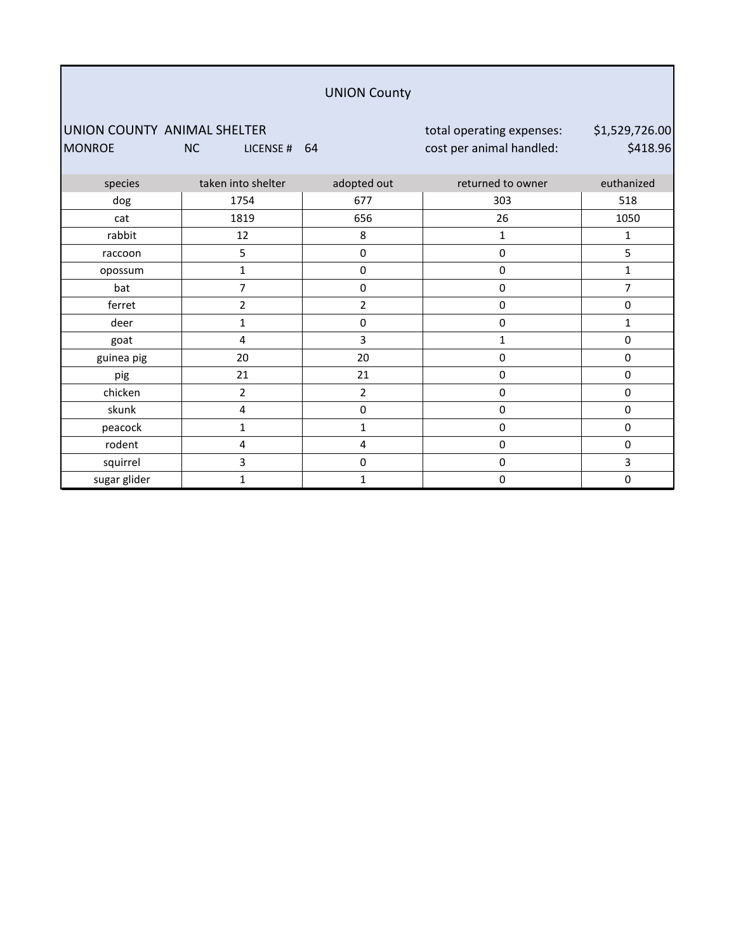#### UNION County

UNION COUNTY ANIMAL SHELTER total operating expenses: MONROE NC LICENSE # 64 cost per animal handled:

\$1,529,726.00 \$418.96

| species      | taken into shelter | adopted out    | returned to owner | euthanized |
|--------------|--------------------|----------------|-------------------|------------|
| dog          | 1754               | 677            | 303               | 518        |
| cat          | 1819               | 656            | 26                | 1050       |
| rabbit       | 12                 | 8              | 1                 | 1          |
| raccoon      | 5                  | $\pmb{0}$      | $\pmb{0}$         | 5          |
| opossum      | 1                  | 0              | $\pmb{0}$         | 1          |
| bat          | 7                  | 0              | $\pmb{0}$         | 7          |
| ferret       | 2                  | 2              | $\pmb{0}$         | 0          |
| deer         | 1                  | $\mathbf 0$    | $\pmb{0}$         | 1          |
| goat         | 4                  | 3              | 1                 | 0          |
| guinea pig   | 20                 | 20             | $\pmb{0}$         | 0          |
| pig          | 21                 | 21             | $\pmb{0}$         | 0          |
| chicken      | $\overline{2}$     | $\overline{2}$ | $\pmb{0}$         | 0          |
| skunk        | 4                  | 0              | $\pmb{0}$         | 0          |
| peacock      | 1                  | $\mathbf{1}$   | $\pmb{0}$         | 0          |
| rodent       | 4                  | 4              | $\pmb{0}$         | 0          |
| squirrel     | 3                  | $\mathbf 0$    | 0                 | 3          |
| sugar glider | 1                  | $\mathbf{1}$   | $\mathbf 0$       | 0          |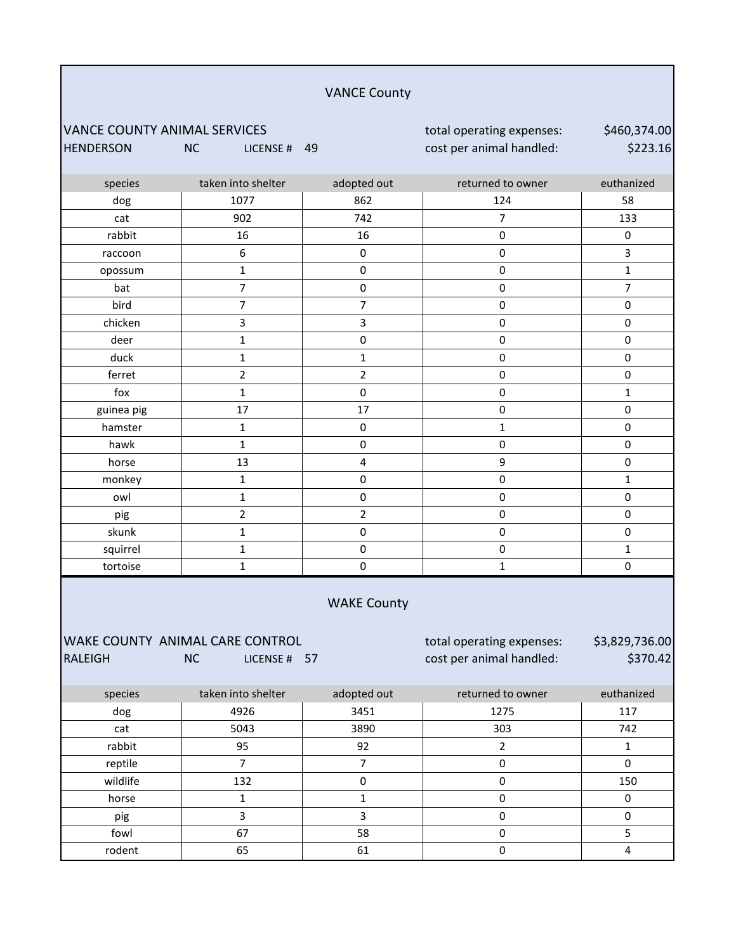#### VANCE County

VANCE COUNTY ANIMAL SERVICES total operating expenses: HENDERSON NC LICENSE # 49 cost per animal handled:

\$460,374.00 \$223.16

| species        | taken into shelter              | adopted out         | returned to owner         | euthanized          |
|----------------|---------------------------------|---------------------|---------------------------|---------------------|
| dog            | 1077                            | 862                 | 124                       | 58                  |
| cat            | 902                             | 742                 | $\overline{7}$            | 133                 |
| rabbit         | 16                              | 16                  | $\mathbf 0$               | 0                   |
| raccoon        | $\boldsymbol{6}$                | $\pmb{0}$           | $\mathbf 0$               | 3                   |
| opossum        | $\mathbf{1}$                    | $\mathbf 0$         | $\mathbf 0$               | $\mathbf{1}$        |
| bat            | $\overline{7}$                  | $\mathsf 0$         | $\mathbf 0$               | $\overline{7}$      |
| bird           | $\overline{7}$                  | $\overline{7}$      | $\mathbf 0$               | $\mathsf{O}\xspace$ |
| chicken        | 3                               | $\mathsf 3$         | $\mathbf 0$               | $\mathsf{O}\xspace$ |
| deer           | $\mathbf 1$                     | $\mathbf 0$         | $\mathsf 0$               | $\pmb{0}$           |
| duck           | $\mathbf{1}$                    | $\mathbf{1}$        | $\pmb{0}$                 | $\mathsf{O}\xspace$ |
| ferret         | $\overline{2}$                  | $\overline{2}$      | $\mathsf 0$               | $\pmb{0}$           |
| fox            | $\mathbf{1}$                    | $\pmb{0}$           | $\pmb{0}$                 | $\mathbf{1}$        |
| guinea pig     | 17                              | 17                  | $\mathbf 0$               | $\mathsf 0$         |
| hamster        | $\mathbf{1}$                    | $\mathsf 0$         | $\mathbf{1}$              | $\pmb{0}$           |
| hawk           | $\mathbf{1}$                    | $\mathbf 0$         | $\mathbf 0$               | 0                   |
| horse          | 13                              | $\pmb{4}$           | 9                         | $\mathbf 0$         |
| monkey         | $\mathbf{1}$                    | $\mathsf 0$         | $\pmb{0}$                 | $\mathbf{1}$        |
| owl            | $\mathbf{1}$                    | $\pmb{0}$           | $\pmb{0}$                 | $\mathsf{O}\xspace$ |
| pig            | $\overline{2}$                  | $\overline{2}$      | $\mathsf 0$               | $\mathsf{O}\xspace$ |
| skunk          | $\mathbf{1}$                    | $\pmb{0}$           | $\pmb{0}$                 | $\mathsf{O}\xspace$ |
| squirrel       | $\mathbf 1$                     | $\mathsf{O}\xspace$ | $\mathsf 0$               | $\mathbf 1$         |
| tortoise       | $\mathbf{1}$                    | $\mathbf 0$         | $\mathbf{1}$              | $\mathbf 0$         |
|                |                                 | <b>WAKE County</b>  |                           |                     |
|                | WAKE COUNTY ANIMAL CARE CONTROL |                     | total operating expenses: | \$3,829,736.00      |
| <b>RALEIGH</b> | <b>NC</b><br>LICENSE # 57       |                     | cost per animal handled:  | \$370.42            |
| species        | taken into shelter              | adopted out         | returned to owner         | euthanized          |
| dog            | 4926                            | 3451                | 1275                      | 117                 |
| cat            | 5043                            | 3890                | 303                       | 742                 |
| rabbit         | 95                              | 92                  | $\overline{2}$            | $\mathbf{1}$        |

wildlife | 132 | 0 | 0 | 150 horse | 1 | 1 | 0 | 0

pig 3 3 0 0 fowl 67 58 0 5

rodent | 65 | 61 | 0 | 4

reptile 7 7 0 0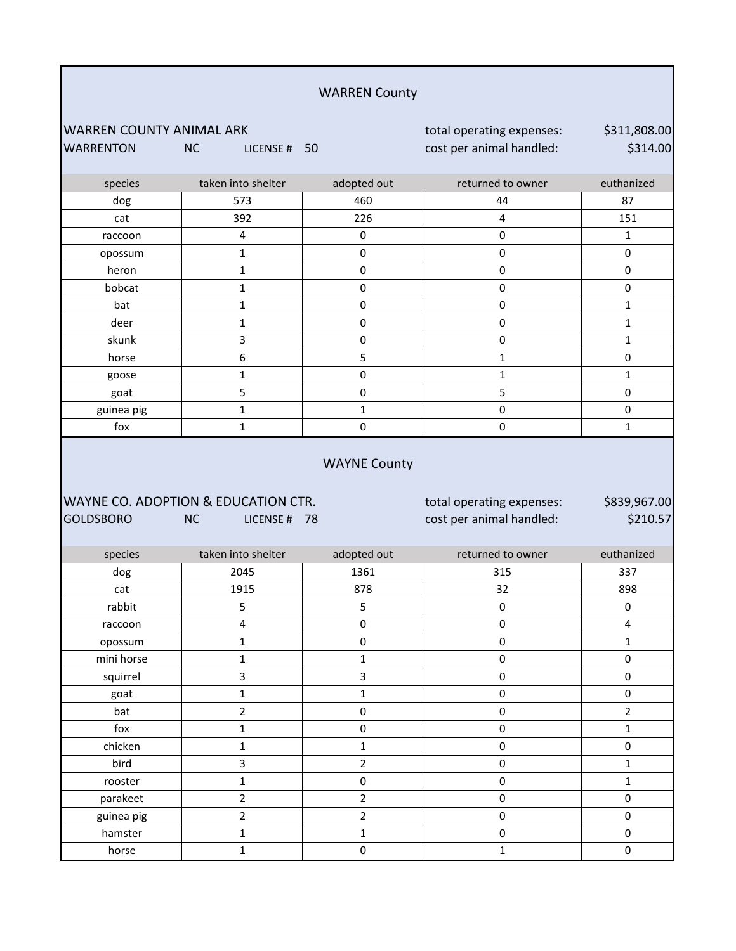| <b>WARREN County</b>                         |                                                                  |                     |                                                       |                          |  |
|----------------------------------------------|------------------------------------------------------------------|---------------------|-------------------------------------------------------|--------------------------|--|
| WARREN COUNTY ANIMAL ARK<br><b>WARRENTON</b> | <b>NC</b><br>LICENSE #                                           | 50                  | total operating expenses:<br>cost per animal handled: | \$311,808.00<br>\$314.00 |  |
| species                                      | taken into shelter                                               | adopted out         | returned to owner                                     | euthanized               |  |
| dog                                          | 573                                                              | 460                 | 44                                                    | 87                       |  |
| cat                                          | 392                                                              | 226                 | 4                                                     | 151                      |  |
| raccoon                                      | $\pmb{4}$                                                        | $\pmb{0}$           | $\pmb{0}$                                             | $\mathbf{1}$             |  |
| opossum                                      | $\mathbf{1}$                                                     | $\pmb{0}$           | $\pmb{0}$                                             | $\pmb{0}$                |  |
| heron                                        | $\mathbf 1$                                                      | $\pmb{0}$           | $\pmb{0}$                                             | $\pmb{0}$                |  |
| bobcat                                       | $\mathbf 1$                                                      | $\pmb{0}$           | 0                                                     | $\pmb{0}$                |  |
| bat                                          | $\mathbf{1}$                                                     | $\pmb{0}$           | 0                                                     | 1                        |  |
| deer                                         | $\mathbf{1}$                                                     | $\pmb{0}$           | $\pmb{0}$                                             | $\mathbf{1}$             |  |
| skunk                                        | 3                                                                | $\pmb{0}$           | $\pmb{0}$                                             | $\mathbf 1$              |  |
| horse                                        | 6                                                                | 5                   | $\mathbf{1}$                                          | $\pmb{0}$                |  |
| goose                                        | $\mathbf 1$                                                      | 0                   | $\mathbf 1$                                           | $\mathbf{1}$             |  |
| goat                                         | 5                                                                | $\pmb{0}$           | 5                                                     | $\pmb{0}$                |  |
| guinea pig                                   | $\mathbf{1}$                                                     | $\mathbf{1}$        | 0                                                     | $\pmb{0}$                |  |
| fox                                          | $\mathbf 1$                                                      | $\pmb{0}$           | $\pmb{0}$                                             | $\mathbf{1}$             |  |
| <b>GOLDSBORO</b>                             | WAYNE CO. ADOPTION & EDUCATION CTR.<br><b>NC</b><br>LICENSE # 78 | <b>WAYNE County</b> | total operating expenses:<br>cost per animal handled: | \$839,967.00<br>\$210.57 |  |
| species                                      | taken into shelter                                               | adopted out         | returned to owner                                     | euthanized               |  |
| dog                                          | 2045                                                             | 1361                | 315                                                   | 337                      |  |
| cat                                          | 1915                                                             | 878                 | 32                                                    | 898                      |  |
| rabbit                                       | 5                                                                | $\mathsf S$         | $\pmb{0}$                                             | $\pmb{0}$                |  |
| raccoon                                      | $\overline{\mathbf{4}}$                                          | $\pmb{0}$           | $\pmb{0}$                                             | $\overline{4}$           |  |
| opossum                                      | $\mathbf 1$                                                      | $\mathbf 0$         | $\pmb{0}$                                             | $\mathbf{1}$             |  |
| mini horse                                   | $\mathbf 1$                                                      | $\mathbf 1$         | $\pmb{0}$                                             | $\mathbf 0$              |  |
| squirrel                                     | $\overline{\mathbf{3}}$                                          | 3                   | $\pmb{0}$                                             | $\mathbf 0$              |  |
| goat                                         | $\mathbf 1$                                                      | $\mathbf 1$         | $\pmb{0}$                                             | $\pmb{0}$                |  |
| bat                                          | $\overline{2}$                                                   | $\pmb{0}$           | $\pmb{0}$                                             | $\overline{2}$           |  |
| fox                                          | $\mathbf 1$                                                      | $\mathbf 0$         | $\pmb{0}$                                             | $\mathbf{1}$             |  |
| chicken                                      | $\mathbf 1$                                                      | $\mathbf 1$         | $\pmb{0}$                                             | 0                        |  |
| bird                                         | 3                                                                | $\overline{2}$      | $\pmb{0}$                                             | $\mathbf{1}$             |  |
| rooster                                      | $\mathbf 1$                                                      | $\pmb{0}$           | $\mathsf{O}\xspace$                                   | $\mathbf{1}$             |  |
| parakeet                                     |                                                                  |                     |                                                       |                          |  |
|                                              | $\overline{2}$                                                   | $\mathbf 2$         | $\pmb{0}$                                             | $\mathsf{O}\xspace$      |  |
| guinea pig                                   | $\overline{2}$                                                   | $\overline{2}$      | $\pmb{0}$                                             | $\pmb{0}$                |  |
| hamster                                      | $\mathbf 1$                                                      | $\mathbf 1$         | $\pmb{0}$                                             | $\mathsf 0$              |  |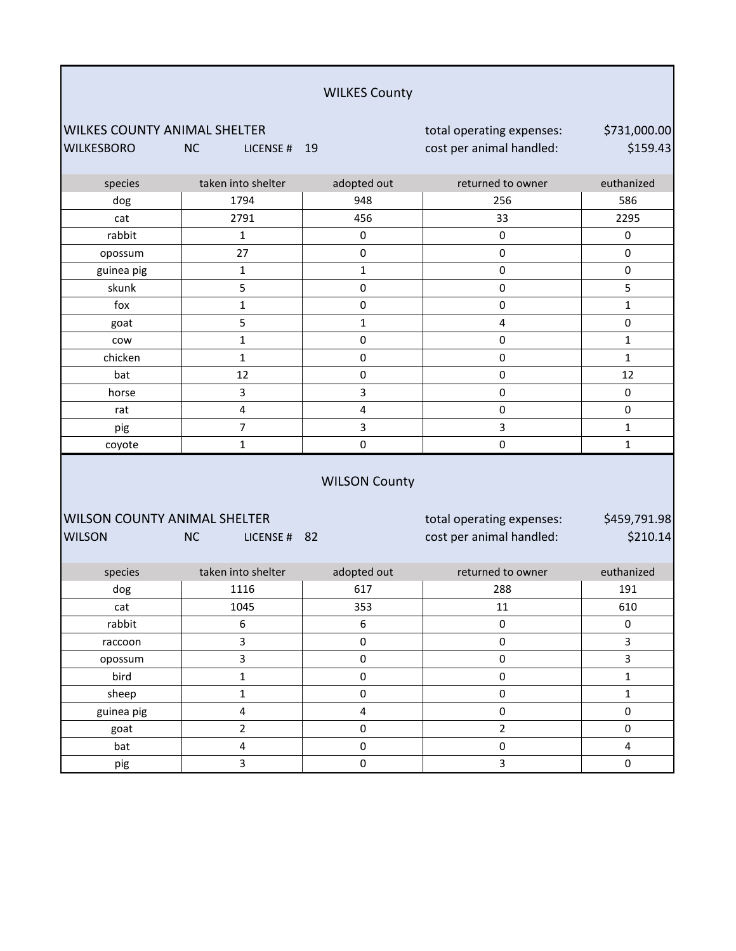WILKES COUNTY ANIMAL SHELTER total operating expenses: WILKESBORO NC LICENSE # 19 cost per animal handled:

\$731,000.00 \$159.43

| species    | taken into shelter | adopted out | returned to owner | euthanized   |
|------------|--------------------|-------------|-------------------|--------------|
| dog        | 1794               | 948         | 256               | 586          |
| cat        | 2791               | 456         | 33                | 2295         |
| rabbit     | $\mathbf{1}$       | 0           | 0                 | 0            |
| opossum    | 27                 | 0           | $\mathbf 0$       | 0            |
| guinea pig |                    |             | $\pmb{0}$         | 0            |
| skunk      | 5                  | 0           | 0                 | 5            |
| fox        |                    | 0           | 0                 |              |
| goat       | 5                  |             | 4                 | 0            |
| cow        | 1                  | 0           | 0                 | $\mathbf{1}$ |
| chicken    |                    | $\Omega$    | 0                 |              |
| bat        | 12                 | 0           | 0                 | 12           |
| horse      | 3                  | 3           | 0                 | 0            |
| rat        | 4                  | 4           | 0                 | 0            |
| pig        | 7                  | 3           | 3                 | 1            |
| coyote     |                    | 0           | 0                 |              |

#### WILSON County

| WILSON COUNTY ANIMAL SHELTER |     |             |  |  |  |  |
|------------------------------|-----|-------------|--|--|--|--|
| <b>WILSON</b>                | NC. | LICENSE# 82 |  |  |  |  |

total operating expenses: cost per animal handled:

\$459,791.98 \$210.14

| species    | taken into shelter | adopted out<br>returned to owner |    | euthanized |  |
|------------|--------------------|----------------------------------|----|------------|--|
| dog        | 1116               | 617<br>288                       |    | 191        |  |
| cat        | 1045               | 353                              | 11 | 610        |  |
| rabbit     | 6                  | 6                                | 0  |            |  |
| raccoon    |                    | 0<br>0                           |    |            |  |
| opossum    |                    | 0<br>ŋ                           |    |            |  |
| bird       |                    | 0<br>0                           |    |            |  |
| sheep      |                    | 0                                | 0  |            |  |
| guinea pig |                    |                                  | O  |            |  |
| goat       |                    | O                                | ำ  | $\Omega$   |  |
| bat        | 4                  | $\Omega$                         | 0  |            |  |
| pig        |                    | Ω                                | 3  |            |  |